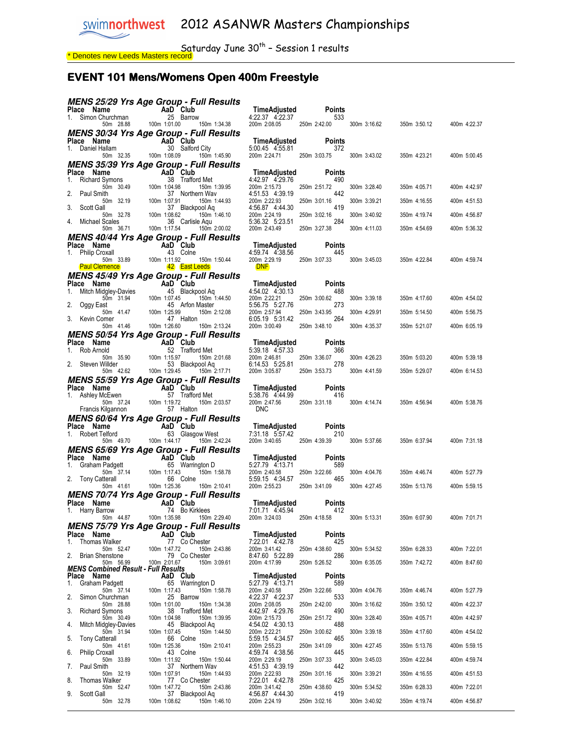$Saturday$  June 30<sup>th</sup> – Session 1 results <u>\* Denotes new Leeds Masters record</u>

#### EVENT 101 Mens/Womens Open 400m Freestyle

|    |                                                                                                                                           |                                                                                                                                                                                                                   | MENS 25/29 Yrs Age Group - Full Results                        |                                              |                           |              |              |              |
|----|-------------------------------------------------------------------------------------------------------------------------------------------|-------------------------------------------------------------------------------------------------------------------------------------------------------------------------------------------------------------------|----------------------------------------------------------------|----------------------------------------------|---------------------------|--------------|--------------|--------------|
|    | <b>Place Name</b><br>1. Simon Churchman <b>1.</b> 25 Barrow<br>50m 28.88 100m 1:01.00 1:01.00                                             |                                                                                                                                                                                                                   |                                                                | TimeAdjusted<br>4:22.37 4:22.37              | Points<br>533             |              |              |              |
|    |                                                                                                                                           |                                                                                                                                                                                                                   | 150m 1:34.38                                                   | 200m 2:08.05                                 | 250m 2:42.00              | 300m 3:16.62 | 350m 3:50.12 | 400m 4:22.37 |
|    |                                                                                                                                           |                                                                                                                                                                                                                   | MENS 30/34 Yrs Age Group - Full Results                        |                                              |                           |              |              |              |
|    | <b>Place Name</b><br>1. Daniel Hallam <b>Canada AD</b> 30 Salford City                                                                    |                                                                                                                                                                                                                   |                                                                | TimeAdjusted                                 | Points                    |              |              |              |
|    |                                                                                                                                           | 50m 32.35 100m 1:08.09                                                                                                                                                                                            | 150m 1:45.90                                                   | 5:00.45 4:55.81<br>200m 2:24.71 250m 3:03.75 | 372                       | 300m 3:43.02 | 350m 4:23.21 | 400m 5:00.45 |
|    |                                                                                                                                           |                                                                                                                                                                                                                   | MENS 35/39 Yrs Age Group - Full Results                        |                                              |                           |              |              |              |
|    | Place Name                                                                                                                                |                                                                                                                                                                                                                   | AaD Club                                                       | TimeAdjusted                                 | Points                    |              |              |              |
|    | <b>Place Name AaD (</b><br>1. Richard Symons 1 38 T<br>2. Paul Smith 100m 100m 10498                                                      |                                                                                                                                                                                                                   | 38 Trafford Met<br>150m 1:39.95                                | 4:42.97 4:29.76<br>200m 2:15.73              | 490<br>250m 2:51.72       | 300m 3:28.40 | 350m 4:05.71 | 400m 4:42.97 |
|    | 2. Paul Smith                                                                                                                             |                                                                                                                                                                                                                   | 37 Northern Way                                                | 4:51.53 4:39.19                              | 442                       |              |              |              |
|    | 3. Scott Gall                                                                                                                             |                                                                                                                                                                                                                   | 150m 1:44.93<br>37 Blackpool Aq                                | 200m 2:22.93<br>4:56.87 4:44.30              | 250m 3:01.16<br>419       | 300m 3:39.21 | 350m 4:16.55 | 400m 4:51.53 |
|    |                                                                                                                                           |                                                                                                                                                                                                                   | 150m 1:46.10                                                   | 200m 2:24.19                                 | 250m 3:02.16              | 300m 3:40.92 | 350m 4:19.74 | 400m 4:56.87 |
|    | 4. Michael Scales                                                                                                                         | 50m 36.71 100m 1:17.54                                                                                                                                                                                            | 36 Carlisle Aqu<br>150m 2:00.02                                | 5:36.32 5:23.51<br>200m 2:43.49              | 284<br>250m 3:27.38       | 300m 4:11.03 | 350m 4:54.69 | 400m 5:36.32 |
|    |                                                                                                                                           |                                                                                                                                                                                                                   | MENS 40/44 Yrs Age Group - Full Results                        |                                              |                           |              |              |              |
|    | Place Name                                                                                                                                | <b>me</b><br>Foxall<br>$\begin{array}{ccc}\n & & \mathbf{AaD}^{\mathsf{T}} \text{Club} \\ \text{13. } \text{Colne} \\ \text{50m} & 33.89 \\  & 100 \text{ m} & 1:11.92 \\  & 42 & \mathsf{Fast} & \\ \end{array}$ |                                                                | TimeAdjusted                                 | Points                    |              |              |              |
|    | 1. Philip Croxall                                                                                                                         |                                                                                                                                                                                                                   | 150m 1:50.44                                                   | 4:59.74 4:38.56<br>200m 2:29.19              | 445<br>250m 3:07.33       | 300m 3:45.03 | 350m 4:22.84 | 400m 4:59.74 |
|    | <b>Paul Clemence</b>                                                                                                                      |                                                                                                                                                                                                                   | 42 East Leeds                                                  | <b>DNF</b>                                   |                           |              |              |              |
|    | Place Name                                                                                                                                |                                                                                                                                                                                                                   | MENS 45/49 Yrs Age Group - Full Results                        | TimeAdjusted                                 | <b>Points</b>             |              |              |              |
| 1. | ce Name<br>Mitch Midgley-Davies 45 Black                                                                                                  |                                                                                                                                                                                                                   | 45 Blackpool Aq                                                | 4:54.02 4:30.13                              | 488                       |              |              |              |
|    |                                                                                                                                           | 950m 31.94<br>100m 1.07.45<br>100m 1.07.45<br>50m 41.47<br>100m 1.25.99<br>omer<br>47                                                                                                                             | 150m 1:44.50                                                   | 200m 2:22.21<br>5:56.75 5:27.76              | 250m 3:00.62<br>273       | 300m 3:39.18 | 350m 4:17.60 | 400m 4:54.02 |
|    | 2. Oggy East                                                                                                                              |                                                                                                                                                                                                                   | 45 Arfon Master<br>150m 2:12.08                                | 200m 2:57.94                                 | 250m 3:43.95              | 300m 4:29.91 | 350m 5:14.50 | 400m 5:56.75 |
|    | 3. Kevin Comer                                                                                                                            | 50m 41.46 100m 1:26.60                                                                                                                                                                                            | 47 Halton                                                      | 6:05.19 5:31.42<br>200m 3:00.49              | 264<br>250m 3:48.10       |              |              |              |
|    |                                                                                                                                           |                                                                                                                                                                                                                   | 150m 2:13.24<br><b>MENS 50/54 Yrs Age Group - Full Results</b> |                                              |                           | 300m 4:35.37 | 350m 5:21.07 | 400m 6:05.19 |
|    | Place Name                                                                                                                                |                                                                                                                                                                                                                   |                                                                | TimeAdjusted                                 | Points                    |              |              |              |
|    | 1. Rob Arnold                                                                                                                             | me<br>100d<br>52 Traffor<br>50m 35.90<br>100m 1:15.97<br>253 Blackr<br>53 Blackr                                                                                                                                  | 52 Trafford Met                                                | 5:39.18 4:57.33<br>200m 2:46.81              | 366<br>250m 3:36.07       | 300m 4:26.23 | 350m 5:03.20 | 400m 5:39.18 |
|    | 2. Steven Willder                                                                                                                         |                                                                                                                                                                                                                   | 150m 2:01.68<br>53 Blackpool Aq                                | 6:14.53 5:25.81                              | 278                       |              |              |              |
|    |                                                                                                                                           | 50m 42.62 100m 1:29.45                                                                                                                                                                                            | 150m 2:17.71                                                   | 200m 3:05.87                                 | 250m 3:53.73              | 300m 4:41.59 | 350m 5:29.07 | 400m 6:14.53 |
|    |                                                                                                                                           |                                                                                                                                                                                                                   | MENS 55/59 Yrs Age Group - Full Results                        | TimeAdjusted                                 | Points                    |              |              |              |
|    |                                                                                                                                           |                                                                                                                                                                                                                   | 57 Trafford Met                                                | 5:38.76 4:44.99                              | and the control of<br>416 |              |              |              |
|    | Place Name<br>1. Ashley McEwen<br>1. Ashley McEwen<br>57 Traffor<br>57 Halton<br>57 Halton                                                |                                                                                                                                                                                                                   | 150m 2:03.57                                                   | 200m 2:47.56<br><b>DNC</b>                   | 250m 3:31.18 300m 4:14.74 |              | 350m 4:56.94 | 400m 5:38.76 |
|    |                                                                                                                                           |                                                                                                                                                                                                                   | 57 Halton<br>MENS 60/64 Yrs Age Group - Full Results           |                                              |                           |              |              |              |
|    | Place Name                                                                                                                                |                                                                                                                                                                                                                   |                                                                | TimeAdjusted                                 | Points                    |              |              |              |
|    | 1. Robert Telford                                                                                                                         | me<br>MaD Club<br>Telford 63 Glasgr<br>50m 49.70 100m 1:44.17                                                                                                                                                     | 63 Glasgow West                                                | 7:31.18 5:57.42                              | 210                       |              |              |              |
|    |                                                                                                                                           |                                                                                                                                                                                                                   | 150m 2:42.24<br><b>MENS 65/69 Yrs Age Group - Full Results</b> | 200m 3:40.65                                 | 250m 4:39.39              | 300m 5:37.66 | 350m 6:37.94 | 400m 7:31.18 |
|    |                                                                                                                                           |                                                                                                                                                                                                                   |                                                                | TimeAdjusted                                 | Points                    |              |              |              |
|    | Place Name AaD Club<br>1. Graham Padgett 65 Warrin<br>1. Graham Padgett 65 Warrin<br>100m 1:17.43<br>2. Tony Catterall 66 Colne<br>125.36 |                                                                                                                                                                                                                   | 65 Warrington D                                                | 5:27.79 4:13.71                              | 589                       |              | 350m 4:46.74 |              |
|    |                                                                                                                                           |                                                                                                                                                                                                                   | 150m 1:58.78<br>66 Colne                                       | 200m 2:40.58<br>5:59.15 4:34.57              | 250m 3:22.66<br>465       | 300m 4:04.76 |              | 400m 5:27.79 |
|    |                                                                                                                                           |                                                                                                                                                                                                                   | 150m 2:10.41                                                   | 200m 2:55.23                                 | 250m 3:41.09              | 300m 4:27.45 | 350m 5:13.76 | 400m 5:59.15 |
|    | Place Name                                                                                                                                |                                                                                                                                                                                                                   | <b>MENS 70/74 Yrs Age Group - Full Results</b>                 | TimeAdjusted                                 | Points                    |              |              |              |
|    | 1. Harry Barrow                                                                                                                           |                                                                                                                                                                                                                   | AaD Club<br>74 Bo Kirklees                                     | 7:01.71 4:45.94                              | 412                       |              |              |              |
|    |                                                                                                                                           |                                                                                                                                                                                                                   | 50m 44.87   100m 1:35.98   150m 2:29.40                        | 200m 3:24.03 250m 4:18.58                    |                           | 300m 5:13.31 | 350m 6:07.90 | 400m 7:01.71 |
|    | Place Name                                                                                                                                |                                                                                                                                                                                                                   | <b>MENS 75/79 Yrs Age Group - Full Results</b><br>AaD Club     | <b>TimeAdjusted</b>                          | Points                    |              |              |              |
| 1. | <b>Thomas Walker</b>                                                                                                                      |                                                                                                                                                                                                                   | 77 Co Chester                                                  | 7:22.01 4:42.78                              | 425                       |              |              |              |
| 2. | 50m 52.47<br><b>Brian Shenstone</b>                                                                                                       | 100m 1:47.72                                                                                                                                                                                                      | 150m 2:43.86<br>79 Co Chester                                  | 200m 3:41.42<br>8:47.60 5:22.89              | 250m 4:38.60<br>286       | 300m 5:34.52 | 350m 6:28.33 | 400m 7:22.01 |
|    | 50m 56.99                                                                                                                                 | 100m 2:01.67                                                                                                                                                                                                      | 150m 3:09.61                                                   | 200m 4:17.99                                 | 250m 5:26.52              | 300m 6:35.05 | 350m 7:42.72 | 400m 8:47.60 |
|    | <b>MENS Combined Result - Full Results</b><br>Place Name                                                                                  |                                                                                                                                                                                                                   | AaD Club                                                       | TimeAdjusted                                 | <b>Points</b>             |              |              |              |
| 1. | Graham Padgett                                                                                                                            |                                                                                                                                                                                                                   | 65 Warrington D                                                | 5:27.79 4:13.71                              | 589                       |              |              |              |
| 2. | 50m 37.14<br>Simon Churchman                                                                                                              | 100m 1:17.43                                                                                                                                                                                                      | 150m 1:58.78<br>25<br>Barrow                                   | 200m 2:40.58<br>4:22.37 4:22.37              | 250m 3:22.66<br>533       | 300m 4:04.76 | 350m 4:46.74 | 400m 5:27.79 |
|    | 50m 28.88                                                                                                                                 | 100m 1:01.00                                                                                                                                                                                                      | 150m 1:34.38                                                   | 200m 2:08.05                                 | 250m 2:42.00              | 300m 3:16.62 | 350m 3:50.12 | 400m 4:22.37 |
| 3. | <b>Richard Symons</b><br>50m 30.49                                                                                                        | 100m 1:04.98                                                                                                                                                                                                      | 38 Trafford Met<br>150m 1:39.95                                | 4:42.97 4:29.76<br>200m 2:15.73              | 490<br>250m 2:51.72       | 300m 3:28.40 | 350m 4:05.71 | 400m 4:42.97 |
| 4. | Mitch Midgley-Davies                                                                                                                      |                                                                                                                                                                                                                   | 45 Blackpool Aq                                                | 4:54.02 4:30.13                              | 488                       |              |              |              |
| 5. | 50m 31.94<br><b>Tony Catterall</b>                                                                                                        | 100m 1:07.45                                                                                                                                                                                                      | 150m 1:44.50<br>66 Colne                                       | 200m 2:22.21<br>5:59.15 4:34.57              | 250m 3:00.62<br>465       | 300m 3:39.18 | 350m 4:17.60 | 400m 4:54.02 |
|    | 50m 41.61                                                                                                                                 | 100m 1:25.36                                                                                                                                                                                                      | 150m 2:10.41                                                   | 200m 2:55.23                                 | 250m 3:41.09              | 300m 4:27.45 | 350m 5:13.76 | 400m 5:59.15 |
| 6. | <b>Philip Croxall</b><br>50m 33.89                                                                                                        | 100m 1:11.92                                                                                                                                                                                                      | 43 Colne<br>150m 1:50.44                                       | 4:59.74 4:38.56<br>200m 2:29.19              | 445<br>250m 3:07.33       | 300m 3:45.03 | 350m 4:22.84 | 400m 4:59.74 |
| 7. | Paul Smith                                                                                                                                |                                                                                                                                                                                                                   | 37 Northern Wav                                                | 4:51.53 4:39.19                              | 442                       |              |              |              |
| 8. | 50m 32.19<br>Thomas Walker                                                                                                                | 100m 1:07.91                                                                                                                                                                                                      | 150m 1:44.93<br>77 Co Chester                                  | 200m 2:22.93<br>7:22.01 4:42.78              | 250m 3:01.16<br>425       | 300m 3:39.21 | 350m 4:16.55 | 400m 4:51.53 |
|    | 50m 52.47                                                                                                                                 | 100m 1:47.72                                                                                                                                                                                                      | 150m 2:43.86                                                   | 200m 3:41.42                                 | 250m 4:38.60              | 300m 5:34.52 | 350m 6:28.33 | 400m 7:22.01 |
| 9. | Scott Gall<br>50m 32.78                                                                                                                   | 100m 1:08.62                                                                                                                                                                                                      | 37 Blackpool Aq<br>150m 1:46.10                                | 4:56.87 4:44.30<br>200m 2:24.19              | 419<br>250m 3:02.16       | 300m 3:40.92 | 350m 4:19.74 | 400m 4:56.87 |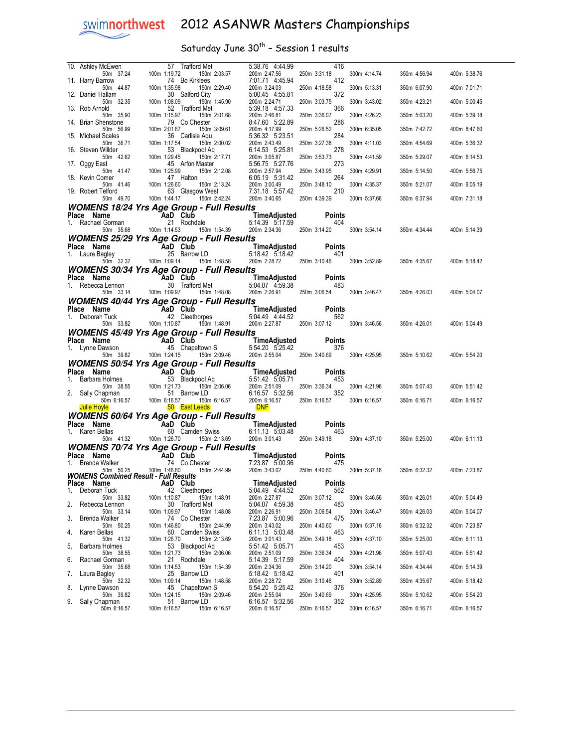## Saturday June  $30^{th}$  - Session 1 results

|                                    |                                                                                                                                                                                                                                                              | 5:38.76 4:44.99<br>416<br>200m 2:47.56<br>250m 3:31.18 | 300m 4:14.74 | 350m 4:56.94              | 400m 5:38.76 |
|------------------------------------|--------------------------------------------------------------------------------------------------------------------------------------------------------------------------------------------------------------------------------------------------------------|--------------------------------------------------------|--------------|---------------------------|--------------|
|                                    |                                                                                                                                                                                                                                                              | 412<br>7:01.71 4:45.94                                 |              |                           |              |
|                                    | 10. Ashley McEwen<br>10. Ashley McEwen<br>100m 1:19.72 150m 2:03.57<br>11. Harry Barrow<br>100m 1:35.98 150m 2:29.40<br>100m 1:35.98 150m 2:29.40<br>100m 1:35.98 150m 2:29.40<br>100m 1:35.98 150m 2:29.40                                                  | 200m 3:24.03<br>250m 4:18.58                           | 300m 5:13.31 | 350m 6:07.90              | 400m 7:01.71 |
| 50m 32.35                          | 100m 1:08.09<br>150m 1:45.90                                                                                                                                                                                                                                 | 5:00.45 4:55.81<br>372<br>200m 2:24.71<br>250m 3:03.75 | 300m 3:43.02 | 350m 4:23.21              | 400m 5:00.45 |
| 13. Rob Arnold                     | 52 Trafford Met                                                                                                                                                                                                                                              | 5:39.18 4:57.33<br>366                                 |              |                           |              |
| 50m 35.90<br>14. Brian Shenstone   | 100m 1:15.97<br>150m 2:01.68                                                                                                                                                                                                                                 | 200m 2:46.81<br>250m 3:36.07                           | 300m 4:26.23 | 350m 5:03.20              | 400m 5:39.18 |
|                                    |                                                                                                                                                                                                                                                              |                                                        | 300m 6:35.05 | 350m 7:42.72              | 400m 8:47.60 |
| 15. Michael Scales                 |                                                                                                                                                                                                                                                              |                                                        | 300m 4:11.03 | 350m 4:54.69              | 400m 5:36.32 |
| 16. Steven Willder                 |                                                                                                                                                                                                                                                              |                                                        |              |                           |              |
| 17. Oggy East                      |                                                                                                                                                                                                                                                              |                                                        | 300m 4:41.59 | 350m 5:29.07              | 400m 6:14.53 |
|                                    |                                                                                                                                                                                                                                                              |                                                        | 300m 4:29.91 | 350m 5:14.50              | 400m 5:56.75 |
| 18. Kevin Comer                    |                                                                                                                                                                                                                                                              |                                                        | 300m 4:35.37 | 350m 5:21.07              | 400m 6:05.19 |
| 19. Robert Telford                 | 50m 35.90<br>100m 1:15.97<br>100m 1:15.97<br>100m 2:01.68<br>100m 2:01.67<br>100m 2:01.67<br>100m 1:17.44<br>100m 1:17.44<br>100m 1:17.44<br>53 Backpool Agu<br>100m 1:29.45<br>100m 1:29.45<br>100m 1:29.45<br>100m 1:29.45<br>100m 1:29.45<br>100m 1:29.45 |                                                        |              |                           |              |
|                                    | <b>WOMENS 18/24 Yrs Age Group - Full Results</b>                                                                                                                                                                                                             |                                                        | 300m 5:37.66 | 350m 6:37.94              | 400m 7:31.18 |
|                                    |                                                                                                                                                                                                                                                              |                                                        |              |                           |              |
|                                    | Place Name <b>AaD Club</b> Time Time Adjusted Points<br>1. Rachael Gorman 21 Rochdale 5:14.39 5:17.59 404<br>50m 35.68 100m 1:14.53 150m 1:54.39 200m 2:34.36 250m 3:14.20                                                                                   |                                                        |              |                           |              |
|                                    |                                                                                                                                                                                                                                                              | 200m 2:34.36 250m 3:14.20                              | 300m 3:54.14 | 350m 4:34.44              | 400m 5:14.39 |
|                                    | <b>WOMENS 25/29 Yrs Age Group - Full Results</b>                                                                                                                                                                                                             |                                                        |              |                           |              |
|                                    | Place Name AaD Club Time Adjusted Points<br>1. Laura Bagley 25 Barrow LD 5:18.42 5:18.42 401<br>50m 32.32 100m 1:09.14 150m 1:48.58 200m 2:28.72 250m 3:10.46                                                                                                |                                                        |              |                           |              |
|                                    |                                                                                                                                                                                                                                                              | 200m 2:28.72 250m 3:10.46 300m 3:52.89                 |              | 350m 4:35.67              | 400m 5:18.42 |
|                                    | <b>WOMENS 30/34 Yrs Age Group - Full Results</b>                                                                                                                                                                                                             |                                                        |              |                           |              |
|                                    | Place Name AaD Club Time Adjusted Points<br>1. Rebecca Lennon 30 Trafford Met 5:04.07 4:59.38 483<br>50m 33.14 100m 1:09.97 150m 1:48.08 200m 2:26.91 250m 3:06.54                                                                                           |                                                        |              |                           |              |
|                                    |                                                                                                                                                                                                                                                              |                                                        |              | 300m 3:46.47 350m 4:26.03 | 400m 5:04.07 |
|                                    | <b>WOMENS 40/44 Yrs Age Group - Full Results</b>                                                                                                                                                                                                             |                                                        |              |                           |              |
| Place Name<br>1. Deborah Tuck      | me<br><b>AD Club</b><br><b>AD Club</b><br>TimeAdjusted<br>TimeAdjusted<br>TimeAdjusted<br>TimeAdjusted<br>TimeAdjusted<br>TimeAdjusted<br>562<br>562<br>50m 33.82<br>100m 1:10.87<br>150m 1:48.91<br>200m 2:27.87<br>250m 33.07.12                           |                                                        |              |                           |              |
|                                    |                                                                                                                                                                                                                                                              | 200m 2:27.87 250m 3:07.12 300m 3:46.56                 |              | 350m 4:26.01              | 400m 5:04.49 |
|                                    | <b>WOMENS 45/49 Yrs Age Group - Full Results</b>                                                                                                                                                                                                             |                                                        |              |                           |              |
|                                    |                                                                                                                                                                                                                                                              |                                                        |              |                           |              |
|                                    |                                                                                                                                                                                                                                                              |                                                        |              |                           |              |
|                                    |                                                                                                                                                                                                                                                              |                                                        |              |                           |              |
|                                    | Place Name AaD Club Time Adjusted Points<br>1. Lynne Dawson 45 Chapeltown S 5:54.20 5:25.42 376<br>50m 39.82 100m 1:24.15 150m 2:09.46 200m 2:55.04 250m 3:40.69                                                                                             | 200m 2:55.04 250m 3:40.69                              | 300m 4:25.95 | 350m 5:10.62              | 400m 5:54.20 |
|                                    | <b>WOMENS 50/54 Yrs Age Group - Full Results</b>                                                                                                                                                                                                             |                                                        |              |                           |              |
|                                    |                                                                                                                                                                                                                                                              |                                                        |              |                           |              |
|                                    |                                                                                                                                                                                                                                                              |                                                        | 300m 4:21.96 | 350m 5:07.43              | 400m 5:51.42 |
|                                    |                                                                                                                                                                                                                                                              |                                                        | 300m 6:16.57 | 350m 6:16.71              | 400m 6:16.57 |
|                                    | Place Name Aaine Aain Club Time Adjusted Points<br>1. Barbara Holmes 53 Blackpool Aq 5:51.42 5:05.71 453<br>50m 3:855 100m 1:21.73 150m 2:06.06 200m 2:051.09 250m 3:36.34<br>2. Sally Chapman 51 Barrow LD<br>50m 6:16.57 100m 6:16.                        |                                                        |              |                           |              |
| Place Name                         | <b>WOMENS 60/64 Yrs Age Group - Full Results</b>                                                                                                                                                                                                             |                                                        |              |                           |              |
| 1. Karen Bellas                    |                                                                                                                                                                                                                                                              |                                                        |              |                           |              |
|                                    | me<br><b>AD Club</b><br><b>AD Club</b><br><b>Example 1.1.13 5:03.48</b><br>Form 41.32<br>100m 1:26.70<br>150m 2:13.69<br>200m 3:01.43<br>250m 3:49.18                                                                                                        |                                                        |              | 300m 4:37.10 350m 5:25.00 | 400m 6:11.13 |
|                                    | <b>WOMENS 70/74 Yrs Age Group - Full Results</b>                                                                                                                                                                                                             |                                                        |              |                           |              |
| Place Name<br>1. Brenda Walker     |                                                                                                                                                                                                                                                              |                                                        |              |                           |              |
|                                    | Time Adjusted<br>Walker 74 Co Chester 7:23.87 5:00.96 475<br>50m 50.25 100m 1:46.80<br>50m 50.25 100m 1:46.80                                                                                                                                                |                                                        | 300m 5:37.16 | 350m 6:32.32              | 400m 7:23.87 |
| Place Name                         | <b>WOMENS Combined Result - Full Results</b><br>AaD Club                                                                                                                                                                                                     | <b>TimeAdjusted</b><br>Points                          |              |                           |              |
| 1.<br>Deborah Tuck                 | 42 Cleethorpes                                                                                                                                                                                                                                               | 5:04.49 4:44.52<br>562                                 |              |                           |              |
| 50m 33.82<br>Rebecca Lennon<br>2.  | 100m 1:10.87<br>150m 1:48.91<br>30 Trafford Met                                                                                                                                                                                                              | 200m 2:27.87<br>250m 3:07.12<br>483<br>5:04.07 4:59.38 | 300m 3:46.56 | 350m 4:26.01              | 400m 5:04.49 |
| 50m 33.14                          | 100m 1:09.97<br>150m 1:48.08                                                                                                                                                                                                                                 | 200m 2:26.91<br>250m 3:06.54                           | 300m 3:46.47 | 350m 4:26.03              | 400m 5:04.07 |
| 3.<br>Brenda Walker<br>50m 50.25   | 74 Co Chester<br>100m 1:46.80<br>150m 2:44.99                                                                                                                                                                                                                | 7:23.87 5:00.96<br>475<br>200m 3:43.02<br>250m 4:40.60 | 300m 5:37.16 | 350m 6:32.32              | 400m 7:23.87 |
| 4.<br>Karen Bellas                 | 60 Camden Swiss                                                                                                                                                                                                                                              | 463<br>6:11.13 5:03.48                                 |              |                           |              |
| 50m 41.32<br>5.<br>Barbara Holmes  | 100m 1:26.70<br>150m 2:13.69                                                                                                                                                                                                                                 | 250m 3:49.18<br>200m 3:01.43<br>5:51.42 5:05.71<br>453 | 300m 4:37.10 | 350m 5:25.00              | 400m 6:11.13 |
| 50m 38.55                          | 53 Blackpool Aq<br>100m 1:21.73<br>150m 2:06.06                                                                                                                                                                                                              | 250m 3:36.34<br>200m 2:51.09                           | 300m 4:21.96 | 350m 5:07.43              | 400m 5:51.42 |
| Rachael Gorman<br>6.<br>50m 35.68  | 21 Rochdale<br>100m 1:14.53<br>150m 1:54.39                                                                                                                                                                                                                  | 5:14.39 5:17.59<br>404<br>200m 2:34.36<br>250m 3:14.20 | 300m 3:54.14 | 350m 4:34.44              | 400m 5:14.39 |
| 7.<br>Laura Bagley                 | 25 Barrow LD                                                                                                                                                                                                                                                 | 5:18.42 5:18.42<br>401                                 |              |                           |              |
| 50m 32.32                          | 100m 1:09.14<br>150m 1:48.58                                                                                                                                                                                                                                 | 200m 2:28.72<br>250m 3:10.46                           | 300m 3:52.89 | 350m 4:35.67              | 400m 5:18.42 |
| 8.<br>Lynne Dawson<br>50m 39.82    | 45 Chapeltown S<br>150m 2:09.46<br>100m 1:24.15                                                                                                                                                                                                              | 5:54.20 5:25.42<br>376<br>250m 3:40.69<br>200m 2:55.04 | 300m 4:25.95 | 350m 5:10.62              | 400m 5:54.20 |
| 9.<br>Sally Chapman<br>50m 6:16.57 | 51 Barrow LD<br>100m 6:16.57<br>150m 6:16.57                                                                                                                                                                                                                 | 352<br>6:16.57 5:32.56<br>200m 6:16.57<br>250m 6:16.57 | 300m 6:16.57 | 350m 6:16.71              | 400m 6:16.57 |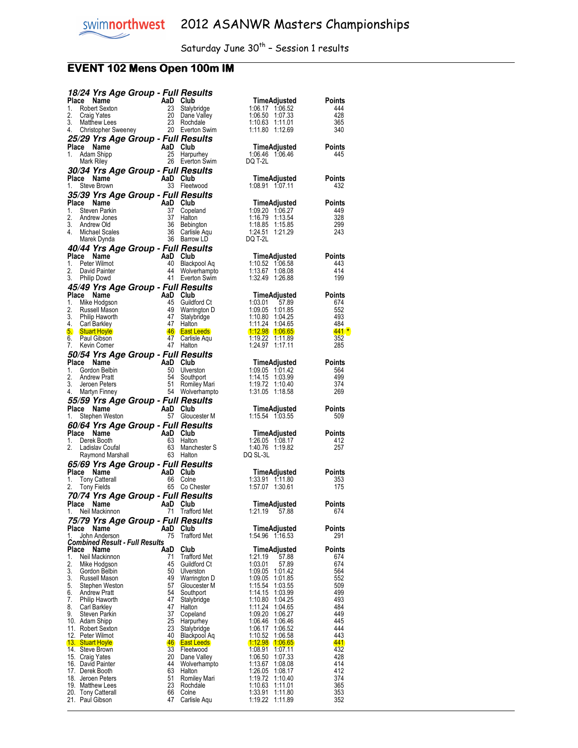## **EVENT 102 Mens Open 100m IM**

|                                       |                                                                                               | 18/24 Yrs Age Group - Full Results             |                                     |                                          |                      |
|---------------------------------------|-----------------------------------------------------------------------------------------------|------------------------------------------------|-------------------------------------|------------------------------------------|----------------------|
| Place<br>1.                           | Name<br>Robert Sexton                                                                         | AaD Club<br>23                                 | Stalybridge                         | TimeAdjusted<br>1:06.17 1:06.52          | <b>Points</b><br>444 |
| 2.<br>Craig Yates                     |                                                                                               |                                                | 20 Dane Valley                      | 1:06.50 1:07.33                          | 428                  |
| 3.                                    | <b>Matthew Lees</b>                                                                           |                                                | 23 Rochdale                         | 1:10.63<br>1:11.01                       | 365                  |
| 4.                                    |                                                                                               | Christopher Sweeney 20 Everton Swim            |                                     | 1:11.80 1:12.69                          | 340                  |
| Place Name                            |                                                                                               | 25/29 Yrs Age Group - Full Results<br>AaD Club |                                     | TimeAdjusted                             | <b>Points</b>        |
| 1.                                    | Adam Shipp                                                                                    | 25                                             | Harpurhey                           | 1:06.46 1:06.46                          | 445                  |
| Mark Riley                            |                                                                                               |                                                | 26 Everton Swim                     | DQ T-2L                                  |                      |
|                                       |                                                                                               | 30/34 Yrs Age Group - Full Results             |                                     |                                          |                      |
| Place Name<br>1.                      | Steve Brown                                                                                   | AaD Club                                       | 33 Fleetwood                        | TimeAdjusted<br>1:08.91 1:07.11          | <b>Points</b><br>432 |
|                                       |                                                                                               | 35/39 Yrs Age Group - Full Results             |                                     |                                          |                      |
| Place                                 | Name                                                                                          | AaD Club                                       |                                     | <b>TimeAdjusted</b>                      | <b>Points</b>        |
| 1.<br>2.                              | Steven Parkin<br>Andrew Jones                                                                 | 37<br>37                                       | Copeland<br>Halton                  | 1:09.20 1:06.27<br>1:16.79<br>1:13.54    | 449<br>328           |
| 3.<br>Andrew Old                      |                                                                                               | 36                                             | Bebington                           | 1:18.85<br>1:15.85                       | 299                  |
| 4.                                    | Michael Scales                                                                                |                                                | 36 Carlisle Aqu                     | 1:24.51<br>1:21.29                       | 243                  |
|                                       | Marek Dynda                                                                                   |                                                | 36 Barrow LD                        | DQ T-2L                                  |                      |
| Place Name                            |                                                                                               | 40/44 Yrs Age Group - Full Results<br>AaD Club |                                     | TimeAdjusted                             | Points               |
| 1.                                    | Peter Wilmot                                                                                  | 40                                             | Blackpool Aq                        | 1:10.52 1:06.58                          | 443                  |
| 2.                                    | David Painter                                                                                 | 44<br>41                                       | Wolverhampto                        | 1:13.67 1:08.08                          | 414                  |
| 3.                                    | Philip Dowd                                                                                   |                                                | Everton Swim                        | 1:32.49 1:26.88                          | 199                  |
| Place                                 | Name                                                                                          | 45/49 Yrs Age Group - Full Results<br>AaD Club |                                     | TimeAdjusted                             | Points               |
| 1.                                    | Mike Hodgson                                                                                  | 45                                             | Guildford Ct                        | 1:03.01<br>57.89                         | 674                  |
| 2.<br>3.                              | Russell Mason<br>Philip Haworth                                                               | 49<br>47                                       | Warrington D<br>Stalybridge         | 1:09.05<br>1:01.85<br>1:10.80<br>1:04.25 | 552<br>493           |
| 4.<br>Carl Barkley                    |                                                                                               | 47                                             | Halton                              | 1:11.24<br>1:04.65                       | 484                  |
| 5. Stuart Hoyle                       |                                                                                               |                                                | 46 East Leeds                       | $1:12.98$ 1:06.65                        | $441*$               |
| 6.<br>7.                              | Paul Gibson<br>Kevin Comer                                                                    | 47                                             | Carlisle Aqu<br>47 Halton           | 1:19.22<br>1:11.89<br>1:24.97<br>1:17.11 | 352<br>285           |
|                                       |                                                                                               | 50/54 Yrs Age Group - Full Results             |                                     |                                          |                      |
| Place                                 | Name                                                                                          | AaD Club                                       |                                     | TimeAdjusted                             | Points               |
| 1.<br>2.                              | Gordon Belbin<br><b>Andrew Pratt</b>                                                          | 50<br>54                                       | Ulverston<br>Southport              | 1:09.05 1:01.42<br>1:14.15 1:03.99       | 564<br>499           |
| 3.                                    | Jeroen Peters                                                                                 | 51                                             | Romiley Mari                        | 1:19.72 1:10.40                          | 374                  |
|                                       |                                                                                               |                                                |                                     |                                          |                      |
| 4.<br>Martyn Finney                   |                                                                                               |                                                | 54 Wolverhampto                     | 1:31.05 1:18.58                          | 269                  |
|                                       |                                                                                               | 55/59 Yrs Age Group - Full Results             |                                     |                                          |                      |
| Place Name                            |                                                                                               | AaD Club                                       |                                     | TimeAdjusted                             | Points               |
| 1.                                    | Stephen Weston                                                                                |                                                | 57 Gloucester M                     | 1:15.54 1:03.55                          | 509                  |
| Place Name                            |                                                                                               | 60/64 Yrs Age Group - Full Results<br>AaD Club |                                     | TimeAdjusted                             | <b>Points</b>        |
| 1.                                    |                                                                                               | 63                                             | Halton                              | 1:26.05 1:08.17                          | 412                  |
| 2.                                    |                                                                                               | 63                                             | Manchester S<br>63 Halton           | 1:40.76 1:19.82<br>DQ SL-3L              | 257                  |
|                                       | The Maintenbury of the Series Booth<br>Ladislav Coufal<br>Raymond Marshall<br><b>69 Yre A</b> |                                                |                                     |                                          |                      |
| Place Name                            |                                                                                               | 65/69 Yrs Age Group - Full Results<br>AaD Club |                                     | TimeAdjusted                             | Points               |
| 1.                                    | <b>Tony Catterall</b>                                                                         | 66                                             | Colne                               | 1:33.91 1:11.80                          | 353                  |
| 2.<br><b>Tony Fields</b>              |                                                                                               |                                                | 65 Co Chester                       | 1:57.07 1:30.61                          | 175                  |
| Place Name                            |                                                                                               | 70/74 Yrs Age Group - Full Results<br>AaD Club |                                     | TimeAdjusted                             | <b>Points</b>        |
| 1. Neil Mackinnon                     |                                                                                               |                                                | 71 Trafford Met                     | 1:21.19 57.88                            | 674                  |
|                                       |                                                                                               | 75/79 Yrs Age Group - Full Results             |                                     |                                          |                      |
| Place<br>1.                           | Name<br>John Anderson                                                                         | AaD<br>75                                      | Club<br><b>Trafford Met</b>         | TimeAdjusted<br>1:54.96 1:16.53          | Points<br>291        |
|                                       | <b>Combined Result - Full Results</b>                                                         |                                                |                                     |                                          |                      |
| Place                                 | Name                                                                                          | AaD                                            | Club                                | TimeAdjusted                             | Points               |
| 1.<br>2.                              | Neil Mackinnon<br>Mike Hodgson                                                                | 71<br>45                                       | <b>Trafford Met</b><br>Guildford Ct | 1:21.19<br>57.88<br>1:03.01<br>57.89     | 674<br>674           |
| 3.                                    | Gordon Belbin                                                                                 | 50                                             | Ulverston                           | 1:09.05<br>1:01.42                       | 564                  |
| 3.<br>5.                              | Russell Mason<br>Stephen Weston                                                               | 49<br>57                                       | Warrington D<br>Gloucester M        | 1:09.05<br>1:01.85<br>1:15.54<br>1:03.55 | 552<br>509           |
| 6.                                    | <b>Andrew Pratt</b>                                                                           | 54                                             | Southport                           | 1:14.15<br>1:03.99                       | 499                  |
| 7.<br>8.                              | Philip Haworth                                                                                | 47<br>47                                       | Stalybridge<br>Halton               | 1:10.80<br>1:04.25<br>1:11.24<br>1:04.65 | 493<br>484           |
| 9.                                    | Carl Barkley<br>Steven Parkin                                                                 | 37                                             | Copeland                            | 1:09.20<br>1:06.27                       | 449                  |
| 10. Adam Shipp                        |                                                                                               | 25                                             | Harpurhey                           | 1:06.46<br>1:06.46                       | 445                  |
| 11. Robert Sexton<br>12. Peter Wilmot |                                                                                               | 23<br>40                                       | Stalybridge<br>Blackpool Aq         | 1:06.17<br>1:06.52<br>1:10.52<br>1:06.58 | 444<br>443           |
| 13. Stuart Hoyle                      |                                                                                               | 46                                             | <b>East Leeds</b>                   | <u> 1:12.98</u><br>1:06.65               | <u>441</u>           |
| 14. Steve Brown                       |                                                                                               | 33                                             | Fleetwood                           | 1:08.91<br>1:07.11                       | 432                  |
| 15. Craig Yates<br>16. David Painter  |                                                                                               | 20<br>44                                       | Dane Valley<br>Wolverhampto         | 1:06.50<br>1:07.33<br>1:13.67<br>1:08.08 | 428<br>414           |
| 17. Derek Booth                       |                                                                                               | 63                                             | Halton                              | 1:26.05<br>1:08.17                       | 412                  |
| 18. Jeroen Peters<br>19. Matthew Lees |                                                                                               | 51<br>23                                       | Romiley Mari<br>Rochdale            | 1:19.72<br>1:10.40<br>1:10.63<br>1:11.01 | 374<br>365           |
| 20. Tony Catterall<br>21. Paul Gibson |                                                                                               | 66<br>47                                       | Colne<br>Carlisle Aqu               | 1:33.91<br>1:11.80<br>1:19.22<br>1:11.89 | 353<br>352           |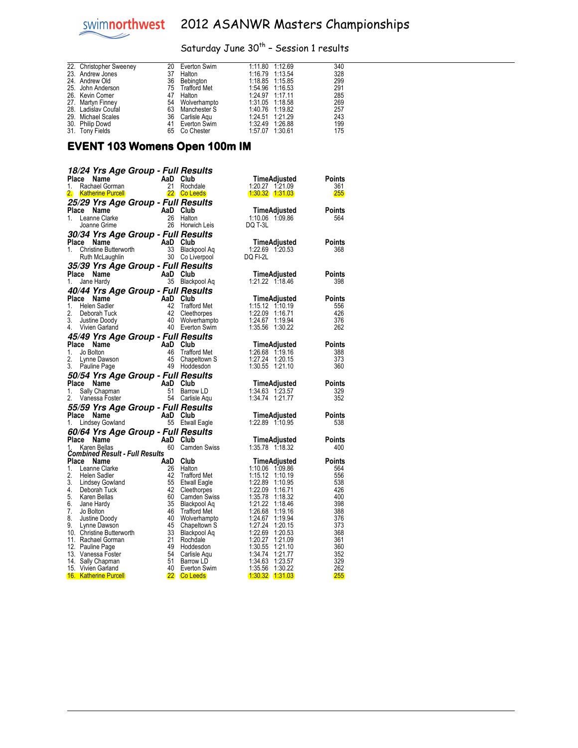# Saturday June  $30^{th}$  - Session 1 results

| 22. Christopher Sweeney | 20 | Everton Swim    | 1:11.80 1:12.69 | 340 |
|-------------------------|----|-----------------|-----------------|-----|
| 23. Andrew Jones        | 37 | Halton          | 1:16.79 1:13.54 | 328 |
| 24. Andrew Old          | 36 | Bebington       | 1:18.85 1:15.85 | 299 |
| 25. John Anderson       |    | 75 Trafford Met | 1:54.96 1:16.53 | 291 |
| 26. Kevin Comer         | 47 | Halton          | 1:24.97 1:17.11 | 285 |
| 27. Martyn Finney       |    | 54 Wolverhampto | 1:31.05 1:18.58 | 269 |
| 28. Ladislav Coufal     |    | 63 Manchester S | 1:40.76 1:19.82 | 257 |
| 29. Michael Scales      | 36 | Carlisle Agu    | 1:24.51 1:21.29 | 243 |
| 30. Philip Dowd         |    | 41 Everton Swim | 1:32.49 1:26.88 | 199 |
| 31. Tony Fields         | 65 | Co Chester      | 1:57.07 1:30.61 | 175 |

#### EVENT 103 Womens Open 100m IM

| 18/24 Yrs Age Group - Full Results                  |                |                                     |                                          |               |
|-----------------------------------------------------|----------------|-------------------------------------|------------------------------------------|---------------|
| Place Name                                          | AaD            | Club                                | TimeAdjusted                             | Points        |
| 1.<br>Rachael Gorman                                | 21             | Rochdale                            | 1:20.27 1:21.09                          | 361           |
| 2.<br><b>Katherine Purcell</b>                      |                | 22 Co Leeds                         | $1:30.32$ $1:31.03$                      | <b>255</b>    |
| 25/29 Yrs Age Group - Full Results                  |                |                                     |                                          |               |
| Place<br>Name<br>1.<br>Leanne Clarke                | AaD<br>26      | Club<br>Halton                      | TimeAdjusted<br>1:10.06 1:09.86          | Points<br>564 |
| Joanne Grime                                        |                | 26 Horwich Leis                     | DQ T-3L                                  |               |
| 30/34 Yrs Age Group - Full Results                  |                |                                     |                                          |               |
| Place<br>Name                                       | AaD Club       |                                     | TimeAdjusted                             | Points        |
| 1.<br>Christine Butterworth                         | 33             | Blackpool Aq                        | 1:22.69 1:20.53                          | 368           |
| Ruth McLaughlin                                     |                | 30 Co Liverpool                     | DQ FI-2L                                 |               |
| 35/39 Yrs Age Group - Full Results                  |                |                                     |                                          |               |
| Place Name                                          | AaD Club<br>35 |                                     | TimeAdjusted<br>1:21.22 1:18.46          | Points        |
| 1.<br>Jane Hardy                                    |                | Blackpool Aq                        |                                          | 398           |
| 40/44 Yrs Age Group - Full Results<br>Place<br>Name | AaD Club       |                                     | TimeAdjusted                             | Points        |
| 1.<br><b>Helen Sadler</b>                           | 42             | Trafford Met                        | $1:15.12$ $1:10.19$                      | 556           |
| 2.<br>Deborah Tuck                                  | 42             | Cleethorpes                         | 1:22.09 1:16.71                          | 426           |
| 3.<br>Justine Doody                                 | 40             | Wolverhampto                        | 1:24.67<br>1:19.94                       | 376           |
| 4.<br>Vivien Garland                                |                | 40 Everton Swim                     | 1:35.56 1:30.22                          | 262           |
| 45/49 Yrs Age Group - Full Results                  |                |                                     |                                          |               |
| Place Name                                          | AaD            | Club                                | TimeAdjusted                             | Points        |
| 1.<br>Jo Bolton<br>2.<br>Lynne Dawson               | 46<br>45       | <b>Trafford Met</b><br>Chapeltown S | 1:26.68 1:19.16<br>1:27.24<br>1:20.15    | 388<br>373    |
| 3.<br>Pauline Page                                  |                | 49 Hoddesdon                        | 1:30.55 1:21.10                          | 360           |
| 50/54 Yrs Age Group - Full Results                  |                |                                     |                                          |               |
| Place Name                                          | AaD            | Club                                | TimeAdjusted                             | Points        |
| 1.<br>Sally Chapman                                 | 51             | Barrow LD                           | 1:34.63 1:23.57                          | 329           |
| 2.<br>Vanessa Foster                                | 54             | Carlisle Agu                        | 1:34.74<br>1:21.77                       | 352           |
| 55/59 Yrs Age Group - Full Results                  |                |                                     |                                          |               |
| Place Name                                          | AaD Club       |                                     | TimeAdjusted                             | Points        |
|                                                     |                |                                     |                                          |               |
| 1.<br>Lindsey Gowland                               |                | 55 Etwall Eagle                     | 1:22.89 1:10.95                          | 538           |
| 60/64 Yrs Age Group - Full Results                  |                |                                     |                                          |               |
| Place Name                                          | AaD Club       |                                     | TimeAdjusted                             | Points        |
| 1.<br>Karen Bellas                                  |                | 60 Camden Swiss                     | 1:35.78 1:18.32                          | 400           |
| <b>Combined Result - Full Results</b><br>Place Name | AaD            | Club                                | TimeAdjusted                             | Points        |
| 1.<br>Leanne Clarke                                 | 26             | Halton                              | 1:10.06 1:09.86                          | 564           |
| 2.<br>Helen Sadler                                  | 42             | <b>Trafford Met</b>                 | $1:15.12$ $1:10.19$                      | 556           |
| 3.<br>Lindsey Gowland<br>4.<br>Deborah Tuck         | 55<br>42       | <b>Etwall Eagle</b><br>Cleethorpes  | 1:22.89 1:10.95<br>1:22.09 1:16.71       | 538<br>426    |
| 5.<br>Karen Bellas                                  | 60             | <b>Camden Swiss</b>                 | 1:35.78 1:18.32                          | 400           |
| 6.<br>Jane Hardy                                    | 35             | Blackpool Aq                        | 1:21.22<br>1:18.46                       | 398           |
| 7.<br>Jo Bolton                                     | 46             | <b>Trafford Met</b>                 | 1:26.68<br>1:19.16                       | 388           |
| 8.<br>Justine Doody                                 | 40             | Wolverhampto                        | 1:24.67<br>1:19.94                       | 376           |
| 9.<br>Lynne Dawson<br>10. Christine Butterworth     | 45<br>33       | Chapeltown S<br>Blackpool Aq        | 1:27.24 1:20.15<br>1:22.69<br>1:20.53    | 373<br>368    |
| 11. Rachael Gorman                                  | 21             | Rochdale                            | 1:20.27<br>1:21.09                       | 361           |
| 12. Pauline Page                                    | 49             | Hoddesdon                           | 1:30.55<br>1:21.10                       | 360           |
| 13. Vanessa Foster                                  | 54             | Carlisle Aqu                        | 1:34.74<br>1:21.77                       | 352           |
| 14. Sally Chapman<br>15. Vivien Garland             | 51<br>40       | Barrow LD<br>Everton Swim           | 1:34.63<br>1:23.57<br>1:35.56<br>1:30.22 | 329<br>262    |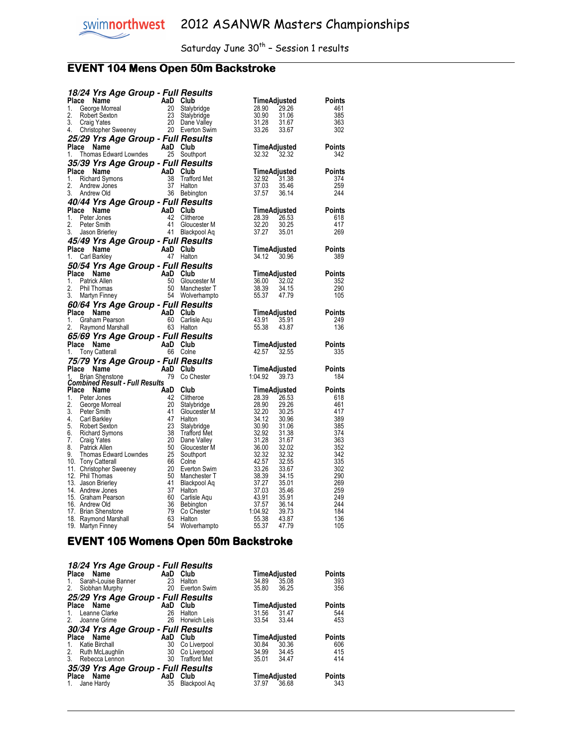## **EVENT 104 Mens Open 50m Backstroke**

|                    | 18/24 Yrs Age Group - Full Results                                                    |                |                                    |                |                       |               |
|--------------------|---------------------------------------------------------------------------------------|----------------|------------------------------------|----------------|-----------------------|---------------|
| Place              | Name                                                                                  | AaD Club       |                                    |                | TimeAdjusted          | Points        |
| 1.<br>2.           | George Morreal                                                                        | 20<br>23       | Stalybridge                        | 28.90          | 29.26                 | 461           |
| 3.                 | Robert Sexton<br><b>Craig Yates</b>                                                   |                | Stalybridge<br>20 Dane Valley      | 30.90<br>31.28 | 31.06<br>31.67        | 385<br>363    |
| 4.                 | Christopher Sweeney                                                                   |                | 20 Everton Swim                    | 33.26          | 33.67                 | 302           |
|                    | 25/29 Yrs Age Group - Full Results                                                    |                |                                    |                |                       |               |
| Place Name         |                                                                                       | AaD Club       |                                    |                | TimeAdjusted          | Points        |
| 1.                 | Thomas Edward Lowndes                                                                 |                | 25 Southport                       | 32.32          | 32.32                 | 342           |
|                    | 35/39 Yrs Age Group - Full Results                                                    |                |                                    |                |                       |               |
| Place Name         |                                                                                       | AaD            | Club                               |                | TimeAdjusted          | Points        |
| 1.                 | <b>Richard Symons</b>                                                                 | 38             | <b>Trafford Met</b>                | 32.92          | 31.38                 | 374           |
| 2.                 | Andrew Jones                                                                          | 37             | Halton                             | 37.03          | 35.46                 | 259           |
| 3.                 | Andrew Old                                                                            |                | 36 Bebington                       | 37.57          | 36.14                 | 244           |
|                    | 40/44 Yrs Age Group - Full Results                                                    |                |                                    |                |                       |               |
| Place<br>1.        | Name                                                                                  | AaD Club<br>42 |                                    |                | TimeAdjusted          | Points<br>618 |
| 2.                 | Peter Jones<br>Peter Smith                                                            | 41             | Clitheroe<br>Gloucester M          | 28.39<br>32.20 | 26.53<br>30.25        | 417           |
| 3.                 | Jason Brierley                                                                        | -41            | Blackpool Aq                       | 37.27          | 35.01                 | 269           |
|                    | 45/49 Yrs Age Group - Full Results                                                    |                |                                    |                |                       |               |
| Place Name         |                                                                                       | AaD Club       |                                    |                | TimeAdjusted          | Points        |
| 1.                 | Carl Barkley                                                                          |                | 47 Halton                          | 34.12          | 30.96                 | 389           |
|                    | 50/54 Yrs Age Group - Full Results                                                    |                |                                    |                |                       |               |
| Place Name         |                                                                                       | AaD Club       |                                    |                | TimeAdjusted          | Points        |
| 1.                 | Patrick Allen                                                                         | 50             | Gloucester M                       | 36.00          | 32.02                 | 352           |
| 2.                 | Phil Thomas                                                                           |                | 50 Manchester T                    | 38.39          | 34.15                 | 290           |
| 3.                 | Martyn Finney                                                                         |                | 54 Wolverhampto                    | 55.37          | 47.79                 | 105           |
|                    | 60/64 Yrs Age Group - Full Results                                                    |                |                                    |                |                       |               |
| Place Name<br>1.   |                                                                                       | AaD Club       |                                    |                | TimeAdjusted          | Points<br>249 |
| 2.                 | Graham Pearson<br>Raymond Marshall                                                    | -60            | Carlisle Aqu<br>63 Halton          | 43.91<br>55.38 | 35.91<br>43.87        | 136           |
|                    | 65/69 Yrs Age Group - Full Results                                                    |                |                                    |                |                       |               |
| Place Name         | Aap Club                                                                              |                |                                    |                | TimeAdjusted          | Points        |
| 1.                 | <b>Tony Catterall</b>                                                                 |                | 66 Colne                           | 42.57          | 32.55                 | 335           |
|                    | 75/79 Yrs Age Group - Full Results                                                    |                |                                    |                |                       |               |
| Place              | Name<br>$AaD$ Club                                                                    |                |                                    |                | TimeAdjusted          | Points        |
| 1.                 | <b>Brian Shenstone</b>                                                                |                | 79 Co Chester                      | 1:04.92        | 39.73                 | 184           |
|                    | <b>Combined Result - Full Results</b>                                                 |                |                                    |                |                       |               |
| Place<br>1.        | Name<br>Peter Jones                                                                   | AaD<br>42      | Club<br>Clitheroe                  | 28.39          | TimeAdjusted<br>26.53 | Points<br>618 |
| 2.                 | George Morreal                                                                        | 20             | Stalybridge                        | 28.90          | 29.26                 | 461           |
| 3.                 | Peter Smith                                                                           | 41             | Gloucester M                       | 32.20          | 30.25                 | 417           |
| 4.                 | Carl Barkley                                                                          | 47             | Halton                             | 34.12          | 30.96                 | 389           |
| 5.                 | Robert Sexton                                                                         | 23             | Stalybridge                        | 30.90          | 31.06                 | 385           |
| 6.<br>7.           | <b>Richard Symons</b><br>Craig Yates                                                  | 38<br>20       | <b>Trafford Met</b><br>Dane Valley | 32.92<br>31.28 | 31.38<br>31.67        | 374<br>363    |
| 8.                 | Patrick Allen                                                                         | 50             | Gloucester M                       | 36.00          | 32.02                 | 352           |
| 9.                 | Thomas Edward Lowndes                                                                 | 25             | Southport                          | 32.32          | 32.32                 | 342           |
| 10. Tony Catterall |                                                                                       | -66            | Colne                              | 42.57          | 32.55                 | 335           |
|                    | 11. Christopher Sweeney                                                               | -20            | Everton Swim                       | 33.26          | 33.67                 | 302           |
| 12. Phil Thomas    | 13. Jason Brierley                                                                    | 50<br>-41      | Manchester T<br>Blackpool Aq       | 38.39<br>37.27 | 34.15<br>35.01        | 290<br>269    |
|                    | 14. Andrew Jones                                                                      | 37             | Halton                             | 37.03          | 35.46                 | 259           |
|                    | 15. Graham Pearson                                                                    | 60             | Carlisle Aqu                       | 43.91          | 35.91                 | 249           |
| 16. Andrew Old     |                                                                                       | 36             | Bebington                          | 37.57          | 36.14                 | 244           |
|                    |                                                                                       | 79             | Co Chester                         | 1:04.92        | 39.73                 | 184           |
|                    |                                                                                       |                |                                    |                |                       |               |
|                    | 17. Brian Shenstone<br>18. Raymond Marshall<br>19. Martyn Einney<br>19. Martyn Finney | 63<br>54       | Halton<br>Wolverhampto             | 55.38<br>55.37 | 43.87<br>47.79        | 136<br>105    |

#### **EVENT 105 Womens Open 50m Backstroke**

| 18/24 Yrs Age Group - Full Results |     |                     |       |              |               |
|------------------------------------|-----|---------------------|-------|--------------|---------------|
| Place Name                         | AaD | Club                |       | TimeAdjusted | <b>Points</b> |
| Sarah-Louise Banner<br>$1_{-}$     | 23  | Halton              | 34.89 | 35.08        | 393           |
| 2.<br>Siobhan Murphy               | 20  | Everton Swim        | 35.80 | 36.25        | 356           |
| 25/29 Yrs Age Group - Full Results |     |                     |       |              |               |
| Place Name                         | AaD | Club                |       | TimeAdjusted | Points        |
| Leanne Clarke<br>$1_{-}$           | 26  | Halton              | 31.56 | 31.47        | 544           |
| Joanne Grime<br>2.                 | 26  | Horwich Leis        | 33.54 | 33.44        | 453           |
| 30/34 Yrs Age Group - Full Results |     |                     |       |              |               |
| Place Name                         | AaD | Club                |       | TimeAdjusted | Points        |
| Katie Birchall<br>$1_{-}$          | 30  | Co Liverpool        | 30.84 | 30.36        | 606           |
| 2. Ruth McLaughlin                 | 30  | Co Liverpool        | 34.99 | 34.45        | 415           |
| 3.<br>Rebecca Lennon               | 30  | <b>Trafford Met</b> | 35.01 | 34.47        | 414           |
| 35/39 Yrs Age Group - Full Results |     |                     |       |              |               |
| Place Name                         | AaD | Club                |       | TimeAdjusted | <b>Points</b> |
| Jane Hardy<br>$1_{\cdot}$          | 35  | Blackpool Ag        | 37.97 | 36.68        | 343           |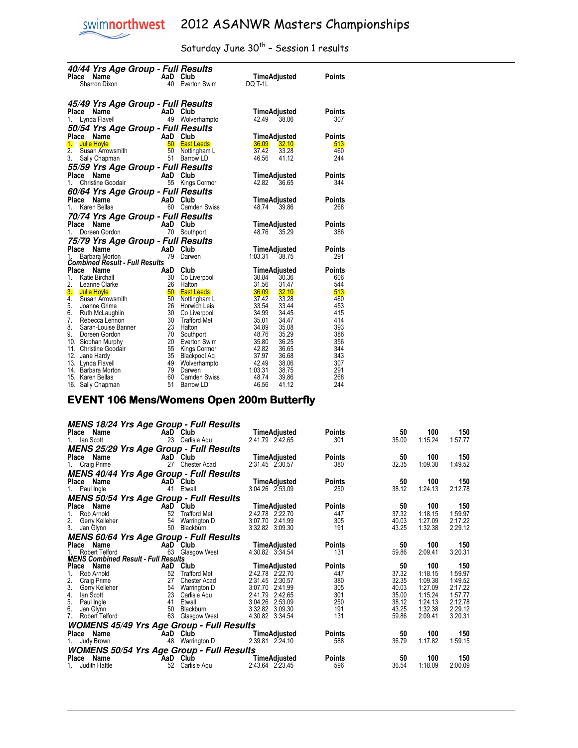$\overline{a}$ 

## Saturday June  $30^{th}$  - Session 1 results

| 40/44 Yrs Age Group - Full Results                         |          |                              |                                  |               |
|------------------------------------------------------------|----------|------------------------------|----------------------------------|---------------|
| Place Name                                                 | AaD Club |                              | TimeAdjusted                     | Points        |
| Sharron Dixon                                              | 40       | Everton Swim                 | DQ T-1L                          |               |
|                                                            |          |                              |                                  |               |
| 45/49 Yrs Age Group - Full Results                         |          |                              |                                  |               |
| Place Name                                                 |          | AaD Club                     | TimeAdjusted                     | Points        |
| 1.<br>Lynda Flavell                                        |          | 49 Wolverhampto              | 38.06<br>42.49                   | 307           |
|                                                            |          |                              |                                  |               |
| 50/54 Yrs Age Group - Full Results                         |          |                              |                                  |               |
| Place<br>AaD Club<br>Name                                  |          |                              | TimeAdjusted                     | <b>Points</b> |
| $\mathbf{L}$<br><b>Julie Hoyle</b>                         |          | <b>50 East Leeds</b>         | 36.09 32.10<br>37.42             | 513<br>460    |
| 2.<br>Susan Arrowsmith<br>3.                               | 50<br>51 | Nottingham L<br>Barrow LD    | 33.28<br>46.56<br>41.12          | 244           |
| Sally Chapman                                              |          |                              |                                  |               |
| 55/59 Yrs Age Group - Full Results                         |          |                              |                                  |               |
| Place<br>Name                                              |          | AaD Club                     | TimeAdjusted                     | Points        |
| 1.<br><b>Christine Goodair</b>                             | 55       | Kings Cormor                 | 42.82<br>36.65                   | 344           |
| 60/64 Yrs Age Group - Full Results                         |          |                              |                                  |               |
| Name<br>Place                                              |          | AaD Club                     | TimeAdjusted                     | <b>Points</b> |
| 1.<br>Karen Bellas                                         |          | 60 Camden Swiss              | 48.74 39.86                      | 268           |
| 70/74 Yrs Age Group - Full Results                         |          |                              |                                  |               |
| Place Name                                                 |          | AaD Club                     | TimeAdjusted                     | Points        |
| 1.<br>Doreen Gordon                                        |          | 70 Southport                 | 48.76<br>35.29                   | 386           |
| 75/79 Yrs Age Group - Full Results                         |          |                              |                                  |               |
| Place<br>Name                                              | AaD Club |                              | TimeAdjusted                     | <b>Points</b> |
| 1.<br>Barbara Morton                                       | 79       | Darwen                       | 1:03.31<br>38.75                 | 291           |
| <b>Combined Result - Full Results</b>                      |          |                              |                                  |               |
| Place Name                                                 |          | AaD Club                     | TimeAdjusted                     | <b>Points</b> |
| 1.<br><b>Katie Birchall</b>                                | 30       | Co Liverpool                 | 30.84<br>30.36                   | 606           |
| 2.<br>Leanne Clarke                                        | 26       | Halton                       | 31.56<br>31.47                   | 544           |
| 3. Julie Hoyle                                             | 50       | <b>East Leeds</b>            | 36.09 32.10                      | 513           |
| $\overline{4}$ .<br>Susan Arrowsmith<br>5.<br>Joanne Grime | 50<br>26 | Nottingham L<br>Horwich Leis | 37.42<br>33.28<br>33.54<br>33.44 | 460<br>453    |
| 6.<br>Ruth McLaughlin                                      | 30       | Co Liverpool                 | 34.99<br>34.45                   | 415           |
| 7.<br>Rebecca Lennon                                       | 30       | <b>Trafford Met</b>          | 35.01<br>34.47                   | 414           |
| 8.<br>Sarah-Louise Banner                                  | 23       | Halton                       | 34.89<br>35.08                   | 393           |
| 9.<br>Doreen Gordon                                        | 70       | Southport                    | 48.76<br>35.29                   | 386           |
| 10. Siobhan Murphy                                         | 20       | Everton Swim                 | 35.80<br>36.25                   | 356           |
| 11. Christine Goodair                                      |          | 55 Kings Cormor              | 42.82<br>36.65                   | 344           |
| 12.<br>Jane Hardy                                          | 35       | Blackpool Aq                 | 37.97<br>36.68                   | 343           |
| 13. Lynda Flavell                                          | 49       | Wolverhampto                 | 42.49<br>38.06                   | 307           |
| 14. Barbara Morton                                         | 79       | Darwen                       | 1:03.31<br>38.75                 | 291           |
| 15. Karen Bellas                                           | 60       | Camden Swiss                 | 48.74<br>39.86                   | 268           |
| 16. Sally Chapman                                          | 51       | Barrow LD                    | 46.56<br>41.12                   | 244           |

#### EVENT 106 Mens/Womens Open 200m Butterfly

|              |                               |                                            | <b>MENS 18/24 Yrs Age Group - Full Results</b>   |                                    |               |                |                    |                    |
|--------------|-------------------------------|--------------------------------------------|--------------------------------------------------|------------------------------------|---------------|----------------|--------------------|--------------------|
|              | Place Name                    |                                            | AaD Club                                         | TimeAdjusted                       | <b>Points</b> | 50             | 100                | 150                |
|              | 1. Ian Scott                  | 23                                         | Carlisle Agu                                     | 2:41.79 2:42.65                    | 301           | 35.00          | 1:15.24            | 1:57.77            |
|              |                               |                                            | <b>MENS 25/29 Yrs Age Group - Full Results</b>   |                                    |               |                |                    |                    |
|              | Place Name                    |                                            | AaD Club                                         | TimeAdjusted                       | <b>Points</b> | 50             | 100                | 150                |
|              | 1. Craig Prime                | 27                                         | Chester Acad                                     | 2:31.45 2:30.57                    | 380           | 32.35          | 1:09.38            | 1:49.52            |
|              |                               |                                            | <b>MENS 40/44 Yrs Age Group - Full Results</b>   |                                    |               |                |                    |                    |
|              | Place Name                    |                                            | AaD Club                                         | TimeAdjusted                       | <b>Points</b> | 50             | 100                | 150                |
|              | 1. Paul Ingle                 |                                            | 41 Etwall                                        | 3:04.26 2:53.09                    | 250           | 38.12          | 1:24.13            | 2:12.78            |
|              |                               |                                            | <b>MENS 50/54 Yrs Age Group - Full Results</b>   |                                    |               |                |                    |                    |
|              | Place Name                    |                                            | AaD Club                                         | TimeAdjusted                       | <b>Points</b> | 50             | 100                | 150                |
| 1.           | Rob Arnold                    | 52                                         | <b>Trafford Met</b>                              | 2:42.78 2:22.70                    | 447           | 37.32          | 1:18.15            | 1:59.97            |
| 2.           | Gerry Kelleher                | 54                                         | Warrington D                                     | 3:07.70 2:41.99                    | 305           | 40.03          | 1:27.09            | 2:17.22            |
| 3.           | Jan Glynn                     | 50                                         | Blackburn                                        | 3:32.82 3:09.30                    | 191           | 43.25          | 1:32.38            | 2:29.12            |
|              |                               |                                            | <b>MENS 60/64 Yrs Age Group - Full Results</b>   |                                    |               |                |                    |                    |
|              | Place Name                    |                                            | AaD Club                                         | <b>TimeAdjusted</b>                | Points        | 50             | 100                | 150                |
|              | <b>Robert Telford</b>         |                                            | 63 Glasgow West                                  | 4:30.82 3:34.54                    | 131           | 59.86          | 2:09.41            | 3:20.31            |
|              |                               | <b>MENS Combined Result - Full Results</b> |                                                  |                                    |               |                |                    |                    |
|              | Place Name                    |                                            | AaD Club                                         | TimeAdjusted                       | <b>Points</b> | 50             | 100                | 150                |
|              | Rob Arnold                    | 52                                         | <b>Trafford Met</b>                              | 2:42.78 2:22.70<br>2:31.45 2:30.57 | 447<br>380    | 37.32          | 1:18.15<br>1:09.38 | 1:59.97<br>1:49.52 |
| 2.<br>3.     | Craig Prime<br>Gerry Kelleher | 27<br>54                                   | <b>Chester Acad</b><br>Warrington D              | 3:07.70 2:41.99                    | 305           | 32.35<br>40.03 | 1:27.09            | 2:17.22            |
| 4.           | lan Scott                     | 23                                         | Carlisle Agu                                     | 2:41.79 2:42.65                    | 301           | 35.00          | 1:15.24            | 1:57.77            |
| 5.           | Paul Ingle                    | 41                                         | Etwall                                           | 3:04.26 2:53.09                    | 250           | 38.12          | 1:24.13            | 2:12.78            |
| 6.           | Jan Glynn                     | 50                                         | Blackburn                                        | 3:32.82 3:09.30                    | 191           | 43.25          | 1:32.38            | 2:29.12            |
| 7.           | <b>Robert Telford</b>         | 63                                         | Glasgow West                                     | 4:30.82 3:34.54                    | 131           | 59.86          | 2:09.41            | 3:20.31            |
|              |                               |                                            | <b>WOMENS 45/49 Yrs Age Group - Full Results</b> |                                    |               |                |                    |                    |
|              | Place Name                    | AaD                                        | Club                                             | TimeAdjusted                       | Points        | 50             | 100                | 150                |
|              | Judy Brown                    | 48                                         | Warrington D                                     | 2:39.81 2:24.10                    | 588           | 36.79          | 1:17.82            | 1:59.15            |
|              |                               |                                            | <b>WOMENS 50/54 Yrs Age Group - Full Results</b> |                                    |               |                |                    |                    |
| <b>Place</b> | Name                          | <b>AaD</b>                                 | Club                                             | TimeAdjusted                       | Points        | 50             | 100                | 150                |
|              | Judith Hattle                 | 52                                         | Carlisle Agu                                     | 2:43.64 2:23.45                    | 596           | 36.54          | 1:18.09            | 2:00.09            |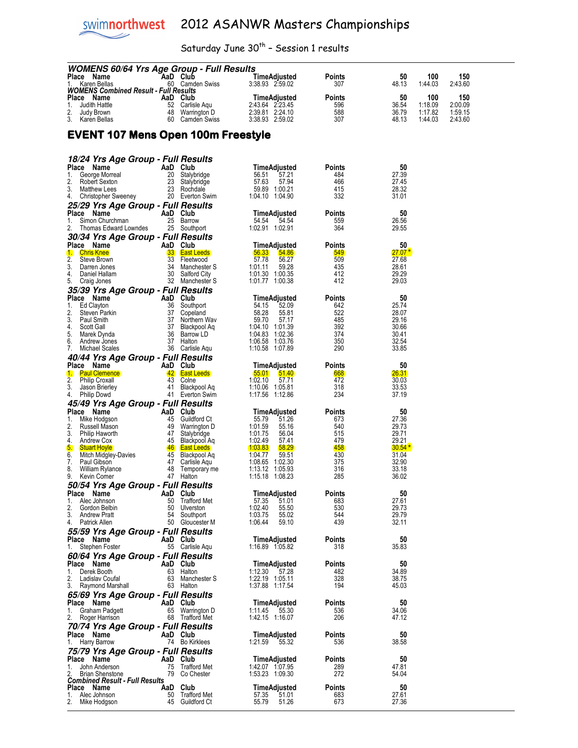## Saturday June  $30^{th}$  - Session 1 results

| <b>WOMENS 60/64 Yrs Age Group - Full Results</b>                |          |                                                                                     |                                              |               |                    |                    |                    |
|-----------------------------------------------------------------|----------|-------------------------------------------------------------------------------------|----------------------------------------------|---------------|--------------------|--------------------|--------------------|
| Place Name<br>Karen Bellas                                      | AaD Club | 60 Camden Swiss                                                                     | TimeAdjusted<br>3:38.93 2:59.02              | Points<br>307 | 50<br>48.13        | 100<br>1:44.03     | 150<br>2:43.60     |
| <b>WOMENS Combined Result - Full Results</b>                    |          |                                                                                     |                                              |               |                    |                    |                    |
| Place Name                                                      | AaD Club |                                                                                     | TimeAdjusted                                 | <b>Points</b> | 50                 | 100                | 150                |
| 1.<br>Judith Hattle<br>2.<br>Judy Brown                         |          | 52 Carlisle Aqu<br>48 Warrington D                                                  | 2:43.64 2:23.45<br>2:39.81 2:24.10           | 596<br>588    | 36.54<br>36.79     | 1:18.09<br>1:17.82 | 2:00.09<br>1:59.15 |
| 3.<br>Karen Bellas                                              |          | 60 Camden Swiss                                                                     | 3:38.93 2:59.02                              | 307           | 48.13              | 1:44.03            | 2:43.60            |
|                                                                 |          |                                                                                     |                                              |               |                    |                    |                    |
| <b>EVENT 107 Mens Open 100m Freestyle</b>                       |          |                                                                                     |                                              |               |                    |                    |                    |
|                                                                 |          |                                                                                     |                                              |               |                    |                    |                    |
| 18/24 Yrs Age Group - Full Results                              |          |                                                                                     |                                              |               |                    |                    |                    |
| Place Name                                                      | AaD Club |                                                                                     | TimeAdjusted                                 | Points        | 50                 |                    |                    |
| George Morreal<br>1.                                            |          | 20 Stalybridge                                                                      | 56.51<br>57.21                               | 484           | 27.39              |                    |                    |
| 2.<br>Robert Sexton<br>3.<br><b>Matthew Lees</b>                |          | 23 Stalybridge<br>23 Rochdale                                                       | 57.63<br>57.94<br>59.89 1:00.21              | 466<br>415    | 27.45<br>28.32     |                    |                    |
| 4. Christopher Sweeney                                          |          | 20 Everton Swim                                                                     | 1:04.10 1:04.90                              | 332           | 31.01              |                    |                    |
| 25/29 Yrs Age Group - Full Results                              |          |                                                                                     |                                              |               |                    |                    |                    |
| Place Name                                                      | AaD Club |                                                                                     | TimeAdjusted                                 | Points        | 50                 |                    |                    |
| 1.<br>Simon Churchman<br>2.<br>Thomas Edward Lowndes            |          | 25 Barrow<br>25 Southport                                                           | 54.54 54.54<br>1:02.91 1:02.91               | 559<br>364    | 26.56<br>29.55     |                    |                    |
| 30/34 Yrs Age Group - Full Results                              |          |                                                                                     |                                              |               |                    |                    |                    |
| Place Name                                                      | AaD Club |                                                                                     | TimeAdjusted                                 | Points        | 50                 |                    |                    |
| <b>Chris Knee</b><br>1.                                         |          | 33 East Leeds                                                                       | 56.33<br>54.86                               | <b>549</b>    | $27.07*$           |                    |                    |
| 2.<br>Steve Brown<br>3.<br>Darren Jones                         |          | 33 Fleetwood<br>34 Manchester S                                                     | 57.78<br>56.27<br>1:01.11<br>59.28           | 509<br>435    | 27.68<br>28.61     |                    |                    |
| 4.<br>Daniel Hallam                                             |          | 30 Salford City                                                                     | 1:01.30 1:00.35                              | 412           | 29.29              |                    |                    |
| 5.<br>Craig Jones                                               |          | 32 Manchester S                                                                     | 1:01.77 1:00.38                              | 412           | 29.03              |                    |                    |
| 35/39 Yrs Age Group - Full Results                              |          |                                                                                     |                                              |               |                    |                    |                    |
| Place Name<br>1.<br>Ed Clayton                                  | AaD Club | AaD Club<br>36 Southport<br>37 Copeland<br>37 Northern Wav<br>36 Barrow LD          | TimeAdjusted<br>54.15<br>52.09               | Points<br>642 | 50<br>25.74        |                    |                    |
| 2.<br>Steven Parkin                                             |          |                                                                                     | 58.28<br>55.81                               | 522           | 28.07              |                    |                    |
| 3.<br>Paul Smith                                                |          |                                                                                     | 59.70<br>57.17                               | 485           | 29.16              |                    |                    |
| 4.<br>Scott Gall<br>5.<br>Marek Dynda                           |          | 36 Barrow LD                                                                        | 1:04.10 1:01.39<br>1:04.83 1:02.36           | 392<br>374    | 30.66<br>30.41     |                    |                    |
| 6.<br>Andrew Jones                                              |          | 37 Halton                                                                           | 1:06.58 1:03.76                              | 350           | 32.54              |                    |                    |
| 7.<br>Michael Scales                                            |          | 36 Carlisle Aqu                                                                     | 1:10.58 1:07.89                              | 290           | 33.85              |                    |                    |
| 40/44 Yrs Age Group - Full Results                              |          |                                                                                     |                                              |               |                    |                    |                    |
| Place Name<br><b>Paul Clemence</b><br>$\mathbf{1}$              | AaD Club | 42 East Leeds                                                                       | TimeAdjusted<br><u>55.01</u><br><b>51.40</b> | Points<br>668 | 50<br><b>26.31</b> |                    |                    |
| 2.<br><b>Philip Croxall</b>                                     |          | 43 Colne                                                                            | 1:02.10<br>57.71                             | 472           | 30.03              |                    |                    |
| 3.<br>Jason Brierley                                            |          | 41 Blackpool Aq                                                                     | 1:10.06 1:05.81                              | 318           | 33.53              |                    |                    |
| 4.<br>Philip Dowd                                               |          | 41 Everton Swim                                                                     | 1:17.56 1:12.86                              | 234           | 37.19              |                    |                    |
| 45/49 Yrs Age Group - Full Results                              |          |                                                                                     |                                              |               |                    |                    |                    |
| Place Name<br>1.<br>Mike Hodgson                                | AaD Club | <b>CIUD</b><br>45 Guildford Ct<br>49 Warrington D<br>47 Stalybridge<br>45 Blackpool | TimeAdjusted<br>55.79<br>51.26               | Points<br>673 | 50<br>27.36        |                    |                    |
| 2.<br>Russell Mason                                             |          | 49 Warrington D                                                                     | 1:01.59<br>55.16                             | 540           | 29.73              |                    |                    |
| 3.<br>Philip Haworth                                            |          |                                                                                     | 1:01.75<br>56.04                             | 515           | 29.71              |                    |                    |
| 4.<br>Andrew Cox<br>5.<br><b>Stuart Hoyle</b>                   |          | 45 Blackpool Aq<br>46 East Leeds                                                    | 1:02.49<br>57.41<br>1:03.83<br>58.29         | 479<br>458    | 29.21<br>$30.54*$  |                    |                    |
| 6.<br>Mitch Midgley-Davies                                      |          | 45 Blackpool Aq                                                                     | 1:04.77<br>59.51                             | 430           | 31.04              |                    |                    |
| 7.<br>Paul Gibson                                               |          | 47 Carlisle Agu                                                                     | 1:08.65 1:02.30                              | 375           | 32.90              |                    |                    |
| 8.<br>William Rylance<br>9.<br>Kevin Comer                      |          | 48 Temporary me<br>47 Halton                                                        | 1:13.12 1:05.93<br>1:15.18 1:08.23           | 316<br>285    | 33.18<br>36.02     |                    |                    |
| 50/54 Yrs Age Group - Full Results                              |          |                                                                                     |                                              |               |                    |                    |                    |
| Place Name                                                      | AaD Club |                                                                                     | TimeAdjusted                                 | Points        | 50                 |                    |                    |
| Alec Johnson<br>1.                                              | 50       | 50 Trafford Met<br>Ulverston                                                        | 57.35<br>51.01                               | 683           | 27.61<br>29.73     |                    |                    |
| 2.<br>Gordon Belbin<br>3.<br><b>Andrew Pratt</b>                | 54       | Southport                                                                           | 1:02.40<br>55.50<br>1:03.75<br>55.02         | 530<br>544    | 29.79              |                    |                    |
| 4. Patrick Allen                                                |          | 50 Gloucester M                                                                     | 1:06.44<br>59.10                             | 439           | 32.11              |                    |                    |
| 55/59 Yrs Age Group - Full Results                              |          |                                                                                     |                                              |               |                    |                    |                    |
| Place Name<br>Stephen Foster<br>1.                              | AaD Club | 55 Carlisle Agu                                                                     | TimeAdjusted<br>1:16.89 1:05.82              | Points<br>318 | 50<br>35.83        |                    |                    |
| 60/64 Yrs Age Group - Full Results                              |          |                                                                                     |                                              |               |                    |                    |                    |
| Place Name                                                      | AaD Club |                                                                                     | TimeAdjusted                                 | Points        | 50                 |                    |                    |
| 1.<br>Derek Booth                                               |          | 63 Halton                                                                           | 1:12.30<br>57.28                             | 482           | 34.89              |                    |                    |
| 2.<br>Ladislav Coufal<br>3.                                     |          | 63 Manchester S                                                                     | 1:22.19 1:05.11<br>1:37.88 1:17.54           | 328<br>194    | 38.75<br>45.03     |                    |                    |
| Raymond Marshall<br>65/69 Yrs Age Group - Full Results          |          | 63 Halton                                                                           |                                              |               |                    |                    |                    |
| Place Name                                                      | AaD Club |                                                                                     | TimeAdjusted                                 | Points        | 50                 |                    |                    |
| 1.<br>Graham Padgett                                            |          | 65 Warrington D                                                                     | $1:11.45$ 55.30                              | 536           | 34.06              |                    |                    |
| 2.<br>Roger Harrison                                            |          | 68 Trafford Met                                                                     | 1:42.15 1:16.07                              | 206           | 47.12              |                    |                    |
| 70/74 Yrs Age Group - Full Results<br>Place Name                |          |                                                                                     |                                              |               |                    |                    |                    |
| Harry Barrow<br>1.                                              | AaD Club | 74 Bo Kirklees                                                                      | TimeAdjusted<br>1:21.59<br>55.32             | Points<br>536 | 50<br>38.58        |                    |                    |
| 75/79 Yrs Age Group - Full Results                              |          |                                                                                     |                                              |               |                    |                    |                    |
| Place Name                                                      | AaD Club |                                                                                     | <b>TimeAdjusted</b>                          | Points        | 50                 |                    |                    |
| 1.<br>John Anderson                                             |          | 75 Trafford Met                                                                     | 1:42.07 1:07.95                              | 289           | 47.81              |                    |                    |
| <b>Brian Shenstone</b><br><b>Combined Result - Full Results</b> |          | 79 Co Chester                                                                       | 1:53.23 1:09.30                              | 272           | 54.04              |                    |                    |
| Place Name                                                      | AaD Club |                                                                                     | TimeAdjusted                                 | Points        | 50                 |                    |                    |
| 1.<br>Alec Johnson<br>2.<br>Mike Hodgson                        |          | 50 Trafford Met<br>45 Guildford Ct                                                  | 57.35<br>51.01<br>55.79<br>51.26             | 683<br>673    | 27.61<br>27.36     |                    |                    |
|                                                                 |          |                                                                                     |                                              |               |                    |                    |                    |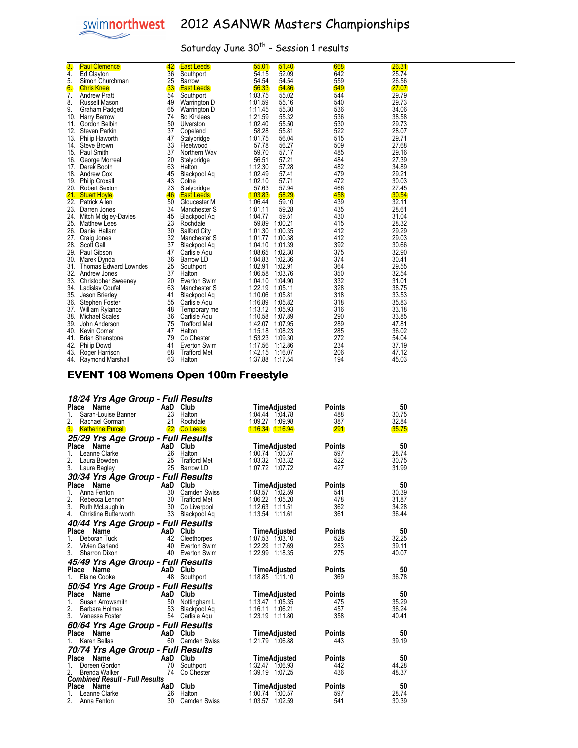

| 3.  | <b>Paul Clemence</b>         | 42              | <b>East Leeds</b>   | 55.01           | 51.40   | 668 | 26.31 |
|-----|------------------------------|-----------------|---------------------|-----------------|---------|-----|-------|
| 4.  | Ed Clayton                   | 36              | Southport           | 54.15           | 52.09   | 642 | 25.74 |
| 5.  | Simon Churchman              | 25              | Barrow              | 54.54           | 54.54   | 559 | 26.56 |
| 6.  | <b>Chris Knee</b>            | 33 <sub>°</sub> | <b>East Leeds</b>   | 56.33           | 54.86   | 549 | 27.07 |
| 7.  | <b>Andrew Pratt</b>          | 54              | Southport           | 1:03.75         | 55.02   | 544 | 29.79 |
| 8.  | Russell Mason                | 49              | Warrington D        | 1:01.59         | 55.16   | 540 | 29.73 |
| 9.  | Graham Padgett               | 65              | Warrington D        | 1:11.45         | 55.30   | 536 | 34.06 |
|     | 10. Harry Barrow             | 74              | <b>Bo Kirklees</b>  | 1:21.59         | 55.32   | 536 | 38.58 |
| 11. | Gordon Belbin                | 50              | Ulverston           | 1:02.40         | 55.50   | 530 | 29.73 |
| 12. | Steven Parkin                | 37              | Copeland            | 58.28           | 55.81   | 522 | 28.07 |
| 13. | Philip Haworth               | 47              | Stalybridge         | 1:01.75         | 56.04   | 515 | 29.71 |
|     | 14. Steve Brown              | 33              | Fleetwood           | 57.78           | 56.27   | 509 | 27.68 |
|     | 15. Paul Smith               | 37              | Northern Wav        | 59.70           | 57.17   | 485 | 29.16 |
| 16. | George Morreal               | 20              | Stalybridge         | 56.51           | 57.21   | 484 | 27.39 |
| 17. | Derek Booth                  | 63              | Halton              | 1:12.30         | 57.28   | 482 | 34.89 |
|     | 18. Andrew Cox               | 45              | Blackpool Ag        | 1:02.49         | 57.41   | 479 | 29.21 |
|     | 19. Philip Croxall           | 43              | Colne               | 1:02.10         | 57.71   | 472 | 30.03 |
|     | 20. Robert Sexton            | 23              | Stalybridge         | 57.63           | 57.94   | 466 | 27.45 |
|     | 21. Stuart Hoyle             | 46              | <b>East Leeds</b>   | 1:03.83         | 58.29   | 458 | 30.54 |
|     | 22. Patrick Allen            | 50 <sup>°</sup> | Gloucester M        | 1:06.44         | 59.10   | 439 | 32.11 |
|     | 23. Darren Jones             | 34              | Manchester S        | 1:01.11         | 59.28   | 435 | 28.61 |
| 24. | Mitch Midgley-Davies         | 45              | Blackpool Ag        | 1:04.77         | 59.51   | 430 | 31.04 |
| 25. | <b>Matthew Lees</b>          | 23              | Rochdale            | 59.89           | 1:00.21 | 415 | 28.32 |
|     | 26. Daniel Hallam            | 30              | Salford City        | 1:01.30         | 1:00.35 | 412 | 29.29 |
| 27. | Craig Jones                  | 32              | Manchester S        | 1:01.77         | 1:00.38 | 412 | 29.03 |
| 28. | Scott Gall                   | 37              | Blackpool Ag        | 1:04.10         | 1:01.39 | 392 | 30.66 |
|     | 29. Paul Gibson              | 47              | Carlisle Agu        | 1:08.65         | 1:02.30 | 375 | 32.90 |
| 30. | Marek Dynda                  | 36              | Barrow LD           | 1:04.83         | 1:02.36 | 374 | 30.41 |
| 31. | <b>Thomas Edward Lowndes</b> | 25              | Southport           | 1:02.91         | 1:02.91 | 364 | 29.55 |
|     | 32. Andrew Jones             | 37              | Halton              | 1:06.58         | 1:03.76 | 350 | 32.54 |
|     | 33. Christopher Sweeney      | 20              | Everton Swim        | 1:04.10         | 1:04.90 | 332 | 31.01 |
|     | 34. Ladislav Coufal          | 63              | Manchester S        | 1:22.19         | 1:05.11 | 328 | 38.75 |
|     | 35. Jason Brierley           | 41              | Blackpool Aq        | 1:10.06         | 1:05.81 | 318 | 33.53 |
| 36. | Stephen Foster               | 55              | Carlisle Aqu        | 1:16.89         | 1:05.82 | 318 | 35.83 |
|     | 37. William Rylance          | 48              | Temporary me        | 1:13.12         | 1:05.93 | 316 | 33.18 |
|     | 38. Michael Scales           | 36              | Carlisle Aqu        | 1:10.58         | 1:07.89 | 290 | 33.85 |
| 39. | John Anderson                | 75              | <b>Trafford Met</b> | 1:42.07         | 1:07.95 | 289 | 47.81 |
| 40. | Kevin Comer                  | 47              | Halton              | 1:15.18         | 1:08.23 | 285 | 36.02 |
| 41. | <b>Brian Shenstone</b>       | 79              | Co Chester          | 1:53.23         | 1:09.30 | 272 | 54.04 |
| 42. | <b>Philip Dowd</b>           | 41              | Everton Swim        | 1:17.56         | 1:12.86 | 234 | 37.19 |
| 43. | Roger Harrison               | 68              | <b>Trafford Met</b> | 1:42.15         | 1:16.07 | 206 | 47.12 |
| 44. | Raymond Marshall             | 63              | Halton              | 1:37.88 1:17.54 |         | 194 | 45.03 |

#### EVENT 108 Womens Open 100m Freestyle

| 18/24 Yrs Age Group - Full Results    |          |                     |                         |        |       |
|---------------------------------------|----------|---------------------|-------------------------|--------|-------|
| Place<br>Name                         | AaD Club |                     | TimeAdjusted            | Points | 50    |
| Sarah-Louise Banner<br>1.             |          | 23 Halton           | 1:04.44 1:04.78         | 488    | 30.75 |
| 2.<br>Rachael Gorman                  | 21       | Rochdale            | 1:09.27 1:09.98         | 387    | 32.84 |
| 3.<br><b>Katherine Purcell</b>        |          | 22 Co Leeds         | <u> 1:16.34 1:16.94</u> | 291    | 35.75 |
| 25/29 Yrs Age Group - Full Results    |          |                     |                         |        |       |
| Place<br>Name                         | AaD Club |                     | <b>TimeAdjusted</b>     | Points | 50    |
| $\mathbf{1}$ .<br>Leanne Clarke       | 26       | Halton              | 1:00.74 1:00.57         | 597    | 28.74 |
| 2.<br>Laura Bowden                    |          | 25 Trafford Met     | 1:03.32 1:03.32         | 522    | 30.75 |
| 3.<br>Laura Bagley                    | 25       | Barrow LD           | 1:07.72 1:07.72         | 427    | 31.99 |
| 30/34 Yrs Age Group - Full Results    |          |                     |                         |        |       |
| Place<br>Name                         | AaD Club |                     | TimeAdjusted            | Points | 50    |
| Anna Fenton<br>1.                     | 30       | <b>Camden Swiss</b> | 1:03.57 1:02.59         | 541    | 30.39 |
| 2.<br>Rebecca Lennon                  | 30       | <b>Trafford Met</b> | 1:06.22 1:05.20         | 478    | 31.87 |
| 3. Ruth McLaughlin                    | 30       | Co Liverpool        | 1:12.63 1:11.51         | 362    | 34.28 |
| 4.<br>Christine Butterworth           | 33       | Blackpool Aq        | 1:13.54 1:11.61         | 361    | 36.44 |
| 40/44 Yrs Age Group - Full Results    |          |                     |                         |        |       |
| Place Name                            | AaD Club |                     | TimeAdjusted            | Points | 50    |
| 1.<br>Deborah Tuck                    |          | 42 Cleethorpes      | 1:07.53 1:03.10         | 528    | 32.25 |
| 2.<br>Vivien Garland                  | 40       | Everton Swim        | 1:22.29 1:17.69         | 283    | 39.11 |
| 3.<br><b>Sharron Dixon</b>            |          | 40 Everton Swim     | 1:22.99 1:18.35         | 275    | 40.07 |
| 45/49 Yrs Age Group - Full Results    |          |                     |                         |        |       |
| Place<br>Name                         | AaD Club |                     | TimeAdjusted            | Points | 50    |
| Elaine Cooke<br>1.                    |          | 48 Southport        | $1:18.85$ $1:11.10$     | 369    | 36.78 |
| 50/54 Yrs Age Group - Full Results    |          |                     |                         |        |       |
| Place Name                            | AaD Club |                     | TimeAdjusted            | Points | 50    |
| 1.<br>Susan Arrowsmith                | 50       | Nottingham L        | 1:13.47 1:05.35         | 475    | 35.29 |
| 2.<br>Barbara Holmes                  | 53       | Blackpool Ag        | 1:16.11 1:06.21         | 457    | 36.24 |
| 3. Vanessa Foster                     |          | 54 Carlisle Aqu     | 1:23.19 1:11.80         | 358    | 40.41 |
| 60/64 Yrs Age Group - Full Results    |          |                     |                         |        |       |
| Name<br>Place                         | AaD Club |                     | TimeAdjusted            | Points | 50    |
| Karen Bellas<br>1.                    |          | 60 Camden Swiss     | 1:21.79 1:06.88         | 443    | 39.19 |
| 70/74 Yrs Age Group - Full Results    |          |                     |                         |        |       |
| Name<br>Place                         | AaD Club |                     | TimeAdjusted            | Points | 50    |
| Doreen Gordon<br>1.                   | 70       | Southport           | 1:32.47 1:06.93         | 442    | 44.28 |
| Brenda Walker                         | 74       | Co Chester          | 1:39.19 1:07.25         | 436    | 48.37 |
| <b>Combined Result - Full Results</b> |          |                     |                         |        |       |
| Place Name                            | AaD Club |                     | TimeAdjusted            | Points | 50    |
| Leanne Clarke<br>1.                   | 26       | Halton              | 1:00.74 1:00.57         | 597    | 28.74 |
| Anna Fenton                           | 30       | <b>Camden Swiss</b> | 1:03.57 1:02.59         | 541    | 30.39 |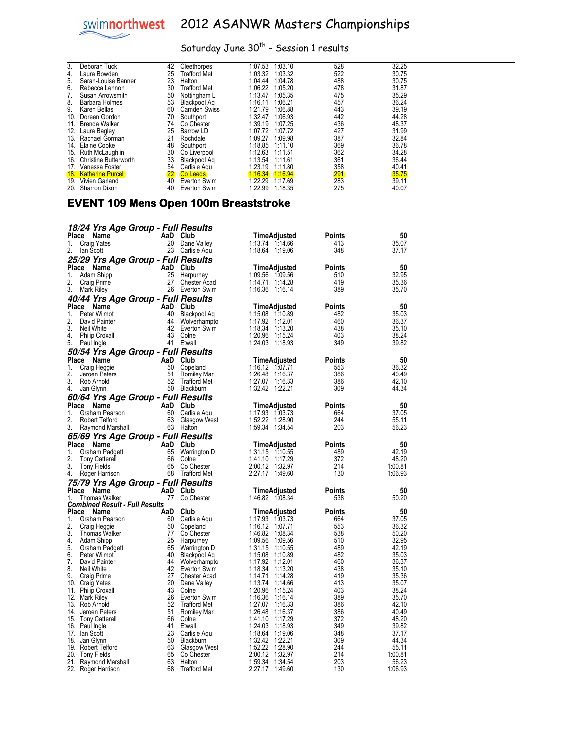## Saturday June  $30^{th}$  - Session 1 results

| 3.  | Deborah Tuck                 | 42          | Cleethorpes         | 1:07.53 | 1:03.10 | 528 | 32.25 |
|-----|------------------------------|-------------|---------------------|---------|---------|-----|-------|
| 4.  | Laura Bowden                 | 25          | Trafford Met        | 1:03.32 | 1:03.32 | 522 | 30.75 |
| 5.  | Sarah-Louise Banner          | 23          | Halton              | 1:04.44 | 1:04.78 | 488 | 30.75 |
| 6.  | Rebecca Lennon               | 30          | Trafford Met        | 1:06.22 | 1:05.20 | 478 | 31.87 |
|     | Susan Arrowsmith             | 50          | Nottingham L        | 1:13.47 | 1:05.35 | 475 | 35.29 |
| 8.  | Barbara Holmes               | 53          | Blackpool Ag        | 1:16.11 | 1:06.21 | 457 | 36.24 |
| 9.  | Karen Bellas                 | 60          | <b>Camden Swiss</b> | 1:21.79 | 1:06.88 | 443 | 39.19 |
| 10. | Doreen Gordon                | 70          | Southport           | 1:32.47 | 1:06.93 | 442 | 44.28 |
| 11. | <b>Brenda Walker</b>         | 74          | Co Chester          | 1:39.19 | 1:07.25 | 436 | 48.37 |
| 12. | Laura Bagley                 | 25          | Barrow LD           | 1:07.72 | 1:07.72 | 427 | 31.99 |
| 13. | Rachael Gorman               | 21          | Rochdale            | 1:09.27 | 1:09.98 | 387 | 32.84 |
| 14. | Elaine Cooke                 | 48          | Southport           | 1:18.85 | 1:11.10 | 369 | 36.78 |
| 15. | Ruth McLaughlin              | 30          | Co Liverpool        | 1:12.63 | 1:11.51 | 362 | 34.28 |
| 16. | <b>Christine Butterworth</b> | 33          | Blackpool Aq        | 1:13.54 | 1:11.61 | 361 | 36.44 |
| 17. | Vanessa Foster               | 54          | Carlisle Agu        | 1:23.19 | 1:11.80 | 358 | 40.41 |
| 18. | <b>Katherine Purcell</b>     | $22 \times$ | <b>Co Leeds</b>     | 1:16.34 | 1:16.94 | 291 | 35.75 |
| 19. | <b>Vivien Garland</b>        | 40          | Everton Swim        | 1:22.29 | 1:17.69 | 283 | 39.11 |
| 20. | Sharron Dixon                | 40          | Everton Swim        | 1:22.99 | 1:18.35 | 275 | 40.07 |

#### EVENT 109 Mens Open 100m Breaststroke

|             | 18/24 Yrs Age Group - Full Results    |           |                                     |                                          |               |                |
|-------------|---------------------------------------|-----------|-------------------------------------|------------------------------------------|---------------|----------------|
| Place       | Name                                  | AaD Club  |                                     | TimeAdjusted                             | Points        | 50             |
| 1.          | Craig Yates                           | 20        | Dane Valley                         | 1:13.74 1:14.66                          | 413           | 35.07          |
| 2.          | lan Scott                             |           | 23 Carlisle Aqu                     | 1:18.64 1:19.06                          | 348           | 37.17          |
|             | 25/29 Yrs Age Group - Full Results    |           |                                     |                                          |               |                |
|             | Place Name                            | AaD Club  |                                     | TimeAdjusted                             | Points        | 50             |
| 1.          | Adam Shipp                            | 25        | Harpurhey                           | 1:09.56 1:09.56                          | 510           | 32.95          |
| 2.          | Craig Prime                           | 27        | <b>Chester Acad</b>                 | 1:14.71<br>1:14.28                       | 419           | 35.36          |
| 3.          | Mark Riley                            |           | 26 Everton Swim                     | 1:16.36 1:16.14                          | 389           | 35.70          |
|             | 40/44 Yrs Age Group - Full Results    |           |                                     |                                          |               |                |
| Place       | Name                                  | AaD Club  |                                     | TimeAdjusted                             | Points        | 50             |
| 1.<br>2.    | Peter Wilmot<br>David Painter         | 40<br>44  | Blackpool Aq<br>Wolverhampto        | 1:15.08 1:10.89<br>1:17.92<br>1:12.01    | 482<br>460    | 35.03<br>36.37 |
| 3.          | Neil White                            | 42        | Everton Swim                        | 1:18.34<br>1:13.20                       | 438           | 35.10          |
| 4.          | <b>Philip Croxall</b>                 |           | 43 Colne                            | 1:20.96<br>1:15.24                       | 403           | 38.24          |
| 5.          | Paul Ingle                            |           | 41 Etwall                           | 1:24.03 1:18.93                          | 349           | 39.82          |
|             | 50/54 Yrs Age Group - Full Results    |           |                                     |                                          |               |                |
| Place       | Name                                  | AaD Club  |                                     | TimeAdjusted                             | Points        | 50             |
| 1.          | Craig Heggie                          | 50        | Copeland                            | 1:16.12 1:07.71                          | 553           | 36.32          |
| 2.          | Jeroen Peters                         | 51        | Romiley Mari                        | 1:26.48<br>1:16.37                       | 386           | 40.49          |
| 3.          | Rob Arnold                            | 52        | <b>Trafford Met</b><br>50 Blackburn | 1:27.07 1:16.33<br>1:32.42 1:22.21       | 386<br>309    | 42.10<br>44.34 |
| 4.          | Jan Glynn                             |           |                                     |                                          |               |                |
| Place       | 60/64 Yrs Age Group - Full Results    |           |                                     |                                          |               |                |
| 1.          | Name<br>Graham Pearson                | AaD<br>60 | Club<br>Carlisle Aqu                | TimeAdjusted<br>1:17.93 1:03.73          | Points<br>664 | 50<br>37.05    |
| 2.          | <b>Robert Telford</b>                 | 63        | Glasgow West                        | 1:52.22 1:28.90                          | 244           | 55.11          |
| 3.          | Raymond Marshall                      |           | 63 Halton                           | 1:59.34 1:34.54                          | 203           | 56.23          |
|             | 65/69 Yrs Age Group - Full Results    |           |                                     |                                          |               |                |
| Place       | Name                                  | AaD Club  |                                     | TimeAdjusted                             | Points        | 50             |
| 1.          | <b>Graham Padgett</b>                 | 65        | Warrington D                        | 1:31.15 1:10.55                          | 489           | 42.19          |
| 2.          | <b>Tony Catterall</b>                 | 66        | Colne                               | 1:41.10<br>1:17.29                       | 372           | 48.20          |
| 3.          | Tony Fields                           | 65        | Co Chester                          | 2:00.12<br>1:32.97                       | 214           | 1:00.81        |
| 4.          | Roger Harrison                        |           | 68 Trafford Met                     | 2:27.17<br>1:49.60                       | 130           | 1:06.93        |
|             | 75/79 Yrs Age Group - Full Results    |           |                                     |                                          |               |                |
| Place<br>1. | Name<br><b>Thomas Walker</b>          | AaD<br>77 | Club<br>Co Chester                  | TimeAdjusted<br>1:46.82 1:08.34          | Points<br>538 | 50<br>50.20    |
|             | <b>Combined Result - Full Results</b> |           |                                     |                                          |               |                |
| Place       | Name                                  | AaD       | Club                                | <b>TimeAdjusted</b>                      | Points        | 50             |
| 1.          | Graham Pearson                        | 60        | Carlisle Aqu                        | 1:17.93 1:03.73                          | 664           | 37.05          |
| 2.          | Craig Heggie                          | 50        | Copeland                            | 1:16.12<br>1:07.71                       | 553           | 36.32          |
| 3.<br>4.    | Thomas Walker<br>Adam Shipp           | 77<br>25  | Co Chester                          | 1:46.82<br>1:08.34<br>1:09.56 1:09.56    | 538<br>510    | 50.20<br>32.95 |
| 5.          | Graham Padgett                        | 65        | Harpurhey<br>Warrington D           | 1:31.15<br>1:10.55                       | 489           | 42.19          |
| 6.          | Peter Wilmot                          | 40        | Blackpool Aq                        | 1:15.08 1:10.89                          | 482           | 35.03          |
| 7.          | David Painter                         | 44        | Wolverhampto                        | 1:17.92<br>1:12.01                       | 460           | 36.37          |
| 8.          | Neil White                            | 42        | Everton Swim                        | 1:18.34<br>1:13.20                       | 438           | 35.10          |
| 9.          | Craig Prime                           | 27        | <b>Chester Acad</b>                 | 1:14.71<br>1:14.28                       | 419           | 35.36          |
|             | 10. Craig Yates                       | 20        | Dane Valley                         | 1:13.74 1:14.66                          | 413           | 35.07          |
| 11.<br>12.  | <b>Philip Croxall</b><br>Mark Riley   | 43<br>26  | Colne<br>Everton Swim               | 1:20.96<br>1:15.24<br>1:16.36<br>1:16.14 | 403<br>389    | 38.24<br>35.70 |
| 13.         | Rob Arnold                            | 52        | <b>Trafford Met</b>                 | 1:27.07<br>1:16.33                       | 386           | 42.10          |
| 14.         | Jeroen Peters                         | 51        | Romiley Mari                        | 1:26.48 1:16.37                          | 386           | 40.49          |
| 15.         | <b>Tony Catterall</b>                 | 66        | Colne                               | 1:41.10<br>1:17.29                       | 372           | 48.20          |
|             | 16. Paul Ingle                        | 41        | Etwall                              | 1:24.03<br>1:18.93                       | 349           | 39.82          |
|             | 17. Ian Scott                         | 23        | Carlisle Aqu                        | 1:18.64<br>1:19.06                       | 348           | 37.17          |
| 18.<br>19.  | Jan Glynn<br><b>Robert Telford</b>    | 50<br>63  | Blackburn<br>Glasgow West           | 1:32.42<br>1:22.21<br>1:52.22<br>1:28.90 | 309<br>244    | 44.34<br>55.11 |
|             | 20. Tony Fields                       | 65        | Co Chester                          | 2:00.12<br>1:32.97                       | 214           | 1:00.81        |
|             | 21. Raymond Marshall                  | 63        | Halton                              | 1:59.34<br>1:34.54                       | 203           | 56.23          |
| 22.         | Roger Harrison                        | 68        | <b>Trafford Met</b>                 | 2:27.17 1:49.60                          | 130           | 1:06.93        |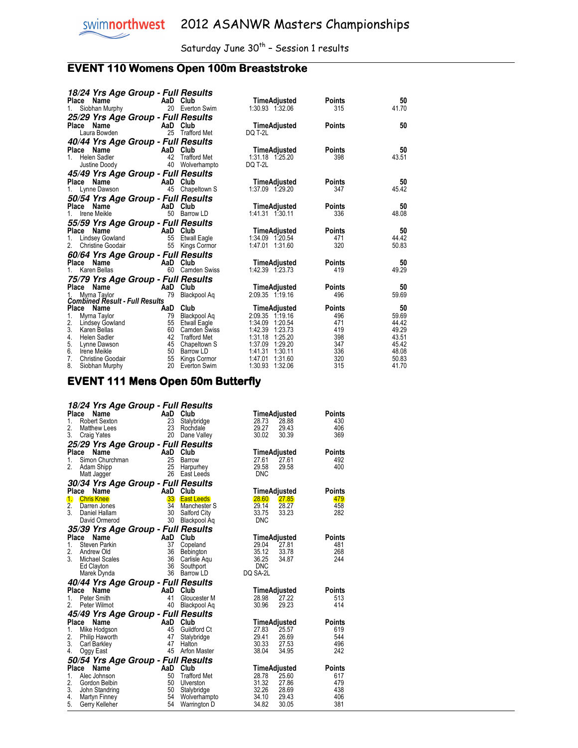## **EVENT 110 Womens Open 100m Breaststroke**

| 18/24 Yrs Age Group - Full Results               |          |                 |                    |               |       |
|--------------------------------------------------|----------|-----------------|--------------------|---------------|-------|
| Place Name                                       | AaD Club |                 | TimeAdjusted       | <b>Points</b> | 50    |
| 1.<br>Siobhan Murphy                             |          | 20 Everton Swim | 1:30.93 1:32.06    | 315           | 41.70 |
| 25/29 Yrs Age Group - Full Results               |          |                 |                    |               |       |
| Place Name                                       | AaD Club |                 | TimeAdjusted       | Points        | 50    |
| Laura Bowden                                     | 25       | Trafford Met    | DQ T-2L            |               |       |
| 40/44 Yrs Age Group - Full Results               |          |                 |                    |               |       |
| Place Name                                       | AaD Club |                 | TimeAdjusted       | <b>Points</b> | 50    |
| Helen Sadler<br>$1_{-}$                          |          | 42 Trafford Met | 1:31.18 1:25.20    | 398           | 43.51 |
| Justine Doody                                    |          | 40 Wolverhampto | DQ T-2L            |               |       |
| 45/49 Yrs Age Group - Full Results               |          |                 |                    |               |       |
| Place Name                                       | AaD Club |                 | TimeAdjusted       | Points        | 50    |
| 1. Lynne Dawson                                  |          | 45 Chapeltown S | 1:37.09 1:29.20    | 347           | 45.42 |
| 50/54 Yrs Age Group - Full Results               |          |                 |                    |               |       |
| Place Name                                       | AaD Club |                 | TimeAdjusted       | Points        | 50    |
| Irene Meikle<br>1.                               |          | 50 Barrow LD    | 1:41.31 1:30.11    | 336           | 48.08 |
| 55/59 Yrs Age Group - Full Results               |          |                 |                    |               |       |
| Place<br>Name                                    | AaD Club |                 | TimeAdjusted       | Points        | 50    |
| 1.<br>Lindsey Gowland                            |          | 55 Etwall Eagle | 1:34.09 1:20.54    | 471           | 44.42 |
| 2.<br><b>Christine Goodair</b>                   |          | 55 Kings Cormor | 1:47.01 1:31.60    | 320           | 50.83 |
|                                                  |          |                 |                    |               |       |
| 60/64 Yrs Age Group - Full Results<br>Place Name | AaD Club |                 | TimeAdjusted       | Points        | 50    |
| Karen Bellas<br>$1_{-}$                          |          | 60 Camden Swiss | 1:42.39 1:23.73    | 419           | 49.29 |
|                                                  |          |                 |                    |               |       |
| 75/79 Yrs Age Group - Full Results<br>Place Name | AaD Club |                 | TimeAdjusted       | <b>Points</b> | 50    |
| Myrna Taylor                                     | 79       | Blackpool Aq    | 2:09.35 1:19.16    | 496           | 59.69 |
| <b>Combined Result - Full Results</b>            |          |                 |                    |               |       |
| Place Name                                       | AaD      | Club            | TimeAdjusted       | Points        | 50    |
| 1.<br>Myrna Taylor                               | 79       | Blackpool Ag    | 2:09.35 1:19.16    | 496           | 59.69 |
| 2.<br>Lindsey Gowland                            |          | 55 Etwall Eagle | 1:34.09 1:20.54    | 471           | 44.42 |
| 3.<br>Karen Bellas                               |          | 60 Camden Swiss | 1:42.39<br>1:23.73 | 419           | 49.29 |
| 4.<br>Helen Sadler                               | 42       | Trafford Met    | 1:31.18<br>1:25.20 | 398           | 43.51 |
| 5.<br>Lynne Dawson                               | 45       | Chapeltown S    | 1:37.09 1:29.20    | 347           | 45.42 |
| 6.<br>Irene Meikle                               |          | 50 Barrow LD    | 1:41.31 1:30.11    | 336           | 48.08 |
| 7.<br>Christine Goodair                          | 55       | Kings Cormor    | 1:31.60<br>1:47.01 | 320           | 50.83 |
| 8.<br>Siobhan Murphy                             |          | 20 Everton Swim | 1:30.93<br>1:32.06 | 315           | 41.70 |

## **EVENT 111 Mens Open 50m Butterfly**

|                  | 18/24 Yrs Age Group - Full Results                            |                                   |                     |                |                |               |
|------------------|---------------------------------------------------------------|-----------------------------------|---------------------|----------------|----------------|---------------|
|                  | Place<br>Name<br>AaD Club<br>23 Stalyb<br>23 Rochd<br>20 Dane |                                   |                     |                | TimeAdjusted   | Points        |
| 1.               | Robert Sexton                                                 |                                   | Stalybridge         | 28.73          | 28.88          | 430           |
| 2.               | Matthew Lees                                                  |                                   | Rochdale            | 29.27          | 29.43          | 406           |
| 3.               | <b>Craig Yates</b>                                            | -20                               | Dane Valley         | 30.02          | 30.39          | 369           |
|                  | 25/29 Yrs Age Group - Full Results                            |                                   |                     |                |                |               |
| Place            | Name                                                          | <b>Example 2</b>                  | Club                |                | TimeAdjusted   | Points        |
| 1.               | Simon Churchman                                               | 25                                | Barrow              | 27.61          | 27.61          | 492           |
| 2.               | Adam Shipp                                                    | 25                                | Harpurhey           | 29.58          | 29.58          | 400           |
|                  | Matt Jagger                                                   |                                   | 26 East Leeds       | DNC            |                |               |
|                  | 30/34 Yrs Age Group - Full Results                            |                                   |                     |                |                |               |
|                  | Place Name<br>AaD<br>$33$<br>$34$<br>$30$<br>$30$             | AaD Club                          |                     |                | TimeAdjusted   | Points        |
| 1.               | <b>Chris Knee</b>                                             |                                   | <b>East Leeds</b>   | 28.60          | 27.85          | 479           |
| $\overline{2}$ . | Darren Jones                                                  |                                   | Manchester S        | 29.14          | 28.27          | 458           |
| 3.               | Daniel Hallam                                                 |                                   | Salford City        | 33.75          | 33.23          | 282           |
|                  | David Ormerod                                                 |                                   | Blackpool Aq        | <b>DNC</b>     |                |               |
|                  | 35/39 Yrs Age Group - Full Results                            |                                   |                     |                |                |               |
|                  | Place Name                                                    | AaD Club                          |                     |                | TimeAdjusted   | Points        |
| 1.               | Steven Parkin                                                 | 37                                | Copeland            | 29.04          | 27.81          | 481           |
| 2.               | Andrew Old                                                    | 36                                | Bebington           | 35.12          | 33.78          | 268           |
| 3.               | <b>Michael Scales</b>                                         | 36                                | Carlisle Agu        | 36.25          | 34.87          | 244           |
|                  | Ed Clayton                                                    | 36                                | Southport           | <b>DNC</b>     |                |               |
|                  | Marek Dynda                                                   | 36                                | Barrow LD           | DQ SA-2L       |                |               |
|                  | 40/44 Yrs Age Group - Full Results                            |                                   |                     |                |                |               |
|                  | Place Name<br>AaD Club<br>41 Glouc                            |                                   |                     |                | TimeAdjusted   | <b>Points</b> |
| 1.               | Peter Smith                                                   |                                   | Gloucester M        | 28.98          | 27.22          | 513           |
| 2.               | Peter Wilmot                                                  | 40                                | Blackpool Aq        | 30.96          | 29.23          | 414           |
|                  | 45/49 Yrs Age Group - Full Results                            |                                   |                     |                |                |               |
| Place            | Name                                                          | AaD<br>45<br>47<br>47<br>47<br>45 | Club                |                | TimeAdjusted   | <b>Points</b> |
| 1.               | Mike Hodgson                                                  |                                   | <b>Guildford Ct</b> | 27.83          | 25.57          | 619           |
| 2.               | Philip Haworth                                                |                                   | Stalybridge         | 29.41          | 26.69          | 544           |
| 3.               | Carl Barkley                                                  |                                   | Halton              | 30.33          | 27.53          | 496           |
| 4.               | Oggy East                                                     | 45                                | Arfon Master        | 38.04          | 34.95          | 242           |
|                  | 50/54 Yrs Age Group - Full Results                            |                                   |                     |                |                |               |
| Place            | Name                                                          |                                   | Club                |                | TimeAdjusted   | <b>Points</b> |
| 1.               | Alec Johnson                                                  | AaD<br>50<br>50<br>50             | <b>Trafford Met</b> | 28.78          | 25.60          | 617           |
| 2.               | Gordon Belbin                                                 |                                   | Ulverston           | 31.32          | 27.86          | 479           |
| 3.               | John Standring                                                |                                   | Stalybridge         | 32.26          | 28.69          | 438           |
| 4.<br>5.         | Martyn Finney                                                 | 54<br>54                          | Wolverhampto        | 34.10<br>34.82 | 29.43<br>30.05 | 406<br>381    |
|                  | Gerry Kelleher                                                |                                   | Warrington D        |                |                |               |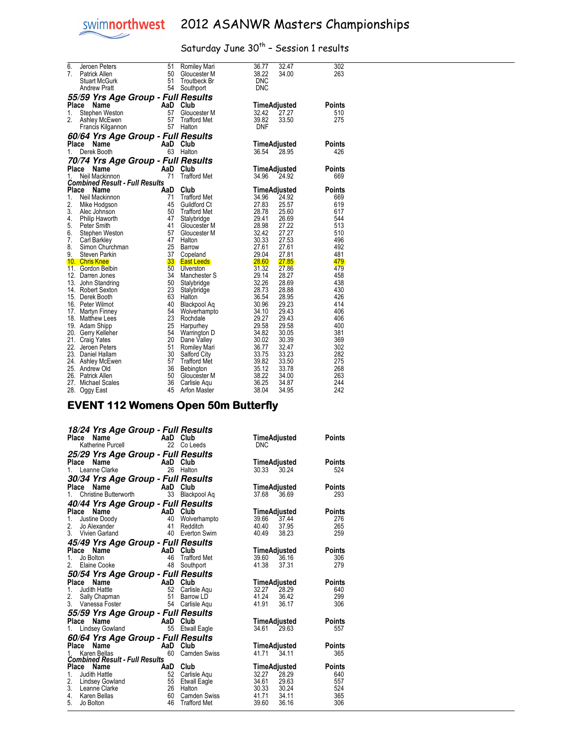

| 6.             | Jeroen Peters                                    | 51       | Romiley Mari              | 36.77          | 32.47          | 302        |
|----------------|--------------------------------------------------|----------|---------------------------|----------------|----------------|------------|
| 7 <sub>1</sub> | Patrick Allen                                    | 50       | Gloucester M              | 38.22          | 34.00          | 263        |
|                | <b>Stuart McGurk</b>                             | 51       | Troutbeck Br              | <b>DNC</b>     |                |            |
|                | <b>Andrew Pratt</b>                              | 54       | Southport                 | <b>DNC</b>     |                |            |
|                | 55/59 Yrs Age Group - Full Results               |          |                           |                |                |            |
| Place          | Name                                             | AaD      | Club                      | TimeAdjusted   |                | Points     |
| 1.             | Stephen Weston                                   | 57       | Gloucester M              | 32.42          | 27.27          | 510        |
| 2.             | Ashley McEwen                                    | 57       | <b>Trafford Met</b>       | 39.82          | 33.50          | 275        |
|                | Francis Kilgannon                                | 57       | Halton                    | <b>DNF</b>     |                |            |
|                | <i><b>60/64 Yrs Age Group - Full Results</b></i> |          |                           |                |                |            |
| Place          | Name                                             | AaD      | Club                      | TimeAdjusted   |                | Points     |
| 1.             | Derek Booth                                      | 63       | Halton                    | 36.54          | 28.95          | 426        |
|                | 70/74 Yrs Age Group - Full Results               |          |                           |                |                |            |
|                | Place<br>Name                                    | AaD      | Club                      | TimeAdjusted   |                | Points     |
| 1.             | Neil Mackinnon                                   | 71       | <b>Trafford Met</b>       | 34.96          | 24.92          | 669        |
|                | <b>Combined Result - Full Results</b>            |          |                           |                |                |            |
|                | Place Name                                       | AaD      | Club                      | TimeAdjusted   |                | Points     |
| 1.             | Neil Mackinnon                                   | 71       | <b>Trafford Met</b>       | 34.96          | 24.92          | 669        |
| 2.             | Mike Hodgson                                     | 45       | <b>Guildford Ct</b>       | 27.83          | 25.57          | 619        |
| 3.             | Alec Johnson                                     | 50       | <b>Trafford Met</b>       | 28.78          | 25.60          | 617        |
| 4.             | Philip Haworth                                   | 47       | Stalybridge               | 29.41          | 26.69          | 544        |
| 5.             | Peter Smith                                      | 41       | Gloucester M              | 28.98          | 27.22          | 513        |
| 6.             | Stephen Weston                                   | 57       | Gloucester M              | 32.42          | 27.27          | 510        |
| 7.             | Carl Barkley                                     | 47       | Halton                    | 30.33          | 27.53          | 496        |
| 8.             | Simon Churchman                                  | 25       | Barrow                    | 27.61          | 27.61          | 492        |
| 9.             | Steven Parkin                                    | 37       | Copeland                  | 29.04          | 27.81          | 481        |
|                | 10. Chris Knee                                   | 33       | <b>East Leeds</b>         | 28.60          | 27.85          | 479        |
|                | 11. Gordon Belbin                                | 50       | Ulverston                 | 31.32          | 27.86          | 479        |
|                | 12. Darren Jones                                 | 34       | Manchester S              | 29.14          | 28.27          | 458        |
|                | 13. John Standring                               | 50       | Stalybridge               | 32.26          | 28.69          | 438        |
|                | 14. Robert Sexton                                | 23       | Stalybridge               | 28.73          | 28.88          | 430        |
|                | 15. Derek Booth                                  | 63       | Halton                    | 36.54          | 28.95          | 426        |
|                | 16. Peter Wilmot                                 | 40       | Blackpool Aq              | 30.96          | 29.23          | 414        |
|                | 17. Martyn Finney                                | 54<br>23 | Wolverhampto              | 34.10<br>29.27 | 29.43<br>29.43 | 406<br>406 |
|                | 18. Matthew Lees                                 | 25       | Rochdale                  | 29.58          | 29.58          | 400        |
|                | 19. Adam Shipp                                   | 54       | Harpurhey<br>Warrington D | 34.82          | 30.05          | 381        |
|                | 20. Gerry Kelleher<br>21. Craig Yates            | 20       | Dane Valley               | 30.02          | 30.39          | 369        |
|                | 22. Jeroen Peters                                | 51       | Romiley Mari              | 36.77          | 32.47          | 302        |
|                | 23. Daniel Hallam                                | 30       | Salford City              | 33.75          | 33.23          | 282        |
|                | 24. Ashley McEwen                                | 57       | <b>Trafford Met</b>       | 39.82          | 33.50          | 275        |
|                | 25. Andrew Old                                   | 36       | Bebington                 | 35.12          | 33.78          | 268        |
|                | 26. Patrick Allen                                | 50       | Gloucester M              | 38.22          | 34.00          | 263        |
| 27.            | <b>Michael Scales</b>                            | 36       | Carlisle Agu              | 36.25          | 34.87          | 244        |
|                | 28. Oggy East                                    | 45       | Arfon Master              | 38.04          | 34.95          | 242        |

#### **EVENT 112 Womens Open 50m Butterfly**

| 18/24 Yrs Age Group - Full Results<br><b>Example 18 Club</b><br>Katherine Purcell <b>Club</b><br>22 Co Leeds<br>Place<br>TimeAdjusted<br>Points<br><b>DNC</b><br>25/29 Yrs Age Group - Full Results<br><b>Ce Name</b><br>Leanne Clarke<br>26 Halton<br>Place<br>TimeAdjusted<br>Points<br>26 Halton<br>1 <sup>1</sup><br>30.33 30.24<br>30/34 Yrs Age Group - Full Results<br><b>Ce</b> Name<br>Christine Butterworth <b>Christine Butterworth</b> 33 Blackpool Aq<br>TimeAdjusted<br>Place<br>Points<br>37.68<br>36.69<br>40/44 Yrs Age Group - Full Results<br>Place<br><b>Ce Name AaD Club</b><br>Justine Doody 40 Wolve<br>Jo Alexander 41 Reddit<br>TimeAdjusted<br>Points<br>39.66<br>1.<br>37.44<br>Wolverhampto<br>2.<br>40.40<br>37.95<br>Redditch<br>3. Vivien Garland<br>40 Everton Swim<br>40.49<br>38.23<br>45/49 Yrs Age Group - Full Results | 524<br>293<br>276<br>265<br>259 |
|-------------------------------------------------------------------------------------------------------------------------------------------------------------------------------------------------------------------------------------------------------------------------------------------------------------------------------------------------------------------------------------------------------------------------------------------------------------------------------------------------------------------------------------------------------------------------------------------------------------------------------------------------------------------------------------------------------------------------------------------------------------------------------------------------------------------------------------------------------------|---------------------------------|
|                                                                                                                                                                                                                                                                                                                                                                                                                                                                                                                                                                                                                                                                                                                                                                                                                                                             |                                 |
|                                                                                                                                                                                                                                                                                                                                                                                                                                                                                                                                                                                                                                                                                                                                                                                                                                                             |                                 |
|                                                                                                                                                                                                                                                                                                                                                                                                                                                                                                                                                                                                                                                                                                                                                                                                                                                             |                                 |
|                                                                                                                                                                                                                                                                                                                                                                                                                                                                                                                                                                                                                                                                                                                                                                                                                                                             |                                 |
|                                                                                                                                                                                                                                                                                                                                                                                                                                                                                                                                                                                                                                                                                                                                                                                                                                                             |                                 |
|                                                                                                                                                                                                                                                                                                                                                                                                                                                                                                                                                                                                                                                                                                                                                                                                                                                             |                                 |
|                                                                                                                                                                                                                                                                                                                                                                                                                                                                                                                                                                                                                                                                                                                                                                                                                                                             |                                 |
|                                                                                                                                                                                                                                                                                                                                                                                                                                                                                                                                                                                                                                                                                                                                                                                                                                                             |                                 |
|                                                                                                                                                                                                                                                                                                                                                                                                                                                                                                                                                                                                                                                                                                                                                                                                                                                             |                                 |
|                                                                                                                                                                                                                                                                                                                                                                                                                                                                                                                                                                                                                                                                                                                                                                                                                                                             |                                 |
|                                                                                                                                                                                                                                                                                                                                                                                                                                                                                                                                                                                                                                                                                                                                                                                                                                                             |                                 |
|                                                                                                                                                                                                                                                                                                                                                                                                                                                                                                                                                                                                                                                                                                                                                                                                                                                             |                                 |
|                                                                                                                                                                                                                                                                                                                                                                                                                                                                                                                                                                                                                                                                                                                                                                                                                                                             |                                 |
|                                                                                                                                                                                                                                                                                                                                                                                                                                                                                                                                                                                                                                                                                                                                                                                                                                                             |                                 |
| Place Name<br>TimeAdjusted<br>Points                                                                                                                                                                                                                                                                                                                                                                                                                                                                                                                                                                                                                                                                                                                                                                                                                        |                                 |
| AaD Club<br>46 Traffor<br>Jo Bolton<br><b>Trafford Met</b><br>39.60<br>36.16<br>1.                                                                                                                                                                                                                                                                                                                                                                                                                                                                                                                                                                                                                                                                                                                                                                          | 306                             |
| Elaine Cooke<br>48<br>2.<br>41.38<br>37.31<br>Southport                                                                                                                                                                                                                                                                                                                                                                                                                                                                                                                                                                                                                                                                                                                                                                                                     | 279                             |
| 50/54 Yrs Age Group - Full Results                                                                                                                                                                                                                                                                                                                                                                                                                                                                                                                                                                                                                                                                                                                                                                                                                          |                                 |
| Place<br><b>Points</b><br>TimeAdjusted                                                                                                                                                                                                                                                                                                                                                                                                                                                                                                                                                                                                                                                                                                                                                                                                                      |                                 |
| <b>Ce Name 4</b><br><b>Computer 10</b><br><b>Computer 10</b><br>Vanessa Enster 51 Barrow<br>Vanessa Enster<br>$1_{-}$<br>Carlisle Aqu<br>32.27<br>28.29                                                                                                                                                                                                                                                                                                                                                                                                                                                                                                                                                                                                                                                                                                     | 640                             |
| 41.24<br>2.<br>36.42<br>Barrow LD                                                                                                                                                                                                                                                                                                                                                                                                                                                                                                                                                                                                                                                                                                                                                                                                                           | 299                             |
| 3. Vanessa Foster<br>54 Carlisle Aqu<br>41.91<br>36.17                                                                                                                                                                                                                                                                                                                                                                                                                                                                                                                                                                                                                                                                                                                                                                                                      | 306                             |
| 55/59 Yrs Age Group - Full Results                                                                                                                                                                                                                                                                                                                                                                                                                                                                                                                                                                                                                                                                                                                                                                                                                          |                                 |
| Place<br>TimeAdjusted<br>Points                                                                                                                                                                                                                                                                                                                                                                                                                                                                                                                                                                                                                                                                                                                                                                                                                             |                                 |
| <b>Ce Name</b><br>Lindsey Gowland<br>55 Etwall<br>55 Etwall Eagle<br>34.61 29.63<br>1.                                                                                                                                                                                                                                                                                                                                                                                                                                                                                                                                                                                                                                                                                                                                                                      | 557                             |
|                                                                                                                                                                                                                                                                                                                                                                                                                                                                                                                                                                                                                                                                                                                                                                                                                                                             |                                 |
| <b>60/64 Yrs Age Group - Full Results<br/>Place Name AaD Club<br/>1. Karen Bellas 60 Camden Swiss</b><br>Points                                                                                                                                                                                                                                                                                                                                                                                                                                                                                                                                                                                                                                                                                                                                             |                                 |
| TimeAdjusted<br>Karen Bellas<br>60<br>41.71<br>34.11<br><b>Camden Swiss</b>                                                                                                                                                                                                                                                                                                                                                                                                                                                                                                                                                                                                                                                                                                                                                                                 | 365                             |
| <b>Combined Result - Full Results</b>                                                                                                                                                                                                                                                                                                                                                                                                                                                                                                                                                                                                                                                                                                                                                                                                                       |                                 |
| TimeAd<br>TimeAdjusted<br>Points                                                                                                                                                                                                                                                                                                                                                                                                                                                                                                                                                                                                                                                                                                                                                                                                                            |                                 |
| 28.29<br>Carlisle Aqu                                                                                                                                                                                                                                                                                                                                                                                                                                                                                                                                                                                                                                                                                                                                                                                                                                       | 640                             |
| <b>Place Name</b><br>1. Judith Hattle<br>2. Lindsey Gowland<br>2. Lincey Gowland<br>55 Etwall<br>34.61<br>29.63<br>Etwall Eagle                                                                                                                                                                                                                                                                                                                                                                                                                                                                                                                                                                                                                                                                                                                             | 557                             |
| 3. Leanne Clarke<br>-26<br>30.33<br>30.24<br>Halton                                                                                                                                                                                                                                                                                                                                                                                                                                                                                                                                                                                                                                                                                                                                                                                                         | 524                             |
| 4.<br>60<br>41.71<br>34.11<br>Karen Bellas<br>Camden Swiss                                                                                                                                                                                                                                                                                                                                                                                                                                                                                                                                                                                                                                                                                                                                                                                                  |                                 |
| 5.<br>46<br><b>Trafford Met</b><br>39.60<br>36.16<br>306<br>Jo Bolton                                                                                                                                                                                                                                                                                                                                                                                                                                                                                                                                                                                                                                                                                                                                                                                       | 365                             |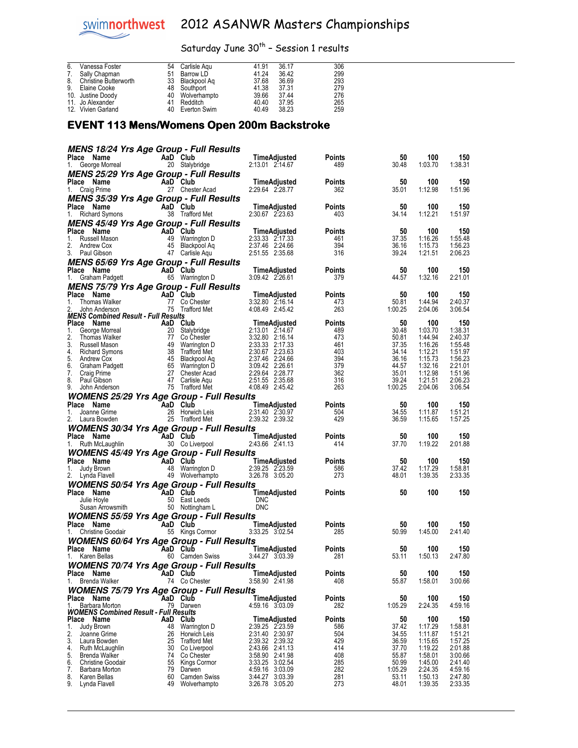## Saturday June 30<sup>th</sup> - Session 1 results

| 6. | Vanessa Foster               | 54 | Carlisle Agu    | 41.91 | 36.17 | 306 |
|----|------------------------------|----|-----------------|-------|-------|-----|
| 7. | Sally Chapman                | 51 | Barrow LD       | 41.24 | 36.42 | 299 |
| 8. | <b>Christine Butterworth</b> |    | 33 Blackpool Ag | 37.68 | 36.69 | 293 |
| 9. | Elaine Cooke                 |    | 48 Southport    | 41.38 | 37.31 | 279 |
|    | 10. Justine Doody            |    | 40 Wolverhampto | 39.66 | 37.44 | 276 |
|    | 11. Jo Alexander             |    | 41 Redditch     | 40.40 | 37.95 | 265 |
|    | 12. Vivien Garland           | 40 | Everton Swim    | 40.49 | 38.23 | 259 |

#### EVENT 113 Mens/ Womens Open 200m Backstroke

|                                                                                                                                                                                                                                                              |           | MENS 18/24 Yrs Age Group - Full Results      |                                                                                                                                                                                                                                                      |                      |                  |                    |                    |
|--------------------------------------------------------------------------------------------------------------------------------------------------------------------------------------------------------------------------------------------------------------|-----------|----------------------------------------------|------------------------------------------------------------------------------------------------------------------------------------------------------------------------------------------------------------------------------------------------------|----------------------|------------------|--------------------|--------------------|
| <b>Place Name</b><br>1. George Morreal                                                                                                                                                                                                                       |           | AaD Club<br><b>aD Club</b><br>20 Stalybridge | TimeAdjusted<br>2:13.01 2:14.67                                                                                                                                                                                                                      | Points<br>489        | 50<br>30.48      | 100<br>1:03.70     | 150<br>1:38.31     |
| <b>MENS 25/29 Yrs Age Group - Full Results</b>                                                                                                                                                                                                               |           |                                              |                                                                                                                                                                                                                                                      |                      |                  |                    |                    |
| Place Name<br>1. Craig Prime                                                                                                                                                                                                                                 |           | AaD Club                                     | <b>TimeAdjusted</b><br>2:29.64 2:28.77                                                                                                                                                                                                               | Points<br>362        | 50<br>35.01      | 100<br>1:12.98     | 150<br>1:51.96     |
| <b>MENS 35/39 Yrs Age Group - Full Results</b>                                                                                                                                                                                                               |           |                                              |                                                                                                                                                                                                                                                      |                      |                  |                    |                    |
|                                                                                                                                                                                                                                                              |           |                                              | Place Name AaD Club TimeAdjusted<br>1. Richard Symons 38 Trafford Met 2:30.67 2:23.63                                                                                                                                                                | Points               | 50               | 100                | 150                |
|                                                                                                                                                                                                                                                              |           |                                              |                                                                                                                                                                                                                                                      | 403                  | 34.14            | 1:12.21            | 1:51.97            |
| <b>MENS 45/49 Yrs Age Group - Full Results</b>                                                                                                                                                                                                               |           |                                              | TimeAdjusted                                                                                                                                                                                                                                         | Points               | 50               | 100                | 150                |
|                                                                                                                                                                                                                                                              |           |                                              | 2:33.33 2:17.33                                                                                                                                                                                                                                      | 461                  | 37.35            | 1:16.26            | 1:55.48            |
| Place Name<br>1. Russell Mason<br>2. Andrew Cox<br>3. Paul Gibson<br>47 Carlisle Aqu                                                                                                                                                                         |           |                                              | 2:37.46 2:24.66                                                                                                                                                                                                                                      | 394                  | 36.16            | 1:15.73            | 1:56.23            |
|                                                                                                                                                                                                                                                              |           |                                              | 2:51.55 2:35.68                                                                                                                                                                                                                                      | 316                  | 39.24            | 1:21.51            | 2:06.23            |
| <b>MENS 65/69 Yrs Age Group - Full Results</b>                                                                                                                                                                                                               |           |                                              | TimeAdjusted                                                                                                                                                                                                                                         | <b>Points</b>        | 50               | 100                | 150                |
| <b>Place Name</b><br>1. Graham Padgett<br>1. Graham Padgett<br>1. Graham Padgett<br>1. Graham Padgett<br>1. Graham Padgett<br>1. Graham Padgett<br>1. Graham Padgett<br>1. Graham Padgett<br>1. Graham Padgett<br>1. Graham Padgett<br>1. Graham Padgett<br> |           |                                              | 3:09.42 2:26.61                                                                                                                                                                                                                                      | 379                  | 44.57            | 1:32.16            | 2:21.01            |
| MENS 75/79 Yrs Age Group - Full Results                                                                                                                                                                                                                      |           |                                              |                                                                                                                                                                                                                                                      |                      |                  |                    |                    |
| Place Name<br>1.                                                                                                                                                                                                                                             |           |                                              | Comme Many Club TimeAdjusted<br>Thomas Walker 77 Co Chester 3:32.80 2:16.14<br>John Anderson 75 Trafford Met 4:08.49 2:45.42<br>Anderson 75 Trafford Met 4:08.49 2:45.42                                                                             | <b>Points</b><br>473 | 50<br>50.81      | 100<br>1:44.94     | 150<br>2:40.37     |
| 2.                                                                                                                                                                                                                                                           |           |                                              |                                                                                                                                                                                                                                                      | 263                  | 1:00.25          | 2:04.06            | 3:06.54            |
| MENS Combined Result - Full Results                                                                                                                                                                                                                          |           |                                              |                                                                                                                                                                                                                                                      |                      |                  |                    |                    |
|                                                                                                                                                                                                                                                              |           |                                              | MENS Combined Result - Full Results<br>1. George Morreal<br>1. George Morreal<br>2. Thomas Walker<br>2. Thomas Walker<br>3. Russell Mason<br>4. Richard Symons<br>4. Richard Symons<br>4. Richard Symons<br>4. Richard Mens<br>4. Richard Mens<br>4. | Points<br>489        | 50<br>30.48      | 100<br>1:03.70     | 150<br>1:38.31     |
|                                                                                                                                                                                                                                                              |           |                                              |                                                                                                                                                                                                                                                      | 473                  | 50.81            | 1:44.94            | 2:40.37            |
|                                                                                                                                                                                                                                                              |           |                                              |                                                                                                                                                                                                                                                      | 461                  | 37.35            | 1:16.26            | 1:55.48            |
|                                                                                                                                                                                                                                                              |           |                                              |                                                                                                                                                                                                                                                      | 403<br>394           | 34.14<br>36.16   | 1:12.21<br>1:15.73 | 1:51.97<br>1:56.23 |
|                                                                                                                                                                                                                                                              |           |                                              |                                                                                                                                                                                                                                                      | 379                  | 44.57            | 1:32.16            | 2:21.01            |
|                                                                                                                                                                                                                                                              |           |                                              |                                                                                                                                                                                                                                                      | 362                  | 35.01            | 1:12.98            | 1:51.96            |
|                                                                                                                                                                                                                                                              |           |                                              |                                                                                                                                                                                                                                                      | 316<br>263           | 39.24<br>1:00.25 | 1:21.51<br>2:04.06 | 2:06.23<br>3:06.54 |
| <b>WOMENS 25/29 Yrs Age Group - Full Results</b>                                                                                                                                                                                                             |           |                                              |                                                                                                                                                                                                                                                      |                      |                  |                    |                    |
|                                                                                                                                                                                                                                                              |           |                                              |                                                                                                                                                                                                                                                      | Points               | 50               | 100                | 150                |
|                                                                                                                                                                                                                                                              |           |                                              | Place Name City 2:31.40 Club Club Time Adjusted<br>1. Joanne Grime 26 Horwich Leis 2:31.40 2:30.97<br>2. Laura Bowden 25 Trafford Met 2:39.32 2:39.32                                                                                                | 504                  | 34.55            | 1:11.87            | 1:51.21            |
|                                                                                                                                                                                                                                                              |           |                                              |                                                                                                                                                                                                                                                      | 429                  | 36.59            | 1:15.65            | 1:57.25            |
| <b>WOMENS 30/34 Yrs Age Group - Full Results</b>                                                                                                                                                                                                             |           |                                              |                                                                                                                                                                                                                                                      |                      |                  |                    |                    |
|                                                                                                                                                                                                                                                              |           |                                              |                                                                                                                                                                                                                                                      |                      |                  |                    |                    |
|                                                                                                                                                                                                                                                              |           |                                              |                                                                                                                                                                                                                                                      | <b>Points</b>        | 50               | 100                | 150                |
|                                                                                                                                                                                                                                                              |           |                                              | Place Name AaD Club TimeAdjusted<br>1. Ruth McLaughlin 30 Co Liverpool 2:43.66 2:41.13                                                                                                                                                               | 414                  | 37.70            | 1:19.22            | 2:01.88            |
| <b>WOMENS 45/49 Yrs Age Group - Full Results</b>                                                                                                                                                                                                             |           |                                              |                                                                                                                                                                                                                                                      | Points               | 50               | 100                | 150                |
|                                                                                                                                                                                                                                                              |           |                                              |                                                                                                                                                                                                                                                      | 586                  | 37.42            | 1:17.29            | 1:58.81            |
|                                                                                                                                                                                                                                                              |           |                                              | Place Name Adjusted<br>1. Judy Brown 48 Warrington D 2:39.25 2:23.59<br>2. Lynda Flavell 49 Wolverhampto 3:26.78 3:05.20                                                                                                                             | 273                  | 48.01            | 1:39.35            | 2:33.35            |
| <b>WOMENS 50/54 Yrs Age Group - Full Results</b>                                                                                                                                                                                                             |           |                                              |                                                                                                                                                                                                                                                      |                      |                  |                    |                    |
| Place Name                                                                                                                                                                                                                                                   |           |                                              | TimeAdjusted<br><sup>DNC</sup>                                                                                                                                                                                                                       | <b>Points</b>        | 50               | 100                | 150                |
| Comment of the Comment of Club<br>Julie Hoyle 50 East Leeds<br>Susan Arrowsmith 50 Nottingham L                                                                                                                                                              |           |                                              | <b>DNC</b>                                                                                                                                                                                                                                           |                      |                  |                    |                    |
| <b>WOMENS 55/59 Yrs Age Group - Full Results</b>                                                                                                                                                                                                             |           |                                              |                                                                                                                                                                                                                                                      |                      |                  |                    |                    |
|                                                                                                                                                                                                                                                              |           |                                              |                                                                                                                                                                                                                                                      | Points               | 50               | 100                | 150                |
|                                                                                                                                                                                                                                                              |           |                                              | <b>Place Name Manuel Aad Club Club TimeAdjusted</b><br>1. Christine Goodair 65 Kings Cormor 3:33.25 3:02.54                                                                                                                                          | 285                  | 50.99            | 1:45.00            | 2:41.40            |
| <b>WOMENS 60/64 Yrs Age Group - Full Results</b><br>Place Name                                                                                                                                                                                               |           |                                              |                                                                                                                                                                                                                                                      | Points               | 50               | 100                | 150                |
| 1. Karen Bellas                                                                                                                                                                                                                                              |           |                                              | <b>AaD Club</b> TimeAdjusted<br>60 Camden Swiss 3:44.27 3:03.39                                                                                                                                                                                      | 281                  | 53.11            | 1:50.13            | 2:47.80            |
| <b>WOMENS 70/74 Yrs Age Group - Full Results</b>                                                                                                                                                                                                             |           |                                              |                                                                                                                                                                                                                                                      |                      |                  |                    |                    |
| Place<br>Name                                                                                                                                                                                                                                                |           | AaD Club                                     | TimeAdjusted                                                                                                                                                                                                                                         | Points               | 50               | 100                | 150                |
| Brenda Walker<br>1.                                                                                                                                                                                                                                          |           | 74 Co Chester                                | 3:58.90 2:41.98                                                                                                                                                                                                                                      | 408                  | 55.87            | 1:58.01            | 3:00.66            |
| <b>WOMENS 75/79 Yrs Age Group - Full Results</b><br>Place Name                                                                                                                                                                                               |           | AaD Club                                     | TimeAdjusted                                                                                                                                                                                                                                         | Points               | 50               | 100                | 150                |
| Barbara Morton                                                                                                                                                                                                                                               |           | 79 Darwen                                    | 4:59.16 3:03.09                                                                                                                                                                                                                                      | 282                  | 1:05.29          | 2:24.35            | 4:59.16            |
| <b>WOMENS Combined Result - Full Results</b>                                                                                                                                                                                                                 |           |                                              |                                                                                                                                                                                                                                                      |                      |                  |                    |                    |
| Place Name<br>Judy Brown<br>1.                                                                                                                                                                                                                               | AaD<br>48 | Club<br>Warrington D                         | TimeAdjusted<br>2:39.25 2:23.59                                                                                                                                                                                                                      | Points<br>586        | 50<br>37.42      | 100<br>1:17.29     | 150<br>1:58.81     |
| 2.<br>Joanne Grime                                                                                                                                                                                                                                           | 26        | Horwich Leis                                 | 2:31.40 2:30.97                                                                                                                                                                                                                                      | 504                  | 34.55            | 1:11.87            | 1:51.21            |
| 3.<br>Laura Bowden                                                                                                                                                                                                                                           | 25        | <b>Trafford Met</b>                          | 2:39.32 2:39.32                                                                                                                                                                                                                                      | 429                  | 36.59            | 1:15.65            | 1:57.25            |
| 4.<br>Ruth McLaughlin<br>5.<br><b>Brenda Walker</b>                                                                                                                                                                                                          | 30<br>74  | Co Liverpool<br>Co Chester                   | 2:43.66 2:41.13<br>3:58.90 2:41.98                                                                                                                                                                                                                   | 414<br>408           | 37.70<br>55.87   | 1:19.22<br>1:58.01 | 2:01.88<br>3:00.66 |
| 6.<br><b>Christine Goodair</b>                                                                                                                                                                                                                               | 55        | Kings Cormor                                 | 3:33.25 3:02.54                                                                                                                                                                                                                                      | 285                  | 50.99            | 1:45.00            | 2:41.40            |
| 7.<br>Barbara Morton                                                                                                                                                                                                                                         | 79        | Darwen                                       | 4:59.16 3:03.09                                                                                                                                                                                                                                      | 282                  | 1:05.29          | 2:24.35            | 4:59.16            |
| 8.<br>Karen Bellas<br>9.<br>Lynda Flavell                                                                                                                                                                                                                    | 60 -      | <b>Camden Swiss</b><br>49 Wolverhampto       | 3:44.27 3:03.39<br>3:26.78 3:05.20                                                                                                                                                                                                                   | 281<br>273           | 53.11<br>48.01   | 1:50.13<br>1:39.35 | 2:47.80<br>2:33.35 |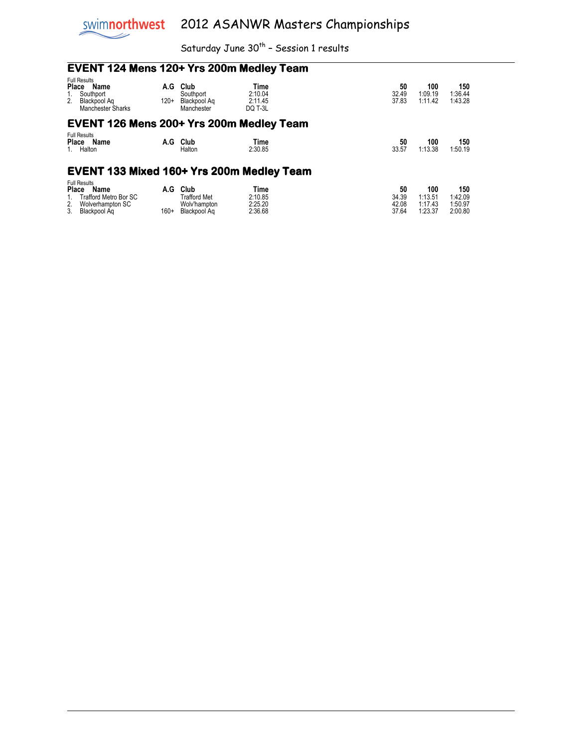

## **EVENT 124 Mens 120+ Yrs 200m Medley Team**

| <b>Full Results</b><br>Place<br>Name<br>Southport<br>2 <sub>1</sub><br>Blackpool Ag<br><b>Manchester Sharks</b>             | A.G<br>$120+$ | Club<br>Southport<br>Blackpool Ag<br>Manchester             | Time<br>2:10.04<br>2:11.45<br>DO T-3L |  | 50<br>32.49<br>37.83          | 100<br>1:09.19<br>1:11.42            | 150<br>1:36.44<br>1:43.28            |  |  |
|-----------------------------------------------------------------------------------------------------------------------------|---------------|-------------------------------------------------------------|---------------------------------------|--|-------------------------------|--------------------------------------|--------------------------------------|--|--|
| EVENT 126 Mens 200+ Yrs 200m Medley Team                                                                                    |               |                                                             |                                       |  |                               |                                      |                                      |  |  |
| <b>Full Results</b><br>Name<br>Place<br>Halton<br>1.                                                                        | A.G           | Club<br>Halton                                              | Time<br>2:30.85                       |  | 50<br>33.57                   | 100<br>1:13.38                       | 150<br>1:50.19                       |  |  |
| <b>EVENT 133 Mixed 160+ Yrs 200m Medley Team</b>                                                                            |               |                                                             |                                       |  |                               |                                      |                                      |  |  |
| <b>Full Results</b><br><b>Place</b><br>Name<br><b>Trafford Metro Bor SC</b><br>2.<br>Wolverhampton SC<br>Blackpool Ag<br>3. | A.G<br>$160+$ | Club<br><b>Trafford Met</b><br>Wolv'hampton<br>Blackpool Ag | Time<br>2:10.85<br>2:25.20<br>2:36.68 |  | 50<br>34.39<br>42.08<br>37.64 | 100<br>1:13.51<br>1:17.43<br>1:23.37 | 150<br>1:42.09<br>1:50.97<br>2:00.80 |  |  |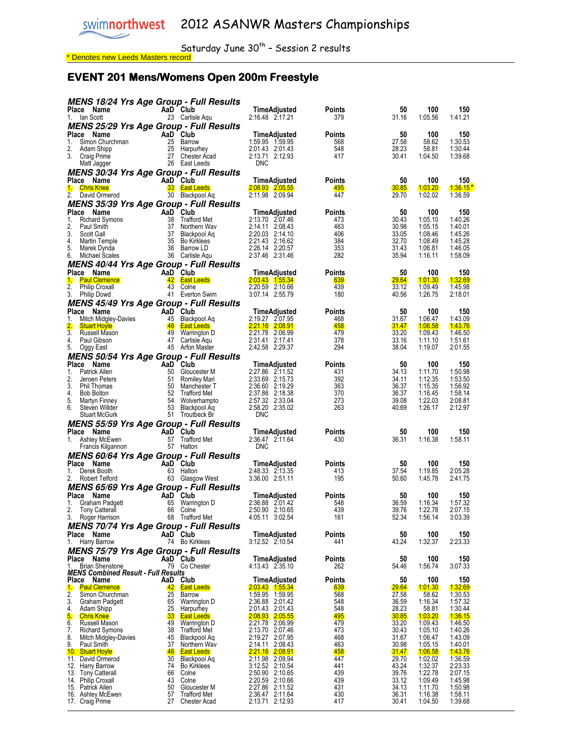#### EVENT 201 Mens/Womens Open 200m Freestyle

<mark>\* Denotes new Leeds Masters record</mark>

| <b>MENS 18/24 Yrs Age Group - Full Results</b>                         |                       |                                    |                                    |               |                |                    |                            |
|------------------------------------------------------------------------|-----------------------|------------------------------------|------------------------------------|---------------|----------------|--------------------|----------------------------|
| Place Name                                                             |                       | AaD Club                           | TimeAdjusted                       | Points        | 50             | 100                | 150                        |
| 1. Ian Scott                                                           |                       | 23 Carlisle Aqu                    | 2:16.48 2:17.21                    | 379           | 31.16          | 1:05.56            | 1:41.21                    |
| <b>MENS 25/29 Yrs Age Group - Full Results</b><br>Place Name           |                       | AaD Club                           |                                    | <b>Points</b> | 50             | 100                | 150                        |
| 1.<br>Simon Churchman                                                  |                       | 25 Barrow                          | TimeAdjusted<br>1:59.95 1:59.95    | 568           | 27.58          | 58.62              | 1:30.53                    |
| 2.<br>Adam Shipp                                                       |                       | 25 Harpurhey                       | 2:01.43 2:01.43                    | 548           | 28.23          | 58.81              | 1:30.44                    |
| 3. Craig Prime                                                         |                       | 27 Chester Acad                    | 2:13.71 2:12.93                    | 417           | 30.41          | 1:04.50            | 1:39.68                    |
| Matt Jagger                                                            |                       | 26 East Leeds                      | <b>DNC</b>                         |               |                |                    |                            |
| <b>MENS 30/34 Yrs Age Group - Full Results</b><br>Place Name           |                       | AaD Club                           | TimeAdjusted                       | Points        | 50             | 100                | 150                        |
| <b>Chris Knee</b><br>$\mathbf{1}$                                      |                       | <b>33 East Leeds</b>               | $2:08.93$ $2:05.55$                | 495           | 30.85          | 1:03.20            | $1:36.15*$                 |
| 2.<br>David Ormerod                                                    |                       | 30 Blackpool Aq                    | 2:11.98 2:09.94                    | 447           | 29.70          | 1:02.02            | 1:36.59                    |
| <b>MENS 35/39 Yrs Age Group - Full Results</b>                         |                       |                                    |                                    |               |                |                    |                            |
| Place<br>Name                                                          |                       | AaD Club                           | TimeAdjusted                       | Points        | 50             | 100                | 150                        |
| 1.<br><b>Richard Symons</b><br>2.                                      |                       | 38 Trafford Met<br>37 Northern Wav | 2:13.70 2:07.46<br>2:14.11 2:08.43 | 473<br>463    | 30.43<br>30.98 | 1:05.10<br>1:05.15 | 1:40.26<br>1:40.01         |
| Paul Smith<br>3.<br>Scott Gall                                         | 37                    | Blackpool Ag                       | 2:20.03 2:14.10                    | 406           | 33.05          | 1:08.46            | 1:45.26                    |
| 4.<br>Martin Temple                                                    | 35                    | <b>Bo Kirklees</b>                 | 2:21.43 2:16.62                    | 384           | 32.70          | 1:08.49            | 1:45.28                    |
| 5.<br>Marek Dynda                                                      |                       | 36 Barrow LD                       | 2:26.14 2:20.57                    | 353           | 31.43          | 1:06.81            | 1:46.05                    |
| 6.<br>Michael Scales                                                   |                       | 36 Carlisle Aqu                    | 2:37.46 2:31.46                    | 282           | 35.94          | 1:16.11            | 1:58.09                    |
| <b>MENS 40/44 Yrs Age Group - Full Results</b><br>Place Name           |                       | AaD Club                           | TimeAdjusted                       | Points        | 50             | 100                | 150                        |
| 1.<br><b>Paul Clemence</b>                                             |                       | 42 East Leeds                      | 2:03.43 1:55.34                    | 639           | <b>29.64</b>   | 1:01.30            | <u> 1:32.69</u>            |
| 2.<br><b>Philip Croxall</b>                                            |                       | 43 Colne                           | 2:20.59 2:10.66                    | 439           | 33.12          | 1:09.49            | 1:45.98                    |
| 3.<br><b>Philip Dowd</b>                                               |                       | 41 Everton Swim                    | 3:07.14 2:55.79                    | 180           | 40.56          | 1:26.75            | 2:18.01                    |
| <b>MENS 45/49 Yrs Age Group - Full Results</b>                         |                       |                                    |                                    |               |                |                    |                            |
| Place Name<br>1.<br>Mitch Midgley-Davies                               | 45                    | AaD Club<br>Blackpool Ag           | TimeAdjusted<br>2:19.27 2:07.95    | Points<br>468 | 50<br>31.67    | 100<br>1:06.47     | 150<br>1:43.09             |
| 2.<br><b>Stuart Hoyle</b>                                              | 46                    | <b>East Leeds</b>                  | 2:21.16 2:08.91                    | 458           | <u>31.47</u>   | 1:06.58            | 1:43.76                    |
| 3 <sub>1</sub><br>Russell Mason                                        |                       | 49 Warrington D                    | 2:21.78 2:06.99                    | 479           | 33.20          | 1:09.43            | 1:46.50                    |
| 4.<br>Paul Gibson                                                      |                       | 47 Carlisle Aqu                    | 2:31.41 2:17.41                    | 378           | 33.16          | 1:11.10            | 1:51.61                    |
| 5.<br>Oggy East                                                        |                       | 45 Arfon Master                    | 2:42.58 2:29.37                    | 294           | 38.04          | 1:19.07            | 2:01.55                    |
| <b>MENS 50/54 Yrs Age Group - Full Results</b><br>Place<br>Name        |                       | AaD Club                           | TimeAdjusted                       | Points        | 50             | 100                | 150                        |
| Patrick Allen<br>1.                                                    | 50                    | Gloucester M                       | 2:27.86 2:11.52                    | 431           | 34.13          | 1:11.70            | 1:50.98                    |
| 2.<br>Jeroen Peters                                                    | 51                    | Romiley Mari                       | 2:33.69 2:15.73                    | 392           | 34.11          | 1:12.35            | 1:53.50                    |
| 3.<br>Phil Thomas                                                      | 50                    | Manchester T                       | 2:36.60 2:19.29                    | 363           | 36.37          | 1:15.35            | 1:56.92                    |
| 4.<br><b>Bob Bolton</b><br>5.<br>Martyn Finney                         | 54                    | 52 Trafford Met<br>Wolverhampto    | 2:37.86 2:18.38<br>2:57.32 2:33.04 | 370<br>273    | 36.37<br>39.08 | 1:16.45<br>1:22.03 | 1:58.14<br>2:08.81         |
| 6.<br>Steven Willder                                                   | 53                    | Blackpool Aq                       | 2:58.20 2:35.02                    | 263           | 40.69          | 1:26.17            | 2:12.97                    |
| <b>Stuart McGurk</b>                                                   |                       | 51 Troutbeck Br                    | <b>DNC</b>                         |               |                |                    |                            |
| <b>MENS 55/59 Yrs Age Group - Full Results</b>                         |                       |                                    |                                    |               |                |                    |                            |
| <b>Place</b><br>Name                                                   |                       | AaD Club                           | TimeAdjusted                       | Points        | 50             | 100                | 150                        |
| 1. Ashley McEwen<br>Francis Kilgannon                                  |                       | 57 Trafford Met<br>57 Halton       | 2:36.47 2:11.64<br><b>DNC</b>      | 430           | 36.31          | 1:16.38            | 1:58.11                    |
| <b>MENS 60/64 Yrs Age Group - Full Results</b>                         |                       |                                    |                                    |               |                |                    |                            |
| Place Name                                                             |                       | AaD Club                           | TimeAdjusted                       | Points        | 50             | 100                | 150                        |
| 1.<br>Derek Booth                                                      |                       | 63 Halton                          | 2:48.33 2:13.35                    | 413           | 37.54          | 1:19.85            | 2:05.28                    |
| 2.<br>Robert Telford                                                   |                       | 63 Glasgow West                    | 3:36.00 2:51.11                    | 195           | 50.60          | 1:45.78            | 2:41.75                    |
| <b>MENS 65/69 Yrs Age Group - Full Results</b>                         |                       |                                    |                                    |               |                |                    |                            |
| Place<br>Name<br>1.<br>Graham Padgett                                  | 65                    | AaD Club<br>Warrington D           | TimeAdjusted<br>2:36.88 2:01.42    | Points<br>548 | 50<br>36.59    | 100<br>1:16.34     | 150<br>1:57.32             |
| 2.<br><b>Tony Catterall</b>                                            | 66                    | Colne                              | 2:50.90 2:10.65                    | 439           | 39.76          | 1:22.78            | 2:07.15                    |
| 3.<br>Roger Harrison                                                   |                       | 68 Trafford Met                    | 4:05.11 3:02.54                    | 161           | 52.34          | 1:56.14            | 3:03.39                    |
| <b>MENS 70/74 Yrs Age Group - Full Results</b>                         |                       |                                    |                                    |               |                |                    |                            |
| Place Name                                                             |                       | AaD Club                           | TimeAdjusted                       | Points        | 50             | 100                | 150                        |
| Harry Barrow<br>1.                                                     |                       | 74 Bo Kirklees                     | 3:12.52 2:10.54                    | 441           | 43.24          | 1:32.37            | 2:23.33                    |
| <b>MENS 75/79 Yrs Age Group - Full Results</b><br><b>Place</b><br>Name |                       | AaD Club                           | TimeAdjusted                       | Points        | 50             | 100                | 150                        |
| <b>Brian Shenstone</b><br>1.                                           |                       | 79 Co Chester                      | 4:13.43 2:35.10                    | 262           | 54.46          | 1:56.74            | 3:07.33                    |
| <b>MENS Combined Result - Full Results</b>                             |                       |                                    |                                    |               |                |                    |                            |
| Place<br>Name                                                          |                       | AaD Club<br><b>East Leeds</b>      | TimeAdjusted<br>2:03.43 1:55.34    | Points<br>639 | 50<br>29.64    | 100<br>1:01.30     | 150                        |
| 1.<br><b>Paul Clemence</b><br>2.<br>Simon Churchman                    | 42<br>25              | Barrow                             | 1:59.95 1:59.95                    | 568           | 27.58          | 58.62              | <u> 1:32.69</u><br>1:30.53 |
| 3.<br>Graham Padgett                                                   | 65                    | Warrington D                       | 2:36.88 2:01.42                    | 548           | 36.59          | 1:16.34            | 1:57.32                    |
| Adam Shipp<br>4.                                                       | 25                    | Harpurhey                          | 2:01.43 2:01.43                    | 548           | 28.23          | 58.81              | 1:30.44                    |
| 5.<br><b>Chris Knee</b><br>6.<br>Russell Mason                         | 33 <sub>°</sub><br>49 | <b>East Leeds</b><br>Warrington D  | 2:08.93 2:05.55<br>2:21.78 2:06.99 | 495<br>479    | 30.85<br>33.20 | 1:03.20<br>1:09.43 | 1:36.15<br>1:46.50         |
| 7.<br><b>Richard Symons</b>                                            | 38                    | <b>Trafford Met</b>                | 2:13.70 2:07.46                    | 473           | 30.43          | 1:05.10            | 1:40.26                    |
| 8.<br>Mitch Midgley-Davies                                             | 45                    | Blackpool Aq                       | 2:19.27 2:07.95                    | 468           | 31.67          | 1:06.47            | 1:43.09                    |
| 9.<br>Paul Smith<br>10. Stuart Hoyle                                   | 37<br>46              | Northern Wav<br><b>East Leeds</b>  | 2:14.11 2:08.43<br>2:21.16 2:08.91 | 463<br>458    | 30.98<br>31.47 | 1:05.15<br>1:06.58 | 1:40.01<br>1:43.76         |
| 11. David Ormerod                                                      | 30                    | Blackpool Aq                       | 2:11.98 2:09.94                    | 447           | 29.70          | 1:02.02            | 1:36.59                    |
| 12. Harry Barrow                                                       | 74                    | <b>Bo Kirklees</b>                 | 3:12.52 2:10.54                    | 441           | 43.24          | 1:32.37            | 2:23.33                    |
| 13. Tony Catterall                                                     | 66                    | Colne                              | 2:50.90 2:10.65                    | 439           | 39.76          | 1:22.78            | 2:07.15                    |
| 14. Philip Croxall<br>15. Patrick Allen                                | 43<br>50              | Colne<br>Gloucester M              | 2:20.59 2:10.66<br>2:27.86 2:11.52 | 439<br>431    | 33.12<br>34.13 | 1:09.49<br>1:11.70 | 1:45.98<br>1:50.98         |
| 16. Ashley McEwen                                                      | 57                    | <b>Trafford Met</b>                | 2:36.47 2:11.64                    | 430           | 36.31          | 1:16.38            | 1:58.11                    |
| 17. Craig Prime                                                        | 27                    | <b>Chester Acad</b>                | 2:13.71 2:12.93                    | 417           | 30.41          | 1:04.50            | 1:39.68                    |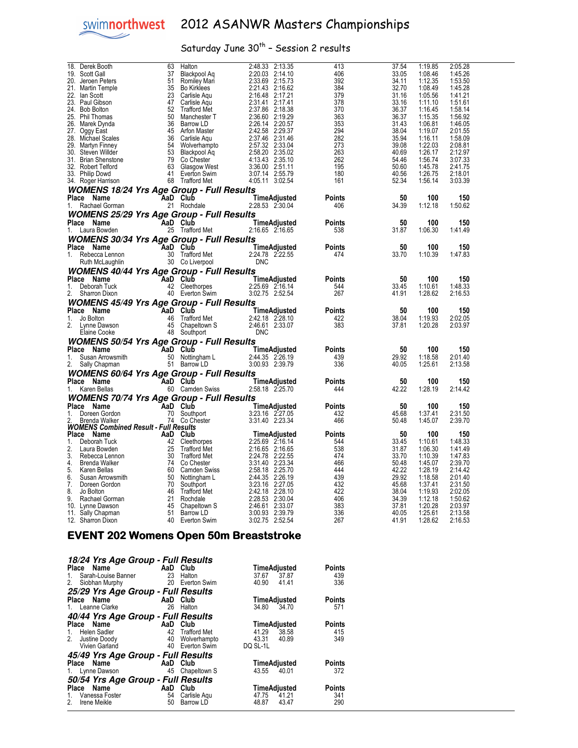

Saturday June  $30^{th}$  - Session 2 results

| Derek Booth<br>18.                               | 63              | Halton                             | 2:48.33<br>2:13.35                 | 413           | 37.54          | 1:19.85            | 2:05.28            |  |
|--------------------------------------------------|-----------------|------------------------------------|------------------------------------|---------------|----------------|--------------------|--------------------|--|
| 19.<br>Scott Gall                                | 37              | Blackpool Aq                       | 2:20.03<br>2:14.10                 | 406           | 33.05          | 1:08.46            | 1:45.26            |  |
| 20.<br>Jeroen Peters                             | 51              |                                    | 2:33.69 2:15.73                    | 392           | 34.11          | 1:12.35            | 1:53.50            |  |
|                                                  |                 | Romiley Mari                       |                                    |               |                |                    |                    |  |
| 21. Martin Temple                                | 35              | <b>Bo Kirklees</b>                 | 2:21.43 2:16.62                    | 384           | 32.70          | 1:08.49            | 1:45.28            |  |
| 22.<br>lan Scott                                 | 23              | Carlisle Aqu                       | 2:16.48 2:17.21                    | 379           | 31.16          | 1:05.56            | 1:41.21            |  |
| 23.<br>Paul Gibson                               | 47              | Carlisle Aqu                       | 2:31.41 2:17.41                    | 378           | 33.16          | 1:11.10            | 1:51.61            |  |
| 24.<br><b>Bob Bolton</b>                         | 52              | <b>Trafford Met</b>                | 2:37.86 2:18.38                    | 370           | 36.37          | 1:16.45            | 1:58.14            |  |
| 25.<br>Phil Thomas                               | 50              | Manchester T                       | 2:36.60 2:19.29                    | 363           | 36.37          | 1:15.35            | 1:56.92            |  |
| 26. Marek Dynda                                  | 36              | Barrow LD                          | 2:26.14 2:20.57                    | 353           | 31.43          | 1:06.81            | 1:46.05            |  |
|                                                  |                 |                                    | 2:42.58 2:29.37                    | 294           | 38.04          | 1:19.07            |                    |  |
| 27.<br>Oggy East                                 |                 | 45 Arfon Master                    |                                    |               |                |                    | 2:01.55            |  |
| 28.<br>Michael Scales                            | 36              | Carlisle Aqu                       | 2:37.46 2:31.46                    | 282           | 35.94          | 1:16.11            | 1:58.09            |  |
| 29.<br>Martyn Finney                             | 54              | Wolverhampto                       | 2:57.32 2:33.04                    | 273           | 39.08          | 1:22.03            | 2:08.81            |  |
| 30.<br>Steven Willder                            | 53              | Blackpool Aq                       | 2:58.20 2:35.02                    | 263           | 40.69          | 1:26.17            | 2:12.97            |  |
| 31.<br><b>Brian Shenstone</b>                    | 79              | Co Chester                         | 4:13.43 2:35.10                    | 262           | 54.46          | 1:56.74            | 3:07.33            |  |
| 32.<br>Robert Telford                            | 63              | Glasgow West                       | 3:36.00 2:51.11                    | 195           | 50.60          | 1:45.78            | 2:41.75            |  |
| 33. Philip Dowd                                  | 41              |                                    | 3:07.14 2:55.79                    | 180           | 40.56          | 1:26.75            | 2:18.01            |  |
|                                                  |                 | Everton Swim                       |                                    |               |                |                    |                    |  |
| 34. Roger Harrison                               |                 | 68 Trafford Met                    | 4:05.11 3:02.54                    | 161           | 52.34          | 1:56.14            | 3:03.39            |  |
| <b>WOMENS 18/24 Yrs Age Group - Full Results</b> |                 |                                    |                                    |               |                |                    |                    |  |
| Place Name                                       |                 | AaD Club                           | TimeAdjusted                       | <b>Points</b> | 50             | 100                | 150                |  |
|                                                  |                 |                                    |                                    |               |                |                    |                    |  |
| Rachael Gorman<br>1.                             |                 | 21 Rochdale                        | 2:28.53 2:30.04                    | 406           | 34.39          | 1:12.18            | 1:50.62            |  |
| <b>WOMENS 25/29 Yrs Age Group - Full Results</b> |                 |                                    |                                    |               |                |                    |                    |  |
| Place Name                                       |                 | AaD Club                           | TimeAdjusted                       | Points        | 50             | 100                | 150                |  |
| 1.<br>Laura Bowden                               |                 | 25 Trafford Met                    | 2:16.65 2:16.65                    | 538           | 31.87          | 1:06.30            | 1:41.49            |  |
|                                                  |                 |                                    |                                    |               |                |                    |                    |  |
| <b>WOMENS 30/34 Yrs Age Group - Full Results</b> |                 |                                    |                                    |               |                |                    |                    |  |
| Place Name                                       |                 | <b>AaD Club</b>                    | TimeAdjusted                       | <b>Points</b> | 50             | 100                | 150                |  |
| 1. Rebecca Lennon                                |                 | 30 Trafford Met                    | 2:24.78 2:22.55                    | 474           | 33.70          | 1:10.39            | 1:47.83            |  |
|                                                  |                 |                                    | <b>DNC</b>                         |               |                |                    |                    |  |
| Ruth McLaughlin                                  |                 | 30 Co Liverpool                    |                                    |               |                |                    |                    |  |
| <b>WOMENS 40/44 Yrs Age Group - Full Results</b> |                 |                                    |                                    |               |                |                    |                    |  |
| Place Name                                       |                 | AaD Club                           | TimeAdjusted                       | <b>Points</b> | 50             | 100                | 150                |  |
| 1.<br>Deborah Tuck                               |                 | 42 Cleethorpes                     | 2:25.69 2:16.14                    | 544           | 33.45          | 1:10.61            | 1:48.33            |  |
|                                                  |                 |                                    | 3:02.75 2:52.54                    | 267           |                |                    |                    |  |
| 2.<br>Sharron Dixon                              |                 | 40 Everton Swim                    |                                    |               | 41.91          | 1:28.62            | 2:16.53            |  |
| <b>WOMENS 45/49 Yrs Age Group - Full Results</b> |                 |                                    |                                    |               |                |                    |                    |  |
| Place Name                                       |                 | AaD Club                           | TimeAdjusted                       | Points        | 50             | 100                | 150                |  |
| Jo Bolton<br>1.                                  |                 | 46 Trafford Met                    | 2:42.18 2:28.10                    | 422           | 38.04          | 1:19.93            | 2:02.05            |  |
|                                                  |                 |                                    |                                    |               |                |                    |                    |  |
| $\mathbf{2}$<br>Lynne Dawson                     |                 | 45 Chapeltown S                    | 2:46.61 2:33.07                    | 383           | 37.81          | 1:20.28            | 2:03.97            |  |
| Elaine Cooke                                     |                 | 48 Southport                       | <b>DNC</b>                         |               |                |                    |                    |  |
| <b>WOMENS 50/54 Yrs Age Group - Full Results</b> |                 |                                    |                                    |               |                |                    |                    |  |
| Place Name                                       | <b>AaD</b> Club |                                    | TimeAdjusted                       | Points        | 50             | 100                | 150                |  |
|                                                  |                 |                                    |                                    |               |                |                    |                    |  |
| 1.<br>Susan Arrowsmith                           |                 | 50 Nottingham L                    | 2:44.35 2:26.19                    | 439           | 29.92          | 1:18.58            | 2:01.40            |  |
| 2.<br>Sally Chapman                              |                 | 51 Barrow LD                       | 3:00.93 2:39.79                    | 336           |                |                    |                    |  |
| <b>WOMENS 60/64 Yrs Age Group - Full Results</b> |                 |                                    |                                    |               | 40.05          | 1:25.61            | 2:13.58            |  |
|                                                  |                 |                                    |                                    |               |                |                    |                    |  |
|                                                  |                 |                                    |                                    |               |                |                    |                    |  |
| Place Name                                       | <b>AaD</b> Club |                                    | <b>TimeAdjusted</b>                | <b>Points</b> | 50             | 100                | 150                |  |
| 1. Karen Bellas                                  |                 | 60 Camden Swiss                    | 2:58.18 2:25.70                    | 444           | 42.22          | 1:28.19            | 2:14.42            |  |
|                                                  |                 |                                    |                                    |               |                |                    |                    |  |
| <b>WOMENS 70/74 Yrs Age Group - Full Results</b> |                 |                                    |                                    |               |                |                    |                    |  |
| Place Name                                       |                 | AaD Club                           | TimeAdjusted                       | Points        | 50             | 100                | 150                |  |
| 1.<br>Doreen Gordon                              |                 | 70 Southport                       | 3:23.16 2:27.05                    | 432           | 45.68          | 1:37.41            | 2:31.50            |  |
| Brenda Walker                                    |                 | 74 Co Chester                      | 3:31.40 2:23.34                    | 466           | 50.48          | 1:45.07            | 2:39.70            |  |
| <b>WOMENS Combined Result - Full Results</b>     |                 |                                    |                                    |               |                |                    |                    |  |
| Place Name                                       |                 | AaD Club                           | TimeAdjusted                       | <b>Points</b> | 50             | 100                | 150                |  |
| 1.<br>Deborah Tuck                               | 42              |                                    | 2:25.69 2:16.14                    | 544           | 33.45          | 1:10.61            | 1:48.33            |  |
| 2.<br>Laura Bowden                               | 25              | Cleethorpes<br><b>Trafford Met</b> | 2:16.65 2:16.65                    | 538           | 31.87          | 1:06.30            | 1:41.49            |  |
|                                                  |                 |                                    |                                    |               |                |                    |                    |  |
| 3.<br>Rebecca Lennon                             | 30              | Trafford Met                       | 2:24.78 2:22.55                    | 474           | 33.70          | 1:10.39            | 1:47.83            |  |
| 4.<br><b>Brenda Walker</b>                       | 74              | Co Chester                         | 3:31.40 2:23.34                    | 466           | 50.48          | 1:45.07            | 2:39.70            |  |
| 5.<br>Karen Bellas                               | 60              | <b>Camden Swiss</b>                | 2:58.18 2:25.70                    | 444           | 42.22          | 1:28.19            | 2:14.42            |  |
| 6.<br>Susan Arrowsmith                           | 50              | Nottingham L                       | 2:44.35 2:26.19                    | 439           | 29.92          | 1:18.58            | 2:01.40            |  |
| 7.<br>Doreen Gordon                              | 70              | Southport                          | 3:23.16 2:27.05                    | 432           | 45.68          | 1:37.41            | 2:31.50            |  |
| 8.<br>Jo Bolton                                  | 46              | <b>Trafford Met</b>                | 2:42.18 2:28.10                    | 422           | 38.04          | 1:19.93            | 2:02.05            |  |
| 9.                                               | 21              |                                    |                                    | 406           | 34.39          |                    | 1:50.62            |  |
| Rachael Gorman                                   |                 | Rochdale                           | 2:28.53 2:30.04                    |               |                | 1:12.18            |                    |  |
| 10. Lynne Dawson                                 | 45              | Chapeltown S                       | 2:46.61 2:33.07                    | 383           | 37.81          | 1:20.28            | 2:03.97            |  |
| 11.<br>Sally Chapman<br>12. Sharron Dixon        | 51              | Barrow LD<br>40 Everton Swim       | 3:00.93 2:39.79<br>3:02.75 2:52.54 | 336<br>267    | 40.05<br>41.91 | 1:25.61<br>1:28.62 | 2:13.58<br>2:16.53 |  |

#### EVENT 202 Womens Open 50m Breaststroke

| 18/24 Yrs Age Group - Full Results |     |                 |                     |               |
|------------------------------------|-----|-----------------|---------------------|---------------|
| Place Name                         |     | AaD Club        | TimeAdjusted        | <b>Points</b> |
| Sarah-Louise Banner 23<br>1.       |     | Halton          | 37.67<br>37.87      | 439           |
| 2.<br>Siobhan Murphy               |     | 20 Everton Swim | 40.90<br>41.41      | 336           |
| 25/29 Yrs Age Group - Full Results |     |                 |                     |               |
| Place Name                         |     | AaD Club        | TimeAdjusted        | <b>Points</b> |
| 1. Leanne Clarke                   | 26  | Halton          | 34.80 34.70         | 571           |
| 40/44 Yrs Age Group - Full Results |     |                 |                     |               |
| Place Name                         |     | AaD Club        | <b>TimeAdjusted</b> | <b>Points</b> |
| 1. Helen Sadler                    |     | 42 Trafford Met | 41.29<br>38.58      | 415           |
| 2. Justine Doody 40 Wolverhampto   |     |                 | 43.31<br>40.89      | 349           |
| Vivien Garland                     |     | 40 Everton Swim | DQ SL-1L            |               |
| 45/49 Yrs Age Group - Full Results |     |                 |                     |               |
| Place Name                         |     | AaD Club        | TimeAdjusted        | <b>Points</b> |
| 1. Lynne Dawson                    |     | 45 Chapeltown S | 43.55<br>$-40.01$   | 372           |
| 50/54 Yrs Age Group - Full Results |     |                 |                     |               |
| Place Name                         | AaD | Club            | TimeAdjusted        | <b>Points</b> |
| 1. Vanessa Foster                  | 54  | Carlisle Agu    | 47.75<br>$-41.21$   | 341           |
| 2. Irene Meikle                    | 50  | Barrow LD       | 43.47<br>48.87      | 290           |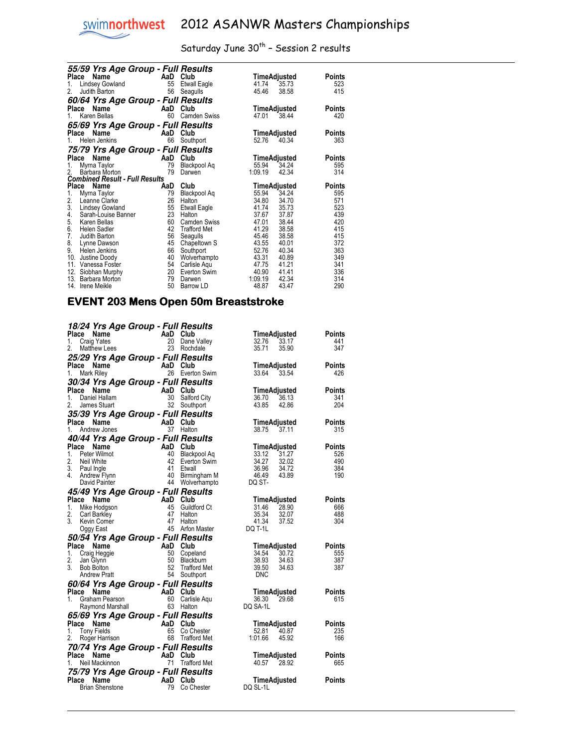

|       | 55/59 Yrs Age Group - Full Results                      |     |                     |         |              |        |
|-------|---------------------------------------------------------|-----|---------------------|---------|--------------|--------|
| Place | Name                                                    | AaD | Club                |         | TimeAdjusted | Points |
| 1.    | <b>Lindsey Gowland</b>                                  | 55  | Etwall Eagle        | 41.74   | 35.73        | 523    |
| 2.    | Judith Barton                                           | 56  | Seagulls            | 45.46   | 38.58        | 415    |
|       | 60/64 Yrs Age Group - Full Results                      |     |                     |         |              |        |
| Place | Name                                                    | AaD | Club                |         | TimeAdjusted | Points |
| 1.    | Karen Bellas                                            | 60  | <b>Camden Swiss</b> | 47.01   | 38.44        | 420    |
|       | 65/69 Yrs Age Group - Full Results                      |     |                     |         |              |        |
| Place | Name                                                    | AaD | Club                |         | TimeAdjusted | Points |
| 1.    | Helen Jenkins                                           | 66  | Southport           | 52.76   | 40.34        | 363    |
|       |                                                         |     |                     |         |              |        |
| Place | 75/79 Yrs Age Group - Full Results                      | AaD | Club                |         |              |        |
|       | Name                                                    |     |                     |         | TimeAdjusted | Points |
| 1.    | Myrna Taylor                                            | 79  | Blackpool Aq        | 55.94   | 34.24        | 595    |
| 2.    | Barbara Morton<br><b>Combined Result - Full Results</b> | 79  | Darwen              | 1:09.19 | 42.34        | 314    |
| Place | Name                                                    | AaD | Club                |         | TimeAdjusted | Points |
| 1.    | Myrna Taylor                                            | 79  | Blackpool Aq        | 55.94   | 34.24        | 595    |
| 2.    | Leanne Clarke                                           | 26  | Halton              | 34.80   | 34.70        | 571    |
| 3.    | Lindsey Gowland                                         | 55  | Etwall Eagle        | 41.74   | 35.73        | 523    |
| 4.    | Sarah-Louise Banner                                     | 23  | Halton              | 37.67   | 37.87        | 439    |
| 5.    | Karen Bellas                                            | 60  | <b>Camden Swiss</b> | 47.01   | 38.44        | 420    |
| 6.    | <b>Helen Sadler</b>                                     | 42  | <b>Trafford Met</b> | 41.29   | 38.58        | 415    |
| 7.    | Judith Barton                                           | 56  | Seagulls            | 45.46   | 38.58        | 415    |
| 8.    | Lynne Dawson                                            | 45  | Chapeltown S        | 43.55   | 40.01        | 372    |
| 9.    | Helen Jenkins                                           | 66  | Southport           | 52.76   | 40.34        | 363    |
| 10.   | Justine Doody                                           | 40  | Wolverhampto        | 43.31   | 40.89        | 349    |
| 11.   | Vanessa Foster                                          | 54  | Carlisle Aqu        | 47.75   | 41.21        | 341    |
| 12.   | Siobhan Murphy                                          | 20  | Everton Swim        | 40.90   | 41.41        | 336    |
| 13.   | Barbara Morton                                          | 79  | Darwen              | 1:09.19 | 42.34        | 314    |
| 14.   | <b>Irene Meikle</b>                                     | 50  | Barrow LD           | 48.87   | 43.47        | 290    |

#### EVENT 203 Mens Open 50m Breaststroke

| 18/24 Yrs Age Group - Full Results               |          |                                 |                             |                |               |
|--------------------------------------------------|----------|---------------------------------|-----------------------------|----------------|---------------|
| Place<br>Name                                    | AaD Club |                                 | TimeAdjusted                |                | Points        |
| 1. Craig Yates                                   | 20       | Dane Valley<br>23 Rochdale      | 32.76                       | 33.17          | 441           |
| 2.<br>Matthew Lees                               |          |                                 | 35.71                       | 35.90          | 347           |
| 25/29 Yrs Age Group - Full Results               |          |                                 |                             |                |               |
| Place Name                                       | AaD Club |                                 | TimeAdjusted                |                | Points        |
| 1.<br>Mark Riley                                 |          | 26 Everton Swim                 | 33.64 33.54                 |                | 426           |
| 30/34 Yrs Age Group - Full Results               |          |                                 |                             |                |               |
| Place<br>Name                                    | AaD      | Club                            | TimeAdjusted                |                | Points        |
| Daniel Hallam<br>1.<br>2.                        | 30<br>32 | Salford City                    | 36.70<br>43.85              | 36.13<br>42.86 | 341<br>204    |
| James Stuart                                     |          | Southport                       |                             |                |               |
| 35/39 Yrs Age Group - Full Results               |          |                                 |                             |                |               |
| Place Name                                       | AaD Club |                                 | TimeAdjusted                |                | <b>Points</b> |
| Andrew Jones<br>1.                               | 37       | Halton                          | 38.75                       | 37.11          | 315           |
| 40/44 Yrs Age Group - Full Results               |          |                                 |                             |                |               |
| Place Name                                       |          |                                 | TimeAdjusted                |                | Points        |
| 1.<br>Peter Wilmot<br>2.<br>Neil White           |          | Blackpool Aq<br>42 Everton Swim | 33.12<br>34.27              | 31.27<br>32.02 | 526<br>490    |
| 3.<br>Paul Ingle                                 | - 41     | Etwall                          | 36.96                       | 34.72          | 384           |
| 4.<br>Andrew Flynn                               | - 40     | Birmingham M                    | 46.49                       | 43.89          | 190           |
| David Painter                                    |          | 44 Wolverhampto                 | DQ ST-                      |                |               |
| 45/49 Yrs Age Group - Full Results               |          |                                 |                             |                |               |
| Place<br>Name                                    | AaD Club |                                 | TimeAdjusted                |                | Points        |
| 1.<br>Mike Hodgson                               | 45       | Guildford Ct                    | 31.46                       | 28.90          | 666           |
| 2.<br>Carl Barkley                               | 47       | Halton                          | 35.34                       | 32.07          | 488           |
| 3.<br>Kevin Comer                                | 47       | Halton                          | 41.34                       | 37.52          | 304           |
| Oggy East                                        |          | 45 Arfon Master                 | DQ T-1L                     |                |               |
| 50/54 Yrs Age Group - Full Results               |          |                                 |                             |                |               |
| Place<br>Name                                    | AaD Club |                                 | TimeAdjusted                |                | Points        |
| Craig Heggie<br>1.                               | 50       | Copeland                        | 34.54                       | 30.72          | 555           |
| 2.<br>Jan Glynn                                  | 50       | Blackburn                       | 38.93                       | 34.63          | 387           |
| 3.<br><b>Bob Bolton</b>                          | 52       | <b>Trafford Met</b>             | 39.50                       | 34.63          | 387           |
| <b>Andrew Pratt</b>                              |          | 54 Southport                    | <b>DNC</b>                  |                |               |
| 60/64 Yrs Age Group - Full Results               |          |                                 |                             |                |               |
| Place Name                                       | AaD Club |                                 | TimeAdjusted                |                | Points        |
| 1.<br>Graham Pearson                             | 60       | Carlisle Aqu<br>63 Halton       | 36.30<br>DQ SA-1L           | 29.68          | 615           |
| Raymond Marshall                                 |          |                                 |                             |                |               |
| 65/69 Yrs Age Group - Full Results               |          |                                 |                             |                |               |
| Place<br>Name                                    | AaD Club |                                 | TimeAdjusted                |                | Points        |
| <b>Tony Fields</b><br>1.<br>2.<br>Roger Harrison | 65       | Co Chester<br>68 Trafford Met   | 52.81<br>1:01.66            | 40.87<br>45.92 | 235<br>166    |
|                                                  |          |                                 |                             |                |               |
| 70/74 Yrs Age Group - Full Results<br>Place Name | AaD Club |                                 |                             |                | Points        |
| 1.<br>Neil Mackinnon                             |          | 71 Trafford Met                 | TimeAdjusted<br>40.57 28.92 |                | 665           |
|                                                  |          |                                 |                             |                |               |
| 75/79 Yrs Age Group - Full Results               |          |                                 |                             |                |               |
| Place<br>Name                                    | AaD      | Club                            | TimeAdjusted<br>DQ SL-1L    |                | Points        |
| <b>Brian Shenstone</b>                           | 79       | Co Chester                      |                             |                |               |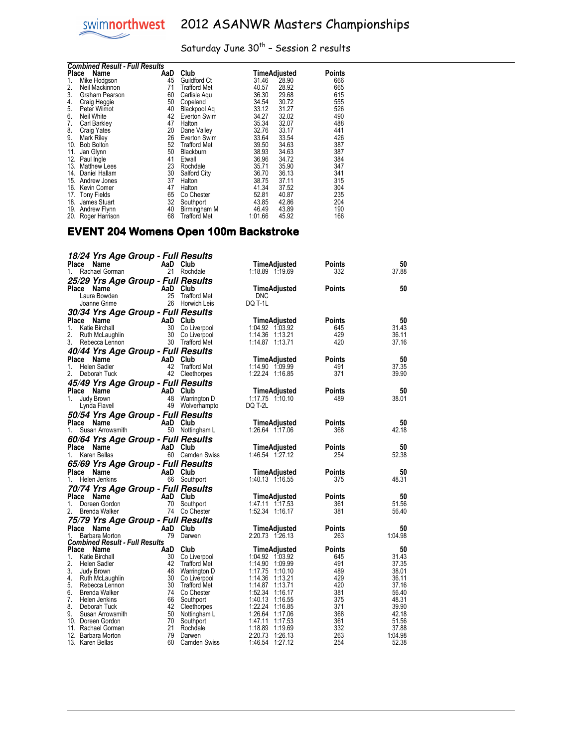## Saturday June  $30^{th}$  - Session 2 results

| <b>Combined Result - Full Results</b> |                     |     |                     |         |              |        |  |
|---------------------------------------|---------------------|-----|---------------------|---------|--------------|--------|--|
| Place                                 | Name                | AaD | Club                |         | TimeAdjusted | Points |  |
| 1.                                    | Mike Hodgson        | 45  | Guildford Ct        | 31.46   | 28.90        | 666    |  |
| 2.                                    | Neil Mackinnon      | 71  | Trafford Met        | 40.57   | 28.92        | 665    |  |
| 3.                                    | Graham Pearson      | 60  | Carlisle Aqu        | 36.30   | 29.68        | 615    |  |
| 4.                                    | Craig Heggie        | 50  | Copeland            | 34.54   | 30.72        | 555    |  |
| 5.                                    | Peter Wilmot        | 40  | Blackpool Aq        | 33.12   | 31.27        | 526    |  |
| 6.                                    | Neil White          | 42  | Everton Swim        | 34.27   | 32.02        | 490    |  |
| 7.                                    | Carl Barkley        | 47  | Halton              | 35.34   | 32.07        | 488    |  |
| 8.                                    | <b>Craig Yates</b>  | 20  | Dane Valley         | 32.76   | 33.17        | 441    |  |
| 9.                                    | Mark Riley          | 26  | Everton Swim        | 33.64   | 33.54        | 426    |  |
| 10.                                   | <b>Bob Bolton</b>   | 52  | <b>Trafford Met</b> | 39.50   | 34.63        | 387    |  |
| 11.                                   | Jan Glynn           | 50  | <b>Blackburn</b>    | 38.93   | 34.63        | 387    |  |
| 12.                                   | Paul Ingle          | 41  | Etwall              | 36.96   | 34.72        | 384    |  |
| 13.                                   | <b>Matthew Lees</b> | 23  | Rochdale            | 35.71   | 35.90        | 347    |  |
| 14.                                   | Daniel Hallam       | 30  | Salford City        | 36.70   | 36.13        | 341    |  |
| 15.                                   | Andrew Jones        | 37  | Halton              | 38.75   | 37.11        | 315    |  |
| 16.                                   | Kevin Comer         | 47  | Halton              | 41.34   | 37.52        | 304    |  |
| 17.                                   | <b>Tony Fields</b>  | 65  | Co Chester          | 52.81   | 40.87        | 235    |  |
| 18.                                   | James Stuart        | 32  | Southport           | 43.85   | 42.86        | 204    |  |
| 19.                                   | Andrew Flynn        | 40  | Birmingham M        | 46.49   | 43.89        | 190    |  |
|                                       | 20. Roger Harrison  | 68  | <b>Trafford Met</b> | 1:01.66 | 45.92        | 166    |  |

#### EVENT 204 Womens Open 100m Backstroke

 $\overline{a}$ 

| 18/24 Yrs Age Group - Full Results<br>Place<br>Name |     | AaD Club                        | TimeAdjusted                          | Points        | 50             |
|-----------------------------------------------------|-----|---------------------------------|---------------------------------------|---------------|----------------|
| Rachael Gorman<br>1.                                |     | 21 Rochdale                     | 1:18.89 1:19.69                       | 332           | 37.88          |
| 25/29 Yrs Age Group - Full Results                  |     |                                 |                                       |               |                |
| Place<br>Name                                       |     | AaD Club                        | TimeAdjusted                          | Points        | 50             |
| Laura Bowden                                        | 25  | <b>Trafford Met</b>             | <b>DNC</b>                            |               |                |
| Joanne Grime                                        |     | 26 Horwich Leis                 | DQ T-1L                               |               |                |
| 30/34 Yrs Age Group - Full Results                  |     |                                 |                                       |               |                |
| Place<br>Name                                       |     | AaD Club                        | TimeAdjusted                          | Points        | 50             |
| 1.<br><b>Katie Birchall</b>                         | 30  | Co Liverpool                    | 1:04.92 1:03.92                       | 645           | 31.43          |
| 2.<br>Ruth McLaughlin                               | 30  | Co Liverpool                    | 1:14.36 1:13.21                       | 429           | 36.11          |
| 3.<br>Rebecca Lennon                                | 30  | Trafford Met                    | 1:14.87 1:13.71                       | 420           | 37.16          |
| 40/44 Yrs Age Group - Full Results                  |     |                                 |                                       |               |                |
| Name<br>Place                                       |     | AaD Club                        | TimeAdjusted                          | <b>Points</b> | 50             |
| Helen Sadler<br>1.                                  | 42  | Trafford Met                    | 1:14.90 1:09.99                       | 491           | 37.35          |
| 2.<br>Deborah Tuck                                  |     | 42 Cleethorpes                  | 1:22.24 1:16.85                       | 371           | 39.90          |
| 45/49 Yrs Age Group - Full Results                  |     |                                 |                                       |               |                |
| Place Name                                          | AaD | Club                            | TimeAdjusted                          | Points        | 50             |
| Judy Brown<br>1.<br>Lynda Flavell                   | 48  | Warrington D<br>49 Wolverhampto | 1:17.75 1:10.10<br>DQ T-2L            | 489           | 38.01          |
|                                                     |     |                                 |                                       |               |                |
| <i><b>50/54 Yrs Age Group - Full Results</b></i>    |     |                                 |                                       |               |                |
| Place Name<br>Susan Arrowsmith<br>1.                |     | AaD Club<br>50 Nottingham L     | TimeAdjusted<br>1:26.64 1:17.06       | Points<br>368 | 50<br>42.18    |
|                                                     |     |                                 |                                       |               |                |
| 60/64 Yrs Age Group - Full Results                  |     |                                 |                                       |               |                |
| Place<br>Name<br>Karen Bellas<br>1.                 |     | AaD Club<br>60 Camden Swiss     | TimeAdjusted<br>1:46.54 1:27.12       | Points<br>254 | 50<br>52.38    |
|                                                     |     |                                 |                                       |               |                |
| 65/69 Yrs Age Group - Full Results                  |     |                                 |                                       |               |                |
| Place Name<br>Helen Jenkins<br>1.                   |     | AaD Club<br>66 Southport        | TimeAdjusted<br>1:40.13 1:16.55       | Points<br>375 | 50<br>48.31    |
|                                                     |     |                                 |                                       |               |                |
| 70/74 Yrs Age Group - Full Results                  |     |                                 |                                       |               |                |
| Place<br>Name<br>1.<br>Doreen Gordon                | 70  | AaD Club<br>Southport           | TimeAdjusted<br>$1:47.11$ $1:17.53$   | Points<br>361 | 50<br>51.56    |
| 2.<br>Brenda Walker                                 |     | 74 Co Chester                   | 1:52.34 1:16.17                       | 381           | 56.40          |
| 75/79 Yrs Age Group - Full Results                  |     |                                 |                                       |               |                |
| Place<br>Name                                       |     | AaD Club                        | TimeAdjusted                          | Points        | 50             |
| Barbara Morton<br>1.                                |     | 79 Darwen                       | 2:20.73 1:26.13                       | 263           | 1:04.98        |
| <b>Combined Result - Full Results</b>               |     |                                 |                                       |               |                |
| Place<br>Name                                       | AaD | Club                            | TimeAdjusted                          | Points        | 50             |
| 1.<br>Katie Birchall                                | 30  | Co Liverpool                    | 1:04.92 1:03.92                       | 645           | 31.43          |
| 2.<br>Helen Sadler                                  | 42  | Trafford Met                    | 1:14.90 1:09.99                       | 491           | 37.35          |
| 3.<br>Judy Brown                                    | 48  | Warrington D                    | 1:17.75<br>1:10.10                    | 489           | 38.01          |
| 4.<br>Ruth McLaughlin<br>5.<br>Rebecca Lennon       | 30  | 30 Co Liverpool<br>Trafford Met | 1:14.36<br>1:13.21<br>1:14.87 1:13.71 | 429<br>420    | 36.11<br>37.16 |
| 6.<br><b>Brenda Walker</b>                          | 74  | Co Chester                      | 1:52.34 1:16.17                       | 381           | 56.40          |
| 7.<br>Helen Jenkins                                 | 66  | Southport                       | 1:40.13<br>1:16.55                    | 375           | 48.31          |
| 8.<br>Deborah Tuck                                  |     | 42 Cleethorpes                  | 1:22.24 1:16.85                       | 371           | 39.90          |
| 9.<br>Susan Arrowsmith                              | 50  | Nottingham L                    | 1:26.64 1:17.06                       | 368           | 42.18          |
| 10. Doreen Gordon                                   | 70  | Southport                       | 1:47.11<br>1:17.53                    | 361           | 51.56          |
| 11. Rachael Gorman                                  | 21  | Rochdale                        | 1:18.89<br>1:19.69                    | 332           | 37.88          |
| 12. Barbara Morton                                  | 79  | Darwen                          | 2:20.73<br>1:26.13                    | 263           | 1:04.98        |
| 13. Karen Bellas                                    | 60  | Camden Swiss                    | 1:46.54<br>1:27.12                    | 254           | 52.38          |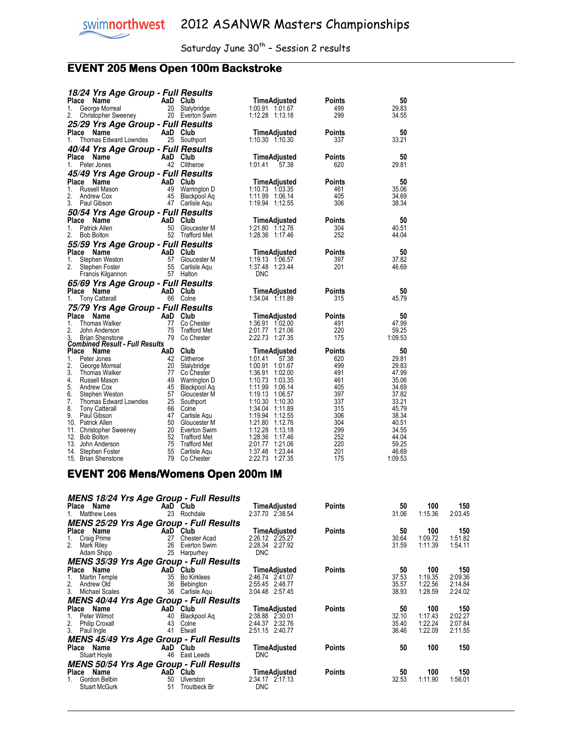## **EVENT 205 Mens Open 100m Backstroke**

| 18/24 Yrs Age Group - Full Results                  |          |                                     |                                    |            |                |
|-----------------------------------------------------|----------|-------------------------------------|------------------------------------|------------|----------------|
| Place<br>Name                                       | AaD Club |                                     | TimeAdjusted                       | Points     | 50             |
| George Morreal<br>1.                                | 20       | Stalybridge                         | 1:00.91 1:01.67                    | 499        | 29.83          |
| 2.<br>Christopher Sweeney                           |          | 20 Everton Swim                     | 1:12.28 1:13.18                    | 299        | 34.55          |
| 25/29 Yrs Age Group - Full Results                  |          |                                     |                                    |            |                |
| Place<br>Name                                       | AaD      | Club                                | TimeAdjusted                       | Points     | 50             |
| 1.<br>Thomas Edward Lowndes                         |          | 25 Southport                        | $1:10.30$ $1:10.30$                | 337        | 33.21          |
|                                                     |          |                                     |                                    |            |                |
| 40/44 Yrs Age Group - Full Results                  |          |                                     |                                    |            |                |
| Place Name                                          | AaD Club |                                     | TimeAdjusted                       | Points     | 50             |
| Peter Jones<br>1.                                   |          | 42 Clitheroe                        | 1:01.41<br>57.38                   | 620        | 29.81          |
| 45/49 Yrs Age Group - Full Results                  |          |                                     |                                    |            |                |
| Place<br>Name                                       | AaD      | Club                                | TimeAdjusted                       | Points     | 50             |
| 1.<br>Russell Mason                                 | 49       | Warrington D                        | 1:10.73 1:03.35                    | 461        | 35.06          |
| 2.<br>Andrew Cox                                    | 45       | Blackpool Aq                        | 1:11.99 1:06.14                    | 405        | 34.69          |
| 3.<br>Paul Gibson                                   |          | 47 Carlisle Aqu                     | 1:19.94 1:12.55                    | 306        | 38.34          |
| 50/54 Yrs Age Group - Full Results                  |          |                                     |                                    |            |                |
| Place<br>Name                                       | AaD Club |                                     | TimeAdjusted                       | Points     | 50             |
| 1.<br>Patrick Allen                                 | 50       | Gloucester M                        | 1:21.80 1:12.76                    | 304        | 40.51          |
| 2.<br><b>Bob Bolton</b>                             |          | 52 Trafford Met                     | 1:28.36 1:17.46                    | 252        | 44.04          |
|                                                     |          |                                     |                                    |            |                |
| 55/59 Yrs Age Group - Full Results<br>Place<br>Name | AaD      | Club                                | TimeAdjusted                       | Points     | 50             |
|                                                     |          | 57 Gloucester M                     |                                    |            | 37.82          |
| Stephen Weston<br>1.<br>2.                          | 55       |                                     | 1:19.13 1:06.57<br>1:37.48 1:23.44 | 397<br>201 |                |
| Stephen Foster                                      |          | Carlisle Aqu                        |                                    |            | 46.69          |
|                                                     |          |                                     |                                    |            |                |
| Francis Kilgannon                                   |          | 57 Halton                           | DNC                                |            |                |
| 65/69 Yrs Age Group - Full Results                  |          |                                     |                                    |            |                |
| Place<br>Name                                       | AaD Club |                                     | TimeAdjusted                       | Points     | 50             |
| <b>Tony Catterall</b><br>1.                         |          | 66 Colne                            | 1:34.04 1:11.89                    | 315        | 45.79          |
| 75/79 Yrs Age Group - Full Results                  |          |                                     |                                    |            |                |
| Place<br>Name                                       | AaD Club |                                     | TimeAdjusted                       | Points     | 50             |
| 1.<br>Thomas Walker                                 | 77       | Co Chester                          | 1:36.91 1:02.00                    | 491        | 47.99          |
| 2.<br>John Anderson                                 | 75       | <b>Trafford Met</b>                 | 2:01.77 1:21.06                    | 220        | 59.25          |
| 3.<br><b>Brian Shenstone</b>                        |          | 79 Co Chester                       | 2:22.73 1:27.35                    | 175        | 1:09.53        |
| <b>Combined Result - Full Results</b>               |          |                                     |                                    |            |                |
| Place Name                                          | AaD Club |                                     | TimeAdjusted                       | Points     | 50             |
| 1.<br>Peter Jones                                   |          | 42 Clitheroe                        | 1:01.41<br>57.38                   | 620        | 29.81          |
| 2.<br>George Morreal                                |          | 20 Stalybridge                      | 1:00.91 1:01.67                    | 499        | 29.83          |
| 3.<br>Thomas Walker                                 | 77       | Co Chester                          | 1:36.91 1:02.00                    | 491        | 47.99          |
| 4.<br>Russell Mason                                 | 49       | Warrington D                        | 1:10.73 1:03.35                    | 461        | 35.06          |
| 5.<br>Andrew Cox                                    | 45       | Blackpool Ag                        | 1:11.99 1:06.14                    | 405        | 34.69          |
| 6.<br>Stephen Weston                                |          | 57 Gloucester M                     | 1:19.13 1:06.57                    | 397        | 37.82          |
| 7.<br>Thomas Edward Lowndes                         |          | 25 Southport                        | $1:10.30$ $1:10.30$                | 337        | 33.21          |
| 8.<br><b>Tony Catterall</b>                         |          | 66 Colne                            | 1:34.04 1:11.89                    | 315        | 45.79          |
| 9.<br>Paul Gibson                                   |          | 47 Carlisle Aqu                     | 1:19.94 1:12.55                    | 306        | 38.34          |
| 10. Patrick Allen                                   |          | 50 Gloucester M                     | 1:21.80 1:12.76                    | 304        | 40.51          |
| 11. Christopher Sweeney                             |          | 20 Everton Swim                     | 1:12.28 1:13.18                    | 299        | 34.55          |
| 12. Bob Bolton                                      | 52       | <b>Trafford Met</b>                 | 1:28.36 1:17.46                    | 252        | 44.04          |
| 13. John Anderson<br>14. Stephen Foster             | 75<br>55 | <b>Trafford Met</b><br>Carlisle Agu | 2:01.77 1:21.06<br>1:37.48 1:23.44 | 220<br>201 | 59.25<br>46.69 |

#### EVENT 206 Mens/Womens Open 200m IM

| <b>MENS 18/24 Yrs Age Group - Full Results</b> |                     |                     |               |       |         |         |
|------------------------------------------------|---------------------|---------------------|---------------|-------|---------|---------|
| Place Name                                     | AaD Club            | TimeAdjusted        | <b>Points</b> | 50    | 100     | 150     |
| 1. Matthew Lees                                | 23 Rochdale         | 2:37.70 2:38.54     |               | 31.06 | 1:15.36 | 2:03.45 |
| <b>MENS 25/29 Yrs Age Group - Full Results</b> |                     |                     |               |       |         |         |
| Place Name                                     | AaD Club            | TimeAdjusted        | <b>Points</b> | 50    | 100     | 150     |
| 27<br>Craig Prime                              | <b>Chester Acad</b> | 2:26.12 2:25.27     |               | 30.64 | 1:09.72 | 1:51.82 |
| 2.<br>26<br>Mark Riley                         | Everton Swim        | 2:28.34 2:27.92     |               | 31.59 | 1:11.39 | 1:54.11 |
| 25<br>Adam Shipp                               | Harpurhey           | <b>DNC</b>          |               |       |         |         |
| <b>MENS 35/39 Yrs Age Group - Full Results</b> |                     |                     |               |       |         |         |
| Place Name                                     | AaD Club            | <b>TimeAdjusted</b> | Points        | 50    | 100     | 150     |
| 35<br>Martin Temple<br>1.                      | <b>Bo Kirklees</b>  | 2:46.74 2:41.07     |               | 37.53 | 1:19.35 | 2:09.36 |
| 2.<br>36<br>Andrew Old                         | Bebington           | 2:55.45 2:48.77     |               | 35.57 | 1:22.56 | 2:14.84 |
| 3.<br>36<br><b>Michael Scales</b>              | Carlisle Aqu        | 3:04.48 2:57.45     |               | 38.93 | 1:28.59 | 2:24.02 |
| <b>MENS 40/44 Yrs Age Group - Full Results</b> |                     |                     |               |       |         |         |
| Place Name                                     | AaD Club            | TimeAdjusted        | Points        | 50    | 100     | 150     |
| Peter Wilmot<br>40                             | Blackpool Ag        | 2:38.88 2:30.01     |               | 32.10 | 1:17.43 | 2:02.27 |
| 2. Philip Croxall<br>43                        | Colne               | 2:44.37 2:32.76     |               | 35.40 | 1:22.24 | 2:07.84 |
| 3. Paul Ingle<br>41                            | Etwall              | 2:51.15 2:40.77     |               | 36.46 | 1:22.09 | 2:11.55 |
| <b>MENS 45/49 Yrs Age Group - Full Results</b> |                     |                     |               |       |         |         |
| Place Name                                     | AaD Club            | TimeAdjusted        | Points        | 50    | 100     | 150     |
| Stuart Hoyle<br>46                             | East Leeds          | <b>DNC</b>          |               |       |         |         |
| <b>MENS 50/54 Yrs Age Group - Full Results</b> |                     |                     |               |       |         |         |
| Place Name                                     | AaD Club            | TimeAdjusted        | Points        | 50    | 100     | 150     |
| Gordon Belbin<br>50                            | Ulverston           | 2:34.17 2:17.13     |               | 32.53 | 1:11.90 | 1:56.01 |
| <b>Stuart McGurk</b><br>51                     | Troutbeck Br        | <b>DNC</b>          |               |       |         |         |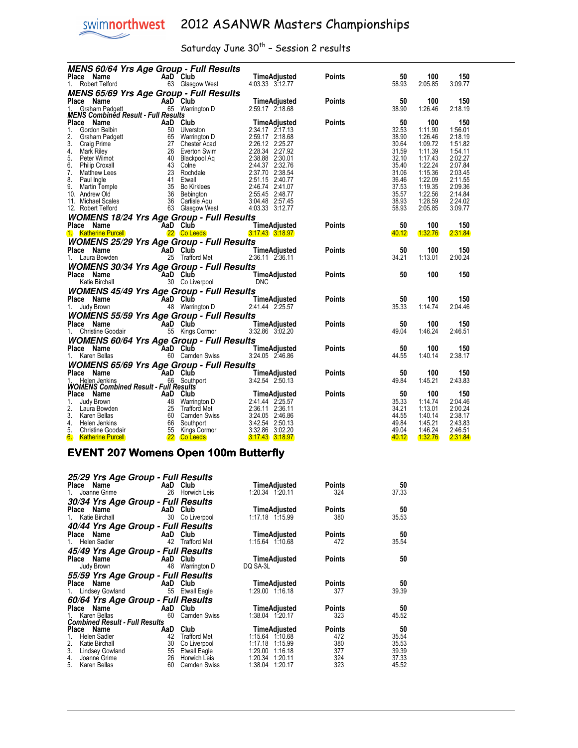## Saturday June  $30^{th}$  - Session 2 results

|                 | <b>MENS 60/64 Yrs Age Group - Full Results</b>                                                                                                                                                                                                         |          |                                    |                                                                                                                                                                                                                                       |               |                |                    |                    |
|-----------------|--------------------------------------------------------------------------------------------------------------------------------------------------------------------------------------------------------------------------------------------------------|----------|------------------------------------|---------------------------------------------------------------------------------------------------------------------------------------------------------------------------------------------------------------------------------------|---------------|----------------|--------------------|--------------------|
| Place Name      |                                                                                                                                                                                                                                                        |          | AaD Club                           | TimeAdjusted                                                                                                                                                                                                                          | <b>Points</b> | 50             | 100                | 150                |
|                 | 1. Robert Telford                                                                                                                                                                                                                                      |          | 63 Glasgow West                    | 4:03.33 3:12.77                                                                                                                                                                                                                       |               | 58.93          | 2:05.85            | 3:09.77            |
|                 | MENS 65/69 Yrs Age Group - Full Results                                                                                                                                                                                                                |          |                                    |                                                                                                                                                                                                                                       |               |                |                    |                    |
| Place Name      |                                                                                                                                                                                                                                                        |          | AaD Club                           | $\overline{D}$ TimeAdjusted<br>D 2:59.17 2:18.68                                                                                                                                                                                      | <b>Points</b> | 50             | 100                | 150                |
|                 | Graham Padgett                                                                                                                                                                                                                                         |          | 65 Warrington D                    |                                                                                                                                                                                                                                       |               | 38.90          | 1:26.46            | 2:18.19            |
|                 | <b>MENS Combined Result - Full Results</b>                                                                                                                                                                                                             |          |                                    |                                                                                                                                                                                                                                       |               |                |                    |                    |
| Place Name      | Comment of the Mann Padget<br>Condition and the Solution of the Solution Crain Padget<br>Crain Padget<br>Crain Padget<br>Crain Padget<br>Mark Riley<br>Mark Riley<br>Petr Wilmot<br>Philip Croxall<br>Matthew Lees<br>Matthew Lees<br>23 Rochdale<br>M |          |                                    | TimeAdjusted<br>2:34.17 2:17.13<br>2:59.17 2:18.68<br>2:26.12 2:25.27<br>2:38.88 2:30.01<br>2:44.37 2:32.76<br>2:37.70 2:38.54<br>2:51.15 2:40.77<br>2:46.74 2:41.07<br>2:55.45 2:44.77                                               | <b>Points</b> | 50             | 100                | 150                |
| 1.              |                                                                                                                                                                                                                                                        |          |                                    |                                                                                                                                                                                                                                       |               | 32.53          | 1:11.90            | 1:56.01            |
| 2.              |                                                                                                                                                                                                                                                        |          |                                    |                                                                                                                                                                                                                                       |               | 38.90          | 1:26.46            | 2:18.19            |
| 3.              |                                                                                                                                                                                                                                                        |          |                                    |                                                                                                                                                                                                                                       |               | 30.64          | 1:09.72            | 1:51.82            |
| 4.              |                                                                                                                                                                                                                                                        |          |                                    |                                                                                                                                                                                                                                       |               | 31.59          | 1:11.39            | 1:54.11            |
| 5.              |                                                                                                                                                                                                                                                        |          |                                    |                                                                                                                                                                                                                                       |               | 32.10          | 1:17.43            | 2:02.27            |
| 6.              |                                                                                                                                                                                                                                                        |          |                                    |                                                                                                                                                                                                                                       |               | 35.40          | 1:22.24            | 2:07.84            |
| 7.              |                                                                                                                                                                                                                                                        |          |                                    |                                                                                                                                                                                                                                       |               | 31.06          | 1:15.36            | 2:03.45            |
| 8.              |                                                                                                                                                                                                                                                        |          |                                    |                                                                                                                                                                                                                                       |               | 36.46          | 1:22.09            | 2:11.55            |
| 9.              |                                                                                                                                                                                                                                                        |          |                                    |                                                                                                                                                                                                                                       |               | 37.53          | 1:19.35            | 2:09.36            |
| 10. Andrew Old  |                                                                                                                                                                                                                                                        |          |                                    |                                                                                                                                                                                                                                       |               | 35.57          | 1:22.56            | 2:14.84            |
|                 | 11. Michael Scales                                                                                                                                                                                                                                     |          |                                    | 3:04.48 2:57.45                                                                                                                                                                                                                       |               | 38.93          | 1:28.59            | 2:24.02            |
|                 | 12. Robert Telford                                                                                                                                                                                                                                     |          | 63 Glasgow West                    | 4:03.33 3:12.77                                                                                                                                                                                                                       |               | 58.93          | 2:05.85            | 3:09.77            |
|                 | <b>WOMENS 18/24 Yrs Age Group - Full Results</b>                                                                                                                                                                                                       |          |                                    |                                                                                                                                                                                                                                       |               |                |                    |                    |
| Place Name      |                                                                                                                                                                                                                                                        | AaD Club |                                    | TimeAdjusted                                                                                                                                                                                                                          | <b>Points</b> | 50             | 100                | 150                |
|                 | 1. Katherine Purcell                                                                                                                                                                                                                                   |          | <b>22 Co Leeds</b>                 | $3:17.43$ $3:18.97$                                                                                                                                                                                                                   |               | 40.12          | 1:32.76            | 2:31.84            |
|                 | <b>WOMENS 25/29 Yrs Age Group - Full Results</b>                                                                                                                                                                                                       |          |                                    |                                                                                                                                                                                                                                       |               |                |                    |                    |
| Place Name      |                                                                                                                                                                                                                                                        |          |                                    | TimeAdjusted                                                                                                                                                                                                                          | <b>Points</b> | 50             | 100                | 150                |
|                 | $\overline{A}$ aD Club<br>1. Laura Bowden                                                                                                                                                                                                              |          | <b>aD Club</b><br>25 Trafford Met  | 2:36.11 2:36.11                                                                                                                                                                                                                       |               | 34.21          | 1:13.01            | 2:00.24            |
|                 |                                                                                                                                                                                                                                                        |          |                                    |                                                                                                                                                                                                                                       |               |                |                    |                    |
|                 | <b>WOMENS 30/34 Yrs Age Group - Full Results</b>                                                                                                                                                                                                       |          |                                    |                                                                                                                                                                                                                                       |               |                |                    |                    |
| Place Name      | $\overline{A}$ a <sub>20</sub> Club                                                                                                                                                                                                                    |          |                                    | TimeAdjusted                                                                                                                                                                                                                          | <b>Points</b> | 50             | 100                | 150                |
|                 | Katie Birchall                                                                                                                                                                                                                                         |          | 30 Co Liverpool                    | <b>DNC</b>                                                                                                                                                                                                                            |               |                |                    |                    |
|                 | <b>WOMENS 45/49 Yrs Age Group - Full Results</b>                                                                                                                                                                                                       |          |                                    |                                                                                                                                                                                                                                       |               |                |                    |                    |
| Place Name      |                                                                                                                                                                                                                                                        |          |                                    | TimeAdjusted                                                                                                                                                                                                                          | Points        | 50             | 100                | 150                |
| 1. Judy Brown   |                                                                                                                                                                                                                                                        |          | <b>AaD Club</b><br>48 Warrington D | 2:41.44 2:25.57                                                                                                                                                                                                                       |               | 35.33          | 1:14.74            | 2:04.46            |
|                 | <b>WOMENS 55/59 Yrs Age Group - Full Results</b>                                                                                                                                                                                                       |          |                                    |                                                                                                                                                                                                                                       |               |                |                    |                    |
| Place Name      |                                                                                                                                                                                                                                                        |          |                                    | AaD Club TimeAdjusted                                                                                                                                                                                                                 | <b>Points</b> | 50             | 100                | 150                |
|                 | 1. Christine Goodair                                                                                                                                                                                                                                   |          | 55 Kings Cormor                    | 3:32.86 3:02.20                                                                                                                                                                                                                       |               | 49.04          | 1:46.24            | 2:46.51            |
|                 | <b>WOMENS 60/64 Yrs Age Group - Full Results</b>                                                                                                                                                                                                       |          |                                    |                                                                                                                                                                                                                                       |               |                |                    |                    |
| Place Name      |                                                                                                                                                                                                                                                        |          |                                    |                                                                                                                                                                                                                                       |               | 50             | 100                | 150                |
|                 | AaD Club                                                                                                                                                                                                                                               |          | 60 Camden Swiss                    | <b>TimeAdjusted</b><br>3:24.05 2:46.86                                                                                                                                                                                                | <b>Points</b> | 44.55          | 1:40.14            | 2:38.17            |
| 1. Karen Bellas |                                                                                                                                                                                                                                                        |          |                                    |                                                                                                                                                                                                                                       |               |                |                    |                    |
|                 | <b>WOMENS 65/69 Yrs Age Group - Full Results</b>                                                                                                                                                                                                       |          |                                    |                                                                                                                                                                                                                                       |               |                |                    |                    |
| Place Name      | AaD Club<br>AA Southr                                                                                                                                                                                                                                  |          |                                    |                                                                                                                                                                                                                                       | <b>Points</b> | 50             | 100                | 150                |
|                 | Helen Jenkins                                                                                                                                                                                                                                          |          |                                    | <b>aD Club</b><br>6 Southport 13:42.54 2:50.13                                                                                                                                                                                        |               | 49.84          | 1:45.21            | 2:43.83            |
|                 | <b>WOMENS Combined Result - Full Results</b>                                                                                                                                                                                                           |          |                                    |                                                                                                                                                                                                                                       |               |                |                    |                    |
| Place Name      |                                                                                                                                                                                                                                                        |          |                                    | And Club<br>1 And Club<br>48 Warrington D<br>48 Warrington D<br>2:41.44 2:25.57<br>25 Trafford Met<br>60 Camden Swiss<br>3:24.05 2:46.86<br>4air 66 Southport<br>55 Kings Cormor<br>22 Co Leeds<br>3:47.43 3:12.86<br>3:47.43 3:18.97 | Points        | 50             | 100                | 150                |
| 1.              | Judy Brown                                                                                                                                                                                                                                             |          |                                    |                                                                                                                                                                                                                                       |               | 35.33          | 1:14.74            | 2:04.46            |
| 2.              | Laura Bowden                                                                                                                                                                                                                                           |          |                                    |                                                                                                                                                                                                                                       |               | 34.21          | 1:13.01            | 2:00.24            |
| 3.<br>4.        | Karen Bellas                                                                                                                                                                                                                                           |          |                                    |                                                                                                                                                                                                                                       |               | 44.55<br>49.84 | 1:40.14<br>1:45.21 | 2:38.17<br>2:43.83 |
| 5.              | Helen Jenkins<br>Christine Goodair                                                                                                                                                                                                                     |          |                                    |                                                                                                                                                                                                                                       |               | 49.04          | 1:46.24            | 2:46.51            |
| 6.              |                                                                                                                                                                                                                                                        |          |                                    |                                                                                                                                                                                                                                       |               | 40.12          | <b>1:32.76</b>     | 2:31.84            |
|                 | <b>Katherine Purcell</b>                                                                                                                                                                                                                               |          |                                    |                                                                                                                                                                                                                                       |               |                |                    |                    |

#### EVENT 207 Womens Open 100m Butterfly

| 25/29 Yrs Age Group - Full Results<br>Name<br>Place<br>Joanne Grime<br>1.                                   | AaD Club<br>26  | Horwich Leis                                               | TimeAdjusted<br>1:20.34 1:20.11                                | Points<br>324        | 50<br>37.33             |
|-------------------------------------------------------------------------------------------------------------|-----------------|------------------------------------------------------------|----------------------------------------------------------------|----------------------|-------------------------|
| 30/34 Yrs Age Group - Full Results<br>Place Name<br>Katie Birchall                                          | AaD Club<br>30  | Co Liverpool                                               | <b>TimeAdjusted</b><br>$1:17.18$ $1:15.99$                     | Points<br>380        | 50<br>35.53             |
| 40/44 Yrs Age Group - Full Results<br>Place Name<br>Helen Sadler<br>1.                                      | AaD<br>42       | Club<br><b>Trafford Met</b>                                | <b>TimeAdjusted</b><br>$1:15.64$ 1:10.68                       | Points<br>472        | 50<br>35.54             |
| 45/49 Yrs Age Group - Full Results<br>Place Name<br>Judy Brown                                              | AaD Club<br>48  | Warrington D                                               | TimeAdjusted<br>DQ SA-3L                                       | Points               | 50                      |
| 55/59 Yrs Age Group - Full Results<br>Place Name<br>1. Lindsey Gowland                                      | AaD Club        | 55 Etwall Eagle                                            | <b>TimeAdjusted</b><br>1:29.00 1:16.18                         | Points<br>377        | 50<br>39.39             |
| 60/64 Yrs Age Group - Full Results<br>Name<br>Place<br>Karen Bellas                                         | AaD<br>60       | Club<br><b>Camden Swiss</b>                                | TimeAdjusted<br>1:38.04 1:20.17                                | Points<br>323        | 50<br>45.52             |
| <b>Combined Result - Full Results</b><br>Place<br>Name<br><b>Helen Sadler</b><br>1.<br>2.<br>Katie Birchall | AaD<br>42<br>30 | Club<br><b>Trafford Met</b><br>Co Liverpool                | <b>TimeAdjusted</b><br>1:15.64 1:10.68<br>1:17.18<br>1:15.99   | Points<br>472<br>380 | 50<br>35.54<br>35.53    |
| 3.<br><b>Lindsey Gowland</b><br>4.<br>Joanne Grime<br>5.<br>Karen Bellas                                    | 55<br>26<br>60  | <b>Etwall Eagle</b><br>Horwich Leis<br><b>Camden Swiss</b> | 1:29.00<br>1:16.18<br>1:20.34<br>1:20.11<br>1:38.04<br>1:20.17 | 377<br>324<br>323    | 39.39<br>37.33<br>45.52 |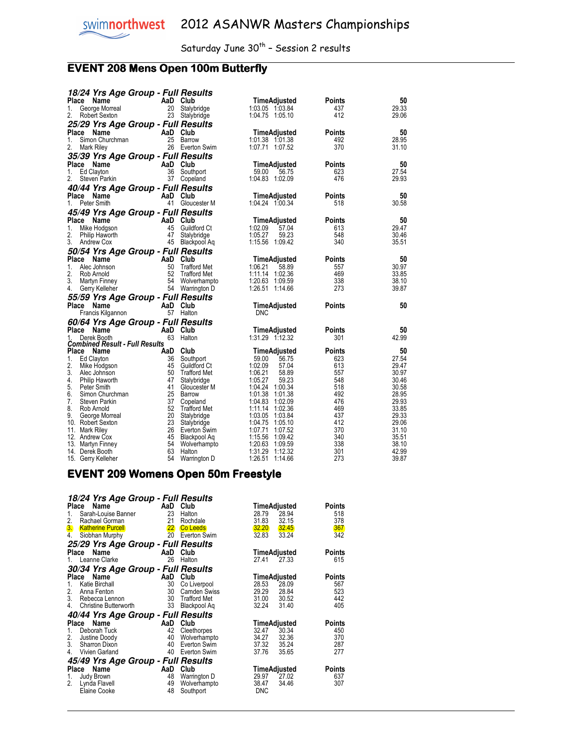## **EVENT 208 Mens Open 100m Butterfly**

|       | 18/24 Yrs Age Group - Full Results    |          |                              |                            |               |                |
|-------|---------------------------------------|----------|------------------------------|----------------------------|---------------|----------------|
|       | Place<br>Name                         | AaD Club |                              | <b>TimeAdjusted</b>        | Points        | 50             |
| 1.    | George Morreal                        | 20       | Stalybridge                  | 1:03.05 1:03.84            | 437           | 29.33          |
| 2.    | Robert Sexton                         |          | 23 Stalybridge               | 1:04.75 1:05.10            | 412           | 29.06          |
|       | 25/29 Yrs Age Group - Full Results    |          |                              |                            |               |                |
|       | Place Name                            | AaD Club |                              | TimeAdjusted               | Points        | 50             |
| 1.    | Simon Churchman                       |          | 25 Barrow                    | 1:01.38 1:01.38            | 492           | 28.95          |
| 2.    | Mark Riley                            |          | 26 Everton Swim              | 1:07.71 1:07.52            | 370           | 31.10          |
|       | 35/39 Yrs Age Group - Full Results    |          |                              |                            |               |                |
| Place |                                       | AaD Club |                              | TimeAdjusted               | Points        | 50             |
| 1.    | Name<br>Ed Clayton                    | 36       | Southport                    | 59.00<br>56.75             | 623           | 27.54          |
| 2.    | Steven Parkin                         |          | 37 Copeland                  | 1:04.83 1:02.09            | 476           | 29.93          |
|       |                                       |          |                              |                            |               |                |
|       | 40/44 Yrs Age Group - Full Results    |          |                              |                            |               |                |
|       | Place Name                            | AaD Club |                              | <b>TimeAdjusted</b>        | Points        | 50             |
| 1.    | Peter Smith                           |          | 41 Gloucester M              | 1:04.24 1:00.34            | 518           | 30.58          |
|       | 45/49 Yrs Age Group - Full Results    |          |                              |                            |               |                |
|       | Place Name                            | AaD Club |                              | TimeAdjusted               | Points        | 50             |
| 1.    | Mike Hodgson                          | 45       | Guildford Ct                 | 1:02.09<br>57.04           | 613           | 29.47          |
| 2.    | Philip Haworth                        | 47       | Stalybridge                  | 1:05.27<br>59.23           | 548           | 30.46          |
| 3.    | Andrew Cox                            |          | 45 Blackpool Aq              | 1:15.56 1:09.42            | 340           | 35.51          |
|       | 50/54 Yrs Age Group - Full Results    |          |                              |                            |               |                |
|       | Place Name                            | AaD Club |                              | TimeAdjusted               | <b>Points</b> | 50             |
| 1.    | Alec Johnson                          | 50       | Trafford Met                 | 1:06.21<br>58.89           | 557           | 30.97          |
| 2.    | Rob Arnold                            | 52       | <b>Trafford Met</b>          | 1:11.14 1:02.36            | 469           | 33.85          |
| 3.    | Martyn Finney                         |          | 54 Wolverhampto              | 1:20.63<br>1:09.59         | 338           | 38.10          |
| 4.    | Gerry Kelleher                        |          | 54 Warrington D              | 1:26.51<br>1:14.66         | 273           | 39.87          |
|       | 55/59 Yrs Age Group - Full Results    |          |                              |                            |               |                |
|       | Place Name                            | AaD Club |                              | TimeAdjusted               | Points        | 50             |
|       | Francis Kilgannon                     |          | 57 Halton                    | <b>DNC</b>                 |               |                |
|       | 60/64 Yrs Age Group - Full Results    |          |                              |                            |               |                |
| Place | Name                                  | AaD Club |                              | TimeAdjusted               | Points        | 50             |
| 1.    | Derek Booth                           |          | 63 Halton                    | 1:31.29 1:12.32            | 301           | 42.99          |
|       | <b>Combined Result - Full Results</b> |          |                              |                            |               |                |
|       | Place Name                            | AaD Club |                              | TimeAdjusted               | <b>Points</b> | 50             |
| 1.    | Ed Clayton                            | 36       | Southport                    | 59.00<br>56.75             | 623           | 27.54          |
| 2.    | Mike Hodgson                          |          | 45 Guildford Ct              | 1:02.09<br>57.04           | 613           | 29.47          |
| 3.    | Alec Johnson                          | 50       | Trafford Met                 | 1:06.21<br>58.89           | 557           | 30.97          |
| 4.    | Philip Haworth                        | 47       | Stalybridge                  | 1:05.27<br>59.23           | 548           | 30.46          |
| 5.    | Peter Smith                           |          | 41 Gloucester M              | 1:04.24 1:00.34            | 518           | 30.58          |
| 6.    | Simon Churchman                       |          | 25 Barrow                    | 1:01.38 1:01.38            | 492           | 28.95          |
| 7.    | Steven Parkin                         |          | 37 Copeland                  | 1:04.83 1:02.09            | 476           | 29.93          |
| 8.    | Rob Arnold                            |          | 52 Trafford Met              | 1:11.14 1:02.36            | 469           | 33.85          |
| 9.    | George Morreal                        | 20       | Stalybridge                  | 1:03.05 1:03.84            | 437           | 29.33          |
|       | 10. Robert Sexton                     | 23       | Stalybridge                  | 1:04.75<br>1:05.10         | 412           | 29.06          |
|       | 11. Mark Riley                        | 45       | 26 Everton Swim              | 1:07.71 1:07.52<br>1:15.56 | 370           | 31.10<br>35.51 |
|       | 12. Andrew Cox<br>13. Martyn Finney   | 54       | Blackpool Aq<br>Wolverhampto | 1:09.42<br>1:20.63 1:09.59 | 340<br>338    | 38.10          |
|       |                                       | 63       | Halton                       | 1:31.29<br>1:12.32         | 301           | 42.99          |
|       | 14. Derek Booth                       |          |                              |                            |               |                |

#### EVENT 209 Womens Open 50m Freestyle

| 18/24 Yrs Age Group - Full Results |                   |                     |            |              |        |
|------------------------------------|-------------------|---------------------|------------|--------------|--------|
| Place<br>Name                      | AaD               | Club                |            | TimeAdjusted | Points |
| Sarah-Louise Banner<br>1.          | 23                | Halton              | 28.79      | 28.94        | 518    |
| 2.<br>Rachael Gorman               | 21                | Rochdale            | 31.83      | 32.15        | 378    |
| <b>Katherine Purcell</b><br>3.     | $22 \overline{ }$ | <b>Co Leeds</b>     | 32.20      | 32.45        | 367    |
| Siobhan Murphy<br>4.               | 20                | Everton Swim        | 32.83      | 33.24        | 342    |
| 25/29 Yrs Age Group - Full Results |                   |                     |            |              |        |
| Place<br>Name                      | AaD               | Club                |            | TimeAdjusted | Points |
| Leanne Clarke<br>$1_{-}$           | 26                | Halton              | 27.41      | 27.33        | 615    |
| 30/34 Yrs Age Group - Full Results |                   |                     |            |              |        |
| Name<br>Place                      | AaD               | Club                |            | TimeAdjusted | Points |
| Katie Birchall<br>1.               | 30                | Co Liverpool        | 28.53      | 28.09        | 567    |
| 2.<br>Anna Fenton                  | 30                | <b>Camden Swiss</b> | 29.29      | 28.84        | 523    |
| 3.<br>Rebecca Lennon               | 30                | <b>Trafford Met</b> | 31.00      | 30.52        | 442    |
| <b>Christine Butterworth</b><br>4. | 33                | Blackpool Ag        | 32.24      | 31.40        | 405    |
| 40/44 Yrs Age Group - Full Results |                   |                     |            |              |        |
| Name<br>Place                      | AaD               | Club                |            | TimeAdjusted | Points |
| Deborah Tuck<br>1.                 | 42                | Cleethorpes         | 32.47      | 30.34        | 450    |
| 2.<br>Justine Doody                | 40                | Wolverhampto        | 34.27      | 32.36        | 370    |
| 3.<br>Sharron Dixon                | 40                | Everton Swim        | 37.32      | 35.24        | 287    |
| Vivien Garland<br>4.               | 40                | Everton Swim        | 37.76      | 35.65        | 277    |
| 45/49 Yrs Age Group - Full Results |                   |                     |            |              |        |
| Name<br>Place                      | AaD               | Club                |            | TimeAdjusted | Points |
| Judy Brown<br>1.                   | 48                | Warrington D        | 29.97      | 27.02        | 637    |
| 2.<br>Lynda Flavell                | 49                | Wolverhampto        | 38.47      | 34.46        | 307    |
| Elaine Cooke                       | 48                | Southport           | <b>DNC</b> |              |        |
|                                    |                   |                     |            |              |        |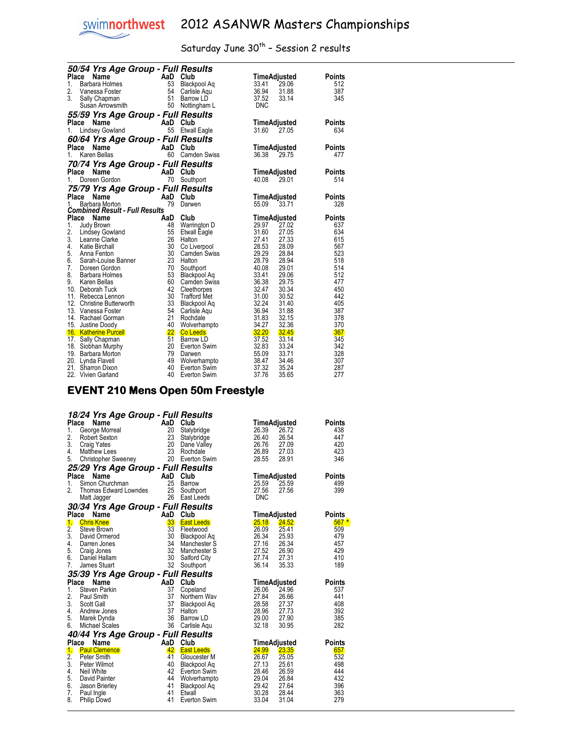$\overline{a}$ 

# swimnorthwest 2012 ASANWR Masters Championships

## Saturday June  $30^{th}$  - Session 2 results

|                         | 50/54 Yrs Age Group - Full Results                                            |                      |                                                                       |                                                       |                                                        |  |
|-------------------------|-------------------------------------------------------------------------------|----------------------|-----------------------------------------------------------------------|-------------------------------------------------------|--------------------------------------------------------|--|
| Place<br>1.<br>2.<br>3. | Name<br>Barbara Holmes<br>Vanessa Foster<br>Sally Chapman<br>Susan Arrowsmith | 53<br>54<br>51<br>50 | AaD Club<br>Blackpool Aq<br>Carlisle Aqu<br>Barrow LD<br>Nottingham L | TimeAdjusted<br>33.41<br>36.94<br>37.52<br><b>DNC</b> | Points<br>29.06<br>512<br>387<br>31.88<br>345<br>33.14 |  |
|                         | <i><b>55/59 Yrs Age Group - Full Results</b></i>                              |                      |                                                                       |                                                       |                                                        |  |
| 1.                      | Place<br>Name<br><b>Lindsey Gowland</b>                                       | AaD Club<br>55       | <b>Etwall Eagle</b>                                                   | TimeAdjusted<br>31.60                                 | Points<br>27.05<br>634                                 |  |
|                         | 60/64 Yrs Age Group - Full Results                                            |                      |                                                                       |                                                       |                                                        |  |
|                         | Place<br>Name                                                                 | AaD Club             |                                                                       | TimeAdjusted                                          | Points                                                 |  |
| 1.                      | Karen Bellas                                                                  | 60                   | <b>Camden Swiss</b>                                                   | 36.38                                                 | 29.75<br>477                                           |  |
|                         | 70/74 Yrs Age Group - Full Results                                            |                      |                                                                       |                                                       |                                                        |  |
|                         | Place Name                                                                    | AaD Club             |                                                                       | TimeAdjusted                                          | Points                                                 |  |
| 1.                      | Doreen Gordon                                                                 | 70                   | Southport                                                             | 40.08                                                 | 29.01<br>514                                           |  |
|                         | 75/79 Yrs Age Group - Full Results                                            |                      |                                                                       |                                                       |                                                        |  |
| Place                   | Name                                                                          | AaD                  | Club                                                                  | TimeAdjusted                                          | Points                                                 |  |
| 1.                      | Barbara Morton                                                                | 79                   | Darwen                                                                | 55.09                                                 | 328<br>33.71                                           |  |
|                         | <b>Combined Result - Full Results</b>                                         |                      |                                                                       |                                                       |                                                        |  |
|                         | Place<br>Name                                                                 | AaD                  | Club                                                                  | TimeAdjusted                                          | <b>Points</b>                                          |  |
| 1.                      | Judy Brown                                                                    | 48                   | Warrington D                                                          | 29.97                                                 | 637<br>27.02                                           |  |
| 2.                      | Lindsey Gowland                                                               | 55                   | <b>Etwall Eagle</b>                                                   | 31.60                                                 | 27.05<br>634                                           |  |
| 3.                      | Leanne Clarke                                                                 | 26                   | Halton                                                                | 27.41                                                 | 27.33<br>615                                           |  |
| 4.                      | <b>Katie Birchall</b>                                                         | 30                   | Co Liverpool                                                          | 28.53                                                 | 28.09<br>567                                           |  |
| 5.                      | Anna Fenton                                                                   | 30                   | <b>Camden Swiss</b>                                                   | 29.29                                                 | 523<br>28.84                                           |  |
| 6.                      | Sarah-Louise Banner                                                           | 23                   | Halton                                                                | 28.79                                                 | 28.94<br>518                                           |  |
| 7.                      | Doreen Gordon                                                                 | 70                   | Southport                                                             | 40.08                                                 | 29.01<br>514                                           |  |
| 8.<br>9.                | Barbara Holmes                                                                | 53<br>60             | Blackpool Aq                                                          | 33.41<br>36.38                                        | 512<br>29.06<br>29.75<br>477                           |  |
|                         | Karen Bellas<br>10. Deborah Tuck                                              | 42                   | <b>Camden Swiss</b><br>Cleethorpes                                    | 32.47                                                 | 30.34<br>450                                           |  |
| 11.                     | Rebecca Lennon                                                                | 30                   | Trafford Met                                                          | 31.00                                                 | 30.52<br>442                                           |  |
|                         | 12. Christine Butterworth                                                     | 33                   | Blackpool Aq                                                          | 32.24                                                 | 405<br>31.40                                           |  |
|                         | 13. Vanessa Foster                                                            | 54                   | Carlisle Aqu                                                          | 36.94                                                 | 31.88<br>387                                           |  |
|                         | 14. Rachael Gorman                                                            | 21                   | Rochdale                                                              | 31.83                                                 | 378<br>32.15                                           |  |
|                         | 15. Justine Doody                                                             | 40                   | Wolverhampto                                                          | 34.27                                                 | 32.36<br>370                                           |  |
|                         | 16. Katherine Purcell                                                         |                      | 22 Co Leeds                                                           | 32.20                                                 | 367<br>32.45                                           |  |
|                         | 17. Sally Chapman                                                             | 51                   | Barrow LD                                                             | 37.52                                                 | 33.14<br>345                                           |  |
|                         | 18. Siobhan Murphy                                                            | 20                   | Everton Swim                                                          | 32.83                                                 | 33.24<br>342                                           |  |
|                         | 19. Barbara Morton                                                            | 79                   | Darwen                                                                | 55.09                                                 | 33.71<br>328                                           |  |
|                         | 20. Lynda Flavell                                                             | 49                   | Wolverhampto                                                          | 38.47                                                 | 307<br>34.46                                           |  |
|                         | 21. Sharron Dixon                                                             | 40                   | Everton Swim                                                          | 37.32                                                 | 35.24<br>287                                           |  |
|                         | 22. Vivien Garland                                                            | 40                   | Everton Swim                                                          | 37.76                                                 | 35.65<br>277                                           |  |

#### EVENT 210 Mens Open 50m Freestyle EVENT 210 Mens Open 50m Freestyle

|                  | 18/24 Yrs Age Group - Full Results                                                                                                                                                                                                                             |          |                   |            |              |               |
|------------------|----------------------------------------------------------------------------------------------------------------------------------------------------------------------------------------------------------------------------------------------------------------|----------|-------------------|------------|--------------|---------------|
|                  | Ce Name<br>George Morreal<br>Robert Sexton 23 Stalyb<br>23 Stalyb<br>Place                                                                                                                                                                                     |          |                   |            | TimeAdjusted | Points        |
| 1.               |                                                                                                                                                                                                                                                                |          | Stalybridge       | 26.39      | 26.72        | 438           |
| 2.               |                                                                                                                                                                                                                                                                |          | Stalybridge       | 26.40      | 26.54        | 447           |
| 3.               | $\begin{array}{c} 20 \\ 23 \end{array}$<br><b>Craig Yates</b>                                                                                                                                                                                                  |          | Dane Valley       | 26.76      | 27.09        | 420           |
| 4.               | <b>Matthew Lees</b>                                                                                                                                                                                                                                            |          | 23 Rochdale       | 26.89      | 27.03        | 423           |
| 5.               | Christopher Sweeney 20 Everton Swim                                                                                                                                                                                                                            |          |                   | 28.55      | 28.91        | 346           |
|                  | 25/29 Yrs Age Group - Full Results                                                                                                                                                                                                                             |          |                   |            |              |               |
| Place            | Name<br><b>Example 2</b> AaD Club                                                                                                                                                                                                                              |          |                   |            | TimeAdjusted | <b>Points</b> |
| 1.               | Simon Churchman                                                                                                                                                                                                                                                | 25       | Barrow            | 25.59      | 25.59        | 499           |
| 2.               | Thomas Edward Lowndes 25 Southport<br>Matt Jagger 26 Fast Leads                                                                                                                                                                                                |          |                   | 27.56      | 27.56        | 399           |
|                  | Matt Jagger                                                                                                                                                                                                                                                    |          | 26 East Leeds     | <b>DNC</b> |              |               |
|                  | 30/34 Yrs Age Group - Full Results                                                                                                                                                                                                                             |          |                   |            |              |               |
| Place            | Chris Knee<br>Chris Knee<br>Steve Brown<br>David Ormerod<br>David Ormerod<br>David Ormerod<br>Craig Jones<br>Craig Jones<br>David Manch<br>David Manch<br>David Manch<br>David Manch<br>David Manch<br>David Manch<br>David Manch<br>David Manch<br>David Stua |          |                   |            | TimeAdjusted | <b>Points</b> |
| $\mathbf{1}$     |                                                                                                                                                                                                                                                                |          | <b>East Leeds</b> | 25.18      | <b>24.52</b> | $567*$        |
| 2.               |                                                                                                                                                                                                                                                                |          | Fleetwood         | 26.09      | 25.41        | 509           |
| 3.               |                                                                                                                                                                                                                                                                |          | Blackpool Aq      | 26.34      | 25.93        | 479           |
| 4.               |                                                                                                                                                                                                                                                                |          | Manchester S      | 27.16      | 26.34        | 457           |
| 5.               |                                                                                                                                                                                                                                                                |          | Manchester S      | 27.52      | 26.90        | 429           |
| 6.               |                                                                                                                                                                                                                                                                |          | Salford City      | 27.74      | 27.31        | 410           |
| 7.               |                                                                                                                                                                                                                                                                |          | 32 Southport      | 36.14      | 35.33        | 189           |
|                  | 35/39 Yrs Age Group - Full Results                                                                                                                                                                                                                             |          |                   |            |              |               |
| Place            | Name                                                                                                                                                                                                                                                           | AaD Club |                   |            | TimeAdjusted | Points        |
| 1.               | Steven Parkin                                                                                                                                                                                                                                                  | 37       | Copeland          | 26.06      | 24.96        | 537           |
| 2.               | Paul Smith                                                                                                                                                                                                                                                     | 37       | Northern Wav      | 27.84      | 26.66        | 441           |
| 3.               | Scott Gall                                                                                                                                                                                                                                                     | 37       | Blackpool Aq      | 28.58      | 27.37        | 408           |
| 4.               | Andrew Jones                                                                                                                                                                                                                                                   | 37       | Halton            | 28.96      | 27.73        | 392           |
| 5.               | Marek Dynda                                                                                                                                                                                                                                                    | - 36     | Barrow LD         | 29.00      | 27.90        | 385           |
| 6.               | Michael Scales                                                                                                                                                                                                                                                 | 36       | Carlisle Aqu      | 32.18      | 30.95        | 282           |
|                  | 40/44 Yrs Age Group - Full Results                                                                                                                                                                                                                             |          |                   |            |              |               |
|                  | Place Name                                                                                                                                                                                                                                                     |          | AaD Club          |            | TimeAdjusted | <b>Points</b> |
| $\mathbf{1}$     | <b>Paul Clemence</b>                                                                                                                                                                                                                                           | 42       | <b>East Leeds</b> | 24.99      | 23.35        | 657           |
| $\overline{2}$ . | Peter Smith                                                                                                                                                                                                                                                    | 41       | Gloucester M      | 26.67      | 25.05        | 532           |
| 3.               | Peter Wilmot                                                                                                                                                                                                                                                   | 40       | Blackpool Aq      | 27.13      | 25.61        | 498           |
| 4.               | Neil White                                                                                                                                                                                                                                                     | 42       | Everton Swim      | 28.46      | 26.59        | 444           |
| 5.               | David Painter                                                                                                                                                                                                                                                  | 44       | Wolverhampto      | 29.04      | 26.84        | 432           |
| 6.               | Jason Brierley                                                                                                                                                                                                                                                 | 41       | Blackpool Aq      | 29.42      | 27.64        | 396           |
| 7.               | Paul Ingle                                                                                                                                                                                                                                                     | 41       | Etwall            | 30.28      | 28.44        | 363           |
| 8.               | <b>Philip Dowd</b>                                                                                                                                                                                                                                             | 41       | Everton Swim      | 33.04      | 31.04        | 279           |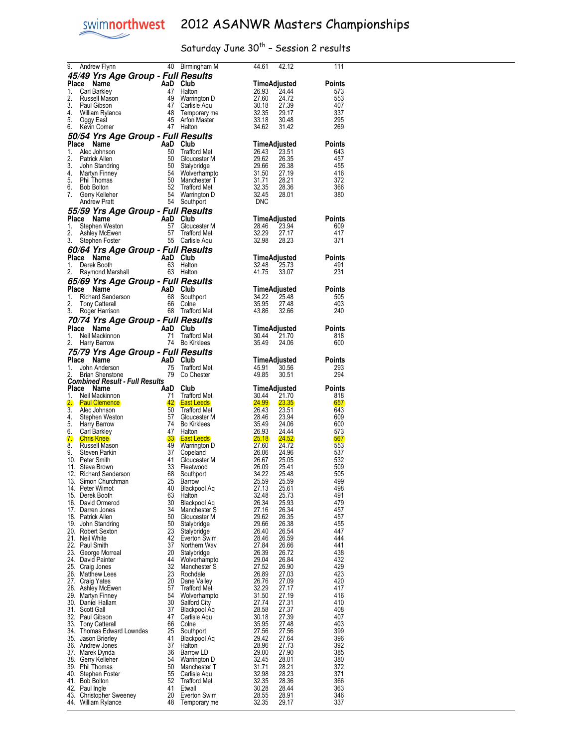$\overline{a}$ 

## Saturday June  $30^{th}$  - Session 2 results

| 9.          | Andrew Flynn                                                    |                       | 40 Birmingham M                          | 44.61<br>42.12                                      | 111                  |
|-------------|-----------------------------------------------------------------|-----------------------|------------------------------------------|-----------------------------------------------------|----------------------|
|             | 45/49 Yrs Age Group - Full Results                              |                       |                                          |                                                     |                      |
| Place<br>1. | Name<br>Carl Barkley                                            | AaD Club<br>47        | Halton                                   | TimeAdjusted<br>26.93<br>24.44                      | <b>Points</b><br>573 |
| 2.          | Russell Mason                                                   | 49                    | Warrington D                             | 24.72                                               | 553                  |
| 3.          | Paul Gibson                                                     | 47                    | Carlisle Aqu                             | 27.39                                               | 407                  |
| 4.          | Milliam Rylance                                                 | 48                    | Temporary me                             | $27.60$<br>$30.18$<br>$32.35$<br>$33.18$<br>29.17   | 337                  |
| 5.<br>6.    | Oggy East<br>Kevin Comer                                        | 45                    | Arfon Master<br>47 Halton                | 30.48<br>34.62<br>31.42                             | 295<br>269           |
|             |                                                                 |                       |                                          |                                                     |                      |
| Place       | 50/54 Yrs Age Group - Full Results<br>Name                      | AaD Club              |                                          | TimeAdjusted                                        | Points               |
| 1.          | Alec Johnson                                                    | 50                    | <b>Trafford Met</b>                      | 26.43<br>23.51                                      | 643                  |
| 2.          | Patrick Allen                                                   | 50                    | Gloucester M                             | 26.35                                               | 457                  |
| 3.          | John Standring                                                  | 50                    | Stalybridge                              | 26.38                                               | 455                  |
| 4.<br>5.    | Martyn Finney<br>Phil Thomas                                    | 54<br>50              | Wolverhampto<br>Manchester T             | 27.19<br>28.21                                      | 416<br>372           |
| 6.          | <b>Bob Bolton</b>                                               |                       | <b>Trafford Met</b>                      | $29.6$<br>29.6t<br>31.50<br>31.71<br>32.35<br>28.36 | 366                  |
| 7.          | $\frac{52}{54}$<br>Gerry Kelleher                               |                       | Warrington D                             | 32.45<br>28.01                                      | 380                  |
|             | <b>Andrew Pratt</b>                                             | 54                    | Southport                                | DNC                                                 |                      |
|             | 55/59 Yrs Age Group - Full Results                              |                       |                                          |                                                     |                      |
| Place<br>1. | Name<br>Stephen Weston                                          |                       | Gloucester M                             | TimeAdjusted<br>28.46<br>23.94                      | Points<br>609        |
| 2.          | AaD Club<br>57 Glouc<br>57 Traffo<br>55 Carlis<br>Ashley McEwen |                       | <b>Trafford Met</b>                      | 32.29<br>27.17                                      | 417                  |
| 3.          | Stephen Foster                                                  |                       | 55 Carlisle Aqu                          | 32.98<br>28.23                                      | 371                  |
|             | 60/64 Yrs Age Group - Full Results                              |                       |                                          |                                                     |                      |
| Place       | Name                                                            | AaD Club              |                                          | TimeAdjusted                                        | Points               |
| 1.          | Derek Booth                                                     | 63                    | Halton                                   | 32.48<br>25.73                                      | 491                  |
| 2.          | Raymond Marshall                                                |                       | 63 Halton                                | 41.75<br>33.07                                      | 231                  |
|             | 65/69 Yrs Age Group - Full Results<br>Place Name                | AaD Club              |                                          |                                                     |                      |
| 1.          | 25 112 12<br>Se Name<br>Richard Sanderson<br>Tony Catteral      | 68                    | Southport                                | TimeAdjusted<br>34.22<br>25.48                      | Points<br>505        |
| 2.          |                                                                 | 66                    | Colne                                    | 35.95<br>27.48                                      | 403                  |
| 3.          | Roger Harrison                                                  |                       | 68 Trafford Met                          | 43.86<br>32.66                                      | 240                  |
|             | 70/74 Yrs Age Group - Full Results                              |                       |                                          |                                                     |                      |
|             | Place Name                                                      | AaD                   | Club                                     | TimeAdjusted                                        | Points               |
| 1.<br>2.    | Neil Mackinnon                                                  | 71                    | <b>Trafford Met</b><br>74 Bo Kirklees    | 30.44<br>21.70<br>35.49<br>24.06                    | 818<br>600           |
|             | Harry Barrow                                                    |                       |                                          |                                                     |                      |
| Place       | 75/79 Yrs Age Group - Full Results<br>Name                      | AaD                   | Club                                     | TimeAdjusted                                        | Points               |
| 1.          | John Anderson                                                   |                       | <b>Trafford Met</b>                      | 45.91<br>30.56                                      | 293                  |
|             |                                                                 |                       |                                          |                                                     |                      |
| 2.          | AaD<br>$75$<br>$79$<br><b>Brian Shenstone</b>                   | 79                    | Co Chester                               | 49.85<br>30.51                                      | 294                  |
|             | <b>Combined Result - Full Results</b>                           |                       |                                          |                                                     |                      |
| Place       | Name                                                            | AaD                   | Club                                     | TimeAdjusted                                        | Points               |
| 1.          | Neil Mackinnon<br><b>Paul Clemence</b>                          | 71<br>42              | <b>Trafford Met</b><br><b>East Leeds</b> | 30.44<br>21.70<br><u>24.99</u><br><b>23.35</b>      | 818<br>657           |
| 2.<br>3.    | Alec Johnson                                                    | 50                    | <b>Trafford Met</b>                      | 26.43<br>23.51                                      | 643                  |
| 4.          | Stephen Weston                                                  | 57                    | Gloucester M                             | 28.46<br>23.94                                      | 609                  |
| 5.          | Harry Barrow                                                    | -74                   | <b>Bo Kirklees</b>                       | 28.46<br>35.49<br>24.06                             | 600                  |
| 6.<br>7.    | Carl Barkley<br><b>Chris Knee</b>                               | 47<br>33 <sub>o</sub> | Halton<br><b>East Leeds</b>              | 26.93<br>24.44<br><b>25.18</b><br><b>24.52</b>      | 573<br>567           |
| 8.          | Russell Mason                                                   | 49                    | Warrington D                             | 24.72                                               | 553                  |
| 9.          | Steven Parkin                                                   | 37                    | Copeland                                 | 27.60<br>26.06<br>24.96                             | 537                  |
|             | 10. Peter Smith                                                 | 41                    | Gloucester M                             | 26.67<br>25.05                                      | 532                  |
|             | 11. Steve Brown<br>12. Richard Sanderson                        | 33<br>68              | Fleetwood<br>Southport                   | 26.09<br>34.22<br>25.41<br>34.22<br>25.48           | 509<br>505           |
|             | 13. Simon Churchman                                             | 25                    | Barrow                                   | 25.59<br>25.59                                      | 499                  |
|             | 14. Peter Wilmot                                                | 40                    | <b>Blackpool Aq</b>                      | 27.13<br>25.61                                      | 498                  |
|             | 15. Derek Booth                                                 | 63                    | Halton                                   | 32.48<br>25.73                                      | 491                  |
|             | 16. David Ormerod<br>17. Darren Jones                           | 30<br>34              | Blackpool Ag<br>Manchester S             | 26.34<br>25.93<br>27.16<br>26.34                    | 479<br>457           |
|             | 18. Patrick Allen                                               | 50                    | Gloucester M                             | 29.62<br>26.35                                      | 457                  |
|             | 19. John Standring                                              | 50                    | Stalybridge                              | 29.66<br>26.38                                      | 455                  |
|             | 20. Robert Sexton<br>21. Neil White                             | 23<br>42              | Stalybridge                              | 26.40<br>26.54<br>28.46                             | 447<br>444           |
|             | 22. Paul Smith                                                  | 37                    | Everton Swim<br>Northern Wav             | 26.59<br>27.84<br>26.66                             | 441                  |
|             | 23. George Morreal                                              | 20                    | Stalybridge                              | 26.39<br>26.72                                      | 438                  |
|             | 24. David Painter                                               | 44                    | Wolverhampto                             | 29.04<br>26.84                                      | 432                  |
|             | 25. Craig Jones                                                 | 32                    | Manchester S                             | 27.52<br>26.90                                      | 429                  |
|             | 26. Matthew Lees<br>27. Craig Yates                             | 23<br>20              | Rochdale<br>Dane Valley                  | 26.89<br>27.03<br>26.76<br>27.09                    | 423<br>420           |
|             | 28. Ashley McEwen                                               | 57                    | <b>Trafford Met</b>                      | 32.29<br>27.17                                      | 417                  |
|             | 29. Martyn Finney                                               | 54                    | Wolverhampto                             | 31.50<br>27.19                                      | 416                  |
|             | 30. Daniel Hallam                                               | 30<br>37              | Salford City                             | 27.74<br>27.31<br>28.58<br>27.37                    | 410<br>408           |
|             | 31. Scott Gall<br>32. Paul Gibson                               | 47                    | Blackpool Aq<br>Carlisle Aqu             | 30.18<br>27.39                                      | 407                  |
|             | 33. Tony Catterall                                              | 66                    | Colne                                    | 27.48<br>35.95                                      | 403                  |
|             | 34. Thomas Edward Lowndes                                       | 25                    | Southport                                | 27.56<br>27.56                                      | 399                  |
|             | 35. Jason Brierley                                              | 41<br>37              | Blackpool Aq<br>Halton                   | 29.42<br>27.64<br>28.96<br>27.73                    | 396<br>392           |
|             | 36. Andrew Jones<br>37. Marek Dynda                             | 36                    | Barrow LD                                | 29.00<br>27.90                                      | 385                  |
|             | 38. Gerry Kelleher                                              | 54                    | Warrington D                             | 32.45<br>28.01                                      | 380                  |
|             | 39. Phil Thomas                                                 | 50                    | Manchester T                             | 31.71<br>28.21                                      | 372                  |
|             | 40. Stephen Foster                                              | 55                    | Carlisle Aqu                             | 32.98<br>28.23                                      | 371                  |
|             | 41. Bob Bolton<br>42. Paul Ingle                                | 52<br>41              | <b>Trafford Met</b><br>Etwall            | 32.35<br>28.36<br>30.28<br>28.44                    | 366<br>363           |
|             | 43. Christopher Sweeney<br>44. William Rylance                  | 20<br>48              | Everton Swim<br>Temporary me             | 28.55<br>28.91<br>32.35<br>29.17                    | 346<br>337           |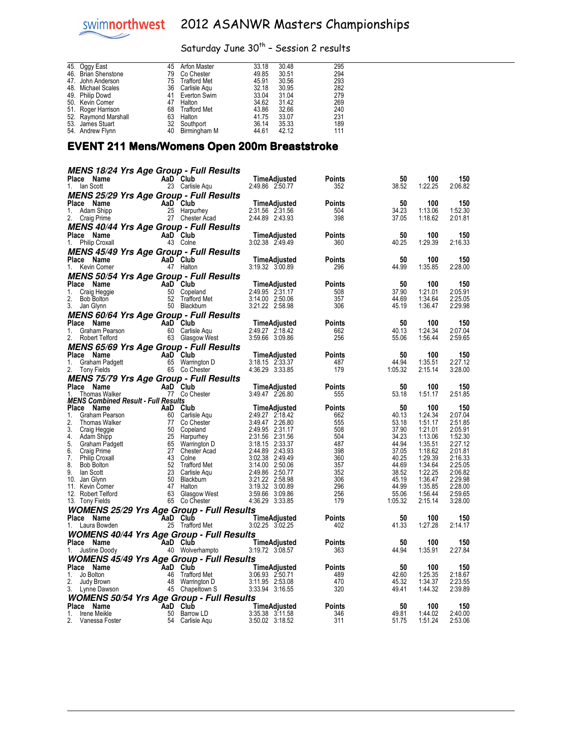## Saturday June  $30^{th}$  - Session 2 results

| 45. Oggy East        |    | 45 Arfon Master     | 33.18 | 30.48 | 295 |
|----------------------|----|---------------------|-------|-------|-----|
| 46. Brian Shenstone  | 79 | Co Chester          | 49.85 | 30.51 | 294 |
| 47. John Anderson    | 75 | <b>Trafford Met</b> | 45.91 | 30.56 | 293 |
| 48. Michael Scales   | 36 | Carlisle Agu        | 32.18 | 30.95 | 282 |
| 49. Philip Dowd      | 41 | Everton Swim        | 33.04 | 31.04 | 279 |
| 50. Kevin Comer      | 47 | Halton              | 34.62 | 31.42 | 269 |
| 51. Roger Harrison   |    | 68 Trafford Met     | 43.86 | 32.66 | 240 |
| 52. Raymond Marshall | 63 | Halton              | 41.75 | 33.07 | 231 |
| 53. James Stuart     | 32 | Southport           | 36.14 | 35.33 | 189 |
| 54. Andrew Flynn     | 40 | Birmingham M        | 44.61 | 42.12 | 111 |

#### EVENT 211 Mens/Womens Open 200m Breaststroke

|                                                                  |                                      | <b>MENS 18/24 Yrs Age Group - Full Results</b>                                                                                                      |                                    |               |                |                    |                    |
|------------------------------------------------------------------|--------------------------------------|-----------------------------------------------------------------------------------------------------------------------------------------------------|------------------------------------|---------------|----------------|--------------------|--------------------|
| Place Name                                                       |                                      | AaD Club                                                                                                                                            | TimeAdjusted                       | Points        | 50             | 100                | 150                |
| lan Scott<br>1.                                                  |                                      | 23 Carlisle Aqu                                                                                                                                     | 2:49.86 2:50.77                    | 352           | 38.52          | 1:22.25            | 2:06.82            |
|                                                                  |                                      |                                                                                                                                                     |                                    |               |                |                    |                    |
| <b>MENS 25/29 Yrs Age Group - Full Results</b>                   |                                      |                                                                                                                                                     |                                    |               |                |                    |                    |
| Place Name                                                       |                                      |                                                                                                                                                     | TimeAdjusted                       | <b>Points</b> | 50             | 100                | 150                |
| 1.<br>Adam Shipp                                                 | $AaD$ Club<br>$\frac{25}{27}$ Harpu  | 25 Harpurhey                                                                                                                                        | 2:31.56 2:31.56                    | 504           | 34.23          | 1:13.06            | 1:52.30            |
| 2. Craig Prime                                                   |                                      | 27 Chester Acad                                                                                                                                     | 2:44.89 2:43.93                    | 398           | 37.05          | 1:18.62            | 2:01.81            |
| <b>MENS 40/44 Yrs Age Group - Full Results</b>                   |                                      |                                                                                                                                                     |                                    |               |                |                    |                    |
| Place Name                                                       |                                      | AaD Club                                                                                                                                            | TimeAdjusted                       | Points        | 50             | 100                | 150                |
| 1. Philip Croxall                                                |                                      | 43 Colne                                                                                                                                            | 3:02.38 2:49.49                    | 360           | 40.25          | 1:29.39            | 2:16.33            |
|                                                                  |                                      |                                                                                                                                                     |                                    |               |                |                    |                    |
| <b>MENS 45/49 Yrs Age Group - Full Results</b>                   |                                      |                                                                                                                                                     |                                    |               |                |                    |                    |
| Place Name                                                       | AaD Club                             |                                                                                                                                                     | TimeAdjusted                       | Points        | 50             | 100                | 150                |
| 1. Kevin Comer                                                   |                                      | 47 Halton                                                                                                                                           | 3:19.32 3:00.89                    | 296           | 44.99          | 1:35.85            | 2:28.00            |
| <b>MENS 50/54 Yrs Age Group - Full Results</b>                   |                                      |                                                                                                                                                     |                                    |               |                |                    |                    |
| Place Name                                                       |                                      | AaD Club                                                                                                                                            | TimeAdjusted                       | <b>Points</b> | 50             | 100                | 150                |
| 1.<br>Craig Heggie                                               |                                      |                                                                                                                                                     | 2:49.95 2:31.17                    | 508           | 37.90          | 1:21.01            | 2:05.91            |
| 2.<br><b>Bob Bolton</b>                                          |                                      |                                                                                                                                                     | 3:14.00 2:50.06                    | 357           | 44.69          | 1:34.64            | 2:25.05            |
| 3.<br>Jan Glynn                                                  |                                      | Aab Orioland<br>50 Copeland<br>50 Blackburn                                                                                                         | 3:21.22 2:58.98                    | 306           | 45.19          | 1:36.47            | 2:29.98            |
| <b>MENS 60/64 Yrs Age Group - Full Results</b>                   |                                      |                                                                                                                                                     |                                    |               |                |                    |                    |
| Place Name                                                       |                                      | AaD Club                                                                                                                                            | TimeAdjusted                       | <b>Points</b> | 50             | 100                | 150                |
| 1.<br>Graham Pearson                                             |                                      | 60 Carlisle Agu                                                                                                                                     | 2:49.27 2:18.42                    | 662           | 40.13          | 1:24.34            | 2:07.04            |
| 2.<br><b>Robert Telford</b>                                      |                                      | 63 Glasgow West                                                                                                                                     | 3:59.66 3:09.86                    | 256           | 55.06          | 1:56.44            | 2:59.65            |
|                                                                  |                                      |                                                                                                                                                     |                                    |               |                |                    |                    |
| <b>MENS 65/69 Yrs Age Group - Full Results</b>                   |                                      |                                                                                                                                                     |                                    |               |                |                    |                    |
| Place Name                                                       |                                      | AaD Club                                                                                                                                            | TimeAdjusted                       | Points        | 50             | 100                | 150                |
| 1. Graham Padgett 65 Warrington D<br>2 Tony Fields 65 Co Chector |                                      |                                                                                                                                                     | 3:18.15 2:33.37                    | 487           | 44.94          | 1:35.51            | 2:27.12            |
| 2. Tony Fields                                                   |                                      | 65 Co Chester                                                                                                                                       | 4:36.29 3:33.85                    | 179           | 1:05.32        | 2:15.14            | 3:28.00            |
| MENS 75/79 Yrs Age Group - Full Results                          |                                      |                                                                                                                                                     |                                    |               |                |                    |                    |
| Place Name                                                       | AaD Club                             |                                                                                                                                                     | TimeAdjusted                       | Points        | 50             | 100                | 150                |
| 1.<br>Thomas Walker                                              |                                      | 77 Co Chester                                                                                                                                       | 3:49.47 2:26.80                    | 555           | 53.18          | 1:51.17            | 2:51.85            |
| <b>MENS Combined Result - Full Results</b>                       |                                      |                                                                                                                                                     |                                    |               |                |                    |                    |
| Place Name                                                       |                                      |                                                                                                                                                     | TimeAdjusted                       | <b>Points</b> | 50             | 100                | 150                |
|                                                                  |                                      |                                                                                                                                                     |                                    | 662           |                | 1:24.34            | 2:07.04            |
|                                                                  |                                      |                                                                                                                                                     |                                    |               |                |                    |                    |
| 1.<br>Graham Pearson                                             |                                      |                                                                                                                                                     | 2:49.27 2:18.42                    |               | 40.13          |                    |                    |
| 2.<br>Thomas Walker                                              |                                      |                                                                                                                                                     | 3:49.47 2:26.80                    | 555           | 53.18          | 1:51.17            | 2:51.85            |
| 3.<br>Craig Heggie                                               |                                      |                                                                                                                                                     | 2:49.95 2:31.17                    | 508           | 37.90          | 1:21.01            | 2:05.91            |
| 4.<br>Adam Shipp                                                 |                                      |                                                                                                                                                     | 2:31.56 2:31.56                    | 504           | 34.23          | 1:13.06            | 1:52.30            |
| 5.<br>Graham Padgett                                             |                                      | And Club<br>And Carlisle Aqu<br>60 Carlisle Aqu<br>77 Co Chester<br>50 Copeland<br>25 Harpurhey<br>65 Warrington D<br>77 Chester<br>65 Warrington D | 3:18.15 2:33.37                    | 487           | 44.94          | 1:35.51            | 2:27.12            |
| 6.<br>Craig Prime                                                |                                      | 27 Chester Acad                                                                                                                                     | 2:44.89 2:43.93                    | 398           | 37.05          | 1:18.62            | 2:01.81            |
| 7.<br><b>Philip Croxall</b>                                      |                                      | 43 Colne                                                                                                                                            | 3:02.38 2:49.49                    | 360           | 40.25          | 1:29.39            | 2:16.33            |
| 8.<br>Bob Bolton                                                 |                                      | 52 Trafford Met                                                                                                                                     | 3:14.00 2:50.06                    | 357           | 44.69          | 1:34.64            | 2:25.05            |
| 9.<br>lan Scott                                                  |                                      | 23 Carlisle Aqu                                                                                                                                     | 2:49.86 2:50.77                    | 352           | 38.52          | 1:22.25            | 2:06.82            |
| 10. Jan Glynn                                                    |                                      | 50 Blackburn                                                                                                                                        | 3:21.22 2:58.98                    | 306           | 45.19          | 1:36.47            | 2:29.98            |
| 11. Kevin Comer                                                  |                                      | 47 Halton                                                                                                                                           | 3:19.32 3:00.89                    | 296           | 44.99          | 1:35.85            | 2:28.00            |
| 12. Robert Telford                                               |                                      | 47 Franch<br>63 Glasgow West<br>65 Co Chester                                                                                                       | 3:59.66 3:09.86                    | 256<br>179    | 55.06          | 1:56.44<br>2:15.14 | 2:59.65<br>3:28.00 |
| 13. Tony Fields                                                  |                                      | 65 Co Chester                                                                                                                                       | 4:36.29 3:33.85                    |               | 1:05.32        |                    |                    |
| <b>WOMENS 25/29 Yrs Age Group - Full Results</b>                 |                                      |                                                                                                                                                     |                                    |               |                |                    |                    |
| Place Name                                                       |                                      |                                                                                                                                                     | TimeAdjusted                       | Points        | 50             | 100                | 150                |
| 1. Laura Bowden                                                  |                                      | AaD Club<br>25 Trafford Met                                                                                                                         | 3:02.25 3:02.25                    | 402           | 41.33          | 1:27.28            | 2:14.17            |
| <b>WOMENS 40/44 Yrs Age Group - Full Results</b>                 |                                      |                                                                                                                                                     |                                    |               |                |                    |                    |
| Place Name                                                       |                                      |                                                                                                                                                     | TimeAdjusted                       | <b>Points</b> | 50             | 100                | 150                |
| 1.                                                               |                                      |                                                                                                                                                     | 3:19.72 3:08.57                    | 363           | 44.94          | 1:35.91            | 2:27.84            |
| Justine Doody                                                    |                                      | <b>Example 10</b><br>And Molverhampto                                                                                                               |                                    |               |                |                    |                    |
| <b>WOMENS 45/49 Yrs Age Group - Full Results</b>                 |                                      |                                                                                                                                                     |                                    |               |                |                    |                    |
| Place Name                                                       |                                      |                                                                                                                                                     | TimeAdjusted                       | <b>Points</b> | 50             | 100                | 150                |
| Jo Bolton<br>1.                                                  |                                      | 46 Trafford Met                                                                                                                                     | 3:06.93 2:50.71                    | 489           | 42.60          | 1:25.35            | 2:18.67            |
| 2.<br>Judy Brown                                                 | AaD Club<br>46 Traffor<br>48 Warring | 48 Warrington D                                                                                                                                     | 3:11.95 2:53.08                    | 470           | 45.32          | 1:34.37            | 2:23.55            |
| 3.<br>Lynne Dawson                                               |                                      | 45 Chapeltown S                                                                                                                                     | 3:33.94 3:16.55                    | 320           | 49.41          | 1:44.32            | 2:39.89            |
| <b>WOMENS 50/54 Yrs Age Group - Full Results</b>                 |                                      |                                                                                                                                                     |                                    |               |                |                    |                    |
| Place Name                                                       | <b>Exalt Club</b>                    |                                                                                                                                                     | TimeAdjusted                       | <b>Points</b> | 50             | 100                | 150                |
| 1.<br>Irene Meikle<br>2.<br>Vanessa Foster                       |                                      | 50 Barrow LD<br>54 Carlisle Aqu                                                                                                                     | 3:35.38 3:11.58<br>3:50.02 3:18.52 | 346<br>311    | 49.81<br>51.75 | 1:44.02<br>1:51.24 | 2:40.00<br>2:53.06 |